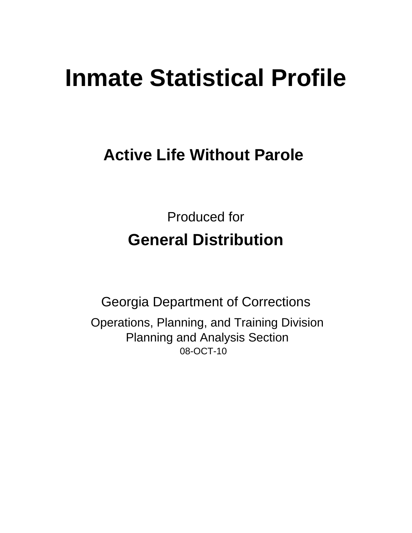# **Inmate Statistical Profile**

## **Active Life Without Parole**

**Produced for General Distribution** 

**Georgia Department of Corrections** Operations, Planning, and Training Division **Planning and Analysis Section** 08-OCT-10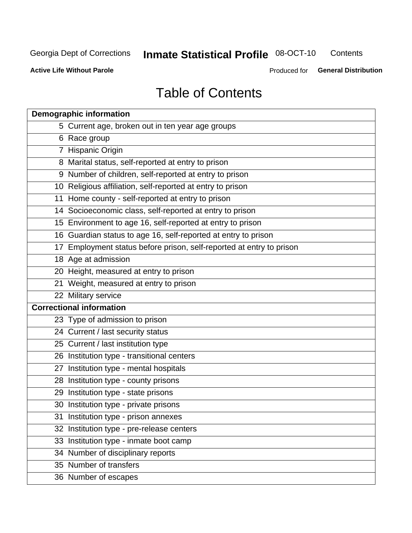## **Inmate Statistical Profile 08-OCT-10**

Contents

**Active Life Without Parole** 

Produced for General Distribution

## **Table of Contents**

|    | <b>Demographic information</b>                                       |
|----|----------------------------------------------------------------------|
|    | 5 Current age, broken out in ten year age groups                     |
|    | 6 Race group                                                         |
|    | 7 Hispanic Origin                                                    |
|    | 8 Marital status, self-reported at entry to prison                   |
|    | 9 Number of children, self-reported at entry to prison               |
|    | 10 Religious affiliation, self-reported at entry to prison           |
|    | 11 Home county - self-reported at entry to prison                    |
|    | 14 Socioeconomic class, self-reported at entry to prison             |
|    | 15 Environment to age 16, self-reported at entry to prison           |
|    | 16 Guardian status to age 16, self-reported at entry to prison       |
|    | 17 Employment status before prison, self-reported at entry to prison |
|    | 18 Age at admission                                                  |
|    | 20 Height, measured at entry to prison                               |
|    | 21 Weight, measured at entry to prison                               |
|    | 22 Military service                                                  |
|    | <b>Correctional information</b>                                      |
|    | 23 Type of admission to prison                                       |
|    | 24 Current / last security status                                    |
|    | 25 Current / last institution type                                   |
|    | 26 Institution type - transitional centers                           |
| 27 | Institution type - mental hospitals                                  |
|    | 28 Institution type - county prisons                                 |
|    | 29 Institution type - state prisons                                  |
|    | 30 Institution type - private prisons                                |
|    | 31 Institution type - prison annexes                                 |
|    | 32 Institution type - pre-release centers                            |
|    | 33 Institution type - inmate boot camp                               |
|    | 34 Number of disciplinary reports                                    |
|    | 35 Number of transfers                                               |
|    | 36 Number of escapes                                                 |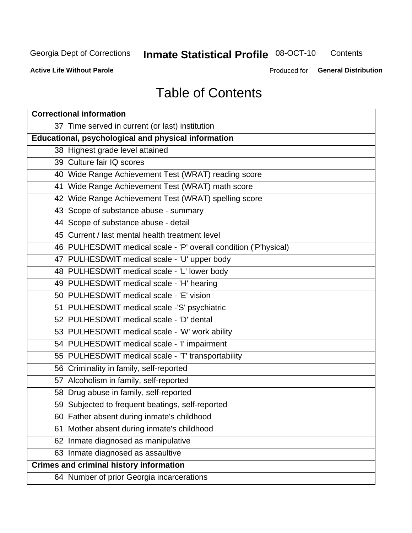## **Inmate Statistical Profile 08-OCT-10**

Contents

**Active Life Without Parole** 

Produced for General Distribution

## **Table of Contents**

| <b>Correctional information</b>                                  |  |  |  |  |  |  |  |
|------------------------------------------------------------------|--|--|--|--|--|--|--|
| 37 Time served in current (or last) institution                  |  |  |  |  |  |  |  |
| <b>Educational, psychological and physical information</b>       |  |  |  |  |  |  |  |
| 38 Highest grade level attained                                  |  |  |  |  |  |  |  |
| 39 Culture fair IQ scores                                        |  |  |  |  |  |  |  |
| 40 Wide Range Achievement Test (WRAT) reading score              |  |  |  |  |  |  |  |
| 41 Wide Range Achievement Test (WRAT) math score                 |  |  |  |  |  |  |  |
| 42 Wide Range Achievement Test (WRAT) spelling score             |  |  |  |  |  |  |  |
| 43 Scope of substance abuse - summary                            |  |  |  |  |  |  |  |
| 44 Scope of substance abuse - detail                             |  |  |  |  |  |  |  |
| 45 Current / last mental health treatment level                  |  |  |  |  |  |  |  |
| 46 PULHESDWIT medical scale - 'P' overall condition ('P'hysical) |  |  |  |  |  |  |  |
| 47 PULHESDWIT medical scale - 'U' upper body                     |  |  |  |  |  |  |  |
| 48 PULHESDWIT medical scale - 'L' lower body                     |  |  |  |  |  |  |  |
| 49 PULHESDWIT medical scale - 'H' hearing                        |  |  |  |  |  |  |  |
| 50 PULHESDWIT medical scale - 'E' vision                         |  |  |  |  |  |  |  |
| 51 PULHESDWIT medical scale -'S' psychiatric                     |  |  |  |  |  |  |  |
| 52 PULHESDWIT medical scale - 'D' dental                         |  |  |  |  |  |  |  |
| 53 PULHESDWIT medical scale - 'W' work ability                   |  |  |  |  |  |  |  |
| 54 PULHESDWIT medical scale - 'I' impairment                     |  |  |  |  |  |  |  |
| 55 PULHESDWIT medical scale - 'T' transportability               |  |  |  |  |  |  |  |
| 56 Criminality in family, self-reported                          |  |  |  |  |  |  |  |
| 57 Alcoholism in family, self-reported                           |  |  |  |  |  |  |  |
| 58 Drug abuse in family, self-reported                           |  |  |  |  |  |  |  |
| 59 Subjected to frequent beatings, self-reported                 |  |  |  |  |  |  |  |
| 60 Father absent during inmate's childhood                       |  |  |  |  |  |  |  |
| Mother absent during inmate's childhood<br>61                    |  |  |  |  |  |  |  |
| 62 Inmate diagnosed as manipulative                              |  |  |  |  |  |  |  |
| 63 Inmate diagnosed as assaultive                                |  |  |  |  |  |  |  |
| <b>Crimes and criminal history information</b>                   |  |  |  |  |  |  |  |
| 64 Number of prior Georgia incarcerations                        |  |  |  |  |  |  |  |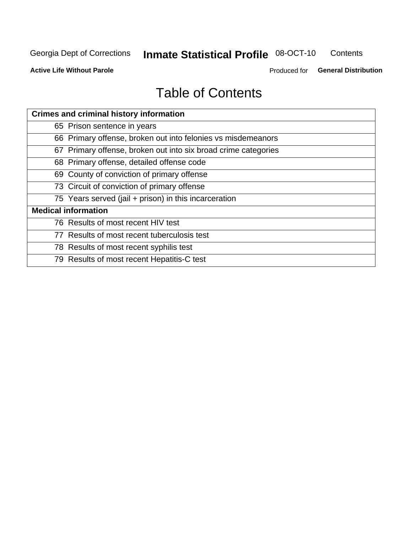## **Inmate Statistical Profile 08-OCT-10**

Contents

**Active Life Without Parole** 

Produced for General Distribution

## **Table of Contents**

| <b>Crimes and criminal history information</b>                 |
|----------------------------------------------------------------|
| 65 Prison sentence in years                                    |
| 66 Primary offense, broken out into felonies vs misdemeanors   |
| 67 Primary offense, broken out into six broad crime categories |
| 68 Primary offense, detailed offense code                      |
| 69 County of conviction of primary offense                     |
| 73 Circuit of conviction of primary offense                    |
| 75 Years served (jail + prison) in this incarceration          |
| <b>Medical information</b>                                     |
| 76 Results of most recent HIV test                             |
| 77 Results of most recent tuberculosis test                    |
| 78 Results of most recent syphilis test                        |
| 79 Results of most recent Hepatitis-C test                     |
|                                                                |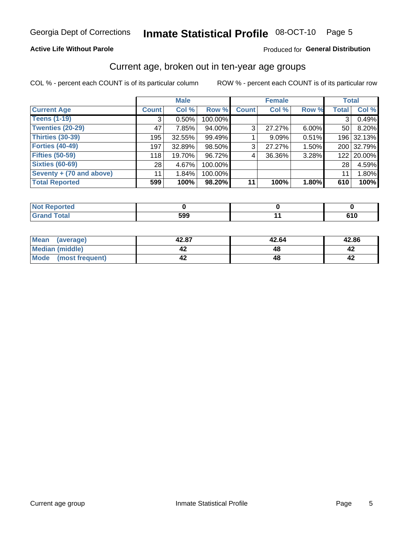#### Inmate Statistical Profile 08-OCT-10 Page 5

## **Active Life Without Parole**

## Produced for General Distribution

## Current age, broken out in ten-year age groups

COL % - percent each COUNT is of its particular column

|                          |              | <b>Male</b> |         |                | <b>Female</b> |          |                | <b>Total</b> |
|--------------------------|--------------|-------------|---------|----------------|---------------|----------|----------------|--------------|
| <b>Current Age</b>       | <b>Count</b> | Col %       | Row %   | <b>Count</b>   | Col %         | Row %    | <b>Total</b>   | Col %        |
| <b>Teens (1-19)</b>      | 3            | 0.50%       | 100.00% |                |               |          | 3 <sup>1</sup> | 0.49%        |
| <b>Twenties (20-29)</b>  | 47           | 7.85%       | 94.00%  | 3 <sup>1</sup> | 27.27%        | $6.00\%$ | 50             | 8.20%        |
| <b>Thirties (30-39)</b>  | 195          | $32.55\%$   | 99.49%  |                | 9.09%         | 0.51%    |                | 196 32.13%   |
| <b>Forties (40-49)</b>   | 197          | 32.89%      | 98.50%  | 3 <sup>1</sup> | 27.27%        | 1.50%    |                | 200 32.79%   |
| <b>Fifties (50-59)</b>   | 118          | 19.70%      | 96.72%  | 4              | 36.36%        | 3.28%    |                | 122 20.00%   |
| <b>Sixties (60-69)</b>   | 28           | 4.67%       | 100.00% |                |               |          | 28             | 4.59%        |
| Seventy + (70 and above) | 11           | 1.84%       | 100.00% |                |               |          | 11             | 1.80%        |
| <b>Total Reported</b>    | 599          | 100%        | 98.20%  | 11             | 100%          | 1.80%    | 610            | 100%         |

| <b>Contract on the Contract of the Contract of The Contract of The Contract of The Contract of The Contract of The Contract of The Contract of The Contract of The Contract of The Contract of The Contract of The Contract of T</b><br>Not Reported |     |       |
|------------------------------------------------------------------------------------------------------------------------------------------------------------------------------------------------------------------------------------------------------|-----|-------|
| <b>Total</b>                                                                                                                                                                                                                                         | 599 | ∕ I V |

| Mean<br>(average)       | 42.87 | 42.64 | 42.86 |
|-------------------------|-------|-------|-------|
| Median (middle)         |       |       |       |
| Mode<br>(most frequent) |       |       |       |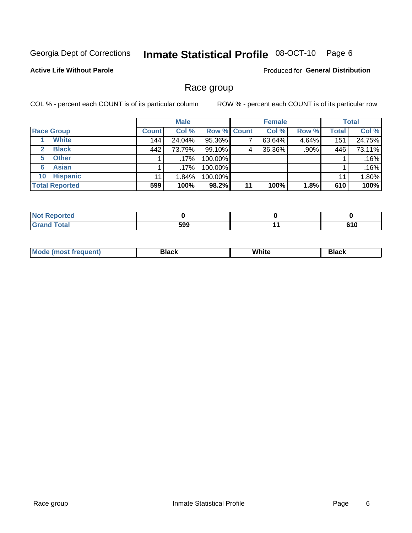#### Inmate Statistical Profile 08-OCT-10 Page 6

## **Active Life Without Parole**

**Produced for General Distribution** 

## Race group

COL % - percent each COUNT is of its particular column

|                              |              | <b>Male</b> |                    |    | <b>Female</b> |         |              | <b>Total</b> |
|------------------------------|--------------|-------------|--------------------|----|---------------|---------|--------------|--------------|
| <b>Race Group</b>            | <b>Count</b> | Col %       | <b>Row % Count</b> |    | Col %         | Row %   | <b>Total</b> | Col %        |
| <b>White</b>                 | 144          | 24.04%      | 95.36%             |    | 63.64%        | 4.64%   | 151          | 24.75%       |
| <b>Black</b><br>$\mathbf{2}$ | 442          | 73.79%      | 99.10%             | 4  | 36.36%        | $.90\%$ | 446          | 73.11%       |
| <b>Other</b><br>5.           |              | .17%        | 100.00%            |    |               |         |              | .16%         |
| <b>Asian</b><br>6            |              | .17%        | 100.00%            |    |               |         |              | .16%         |
| <b>Hispanic</b><br>10        | 11           | 1.84%       | 100.00%            |    |               |         | 11           | 1.80%        |
| <b>Total Reported</b>        | 599          | 100%        | 98.2%              | 11 | 100%          | 1.8%    | 610          | 100%         |

| rted         |              |     |
|--------------|--------------|-----|
| <b>Total</b> | 599<br>- - - | 640 |

| M | .<br>w | Piasn |
|---|--------|-------|
|   |        |       |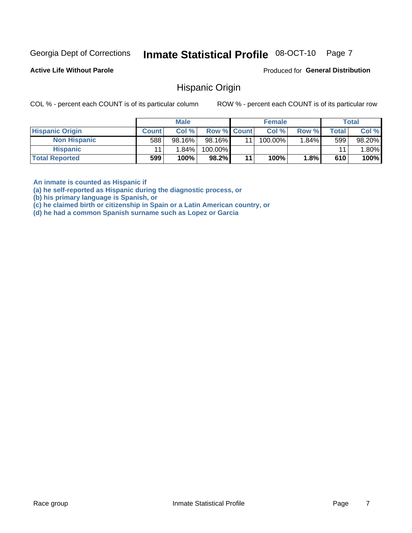#### Inmate Statistical Profile 08-OCT-10 Page 7

**Active Life Without Parole** 

Produced for General Distribution

## **Hispanic Origin**

COL % - percent each COUNT is of its particular column

ROW % - percent each COUNT is of its particular row

|                        |              | <b>Male</b> |             |    | <b>Female</b> |         |       | <b>Total</b> |
|------------------------|--------------|-------------|-------------|----|---------------|---------|-------|--------------|
| <b>Hispanic Origin</b> | <b>Count</b> | Col %       | Row % Count |    | Col %         | Row %   | Total | Col %        |
| <b>Non Hispanic</b>    | 588          | $98.16\%$   | 98.16%      | 11 | 100.00%       | 1.84%   | 599   | 98.20%       |
| <b>Hispanic</b>        |              | 1.84%       | 100.00%     |    |               |         | 11    | $.80\%$      |
| <b>Total Reported</b>  | 599          | 100%        | 98.2%       | 11 | $100\%$       | $1.8\%$ | 610   | 100%         |

An inmate is counted as Hispanic if

(a) he self-reported as Hispanic during the diagnostic process, or

(b) his primary language is Spanish, or

(c) he claimed birth or citizenship in Spain or a Latin American country, or

(d) he had a common Spanish surname such as Lopez or Garcia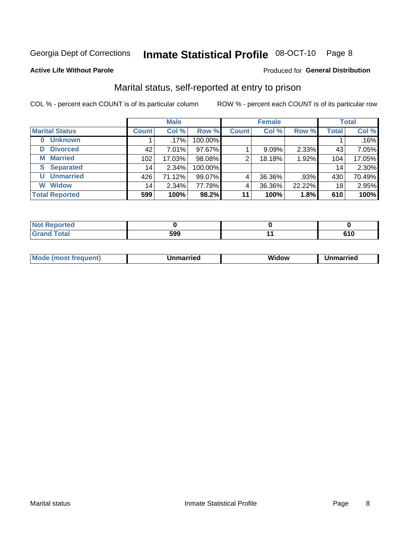#### Inmate Statistical Profile 08-OCT-10 Page 8

### **Active Life Without Parole**

### Produced for General Distribution

## Marital status, self-reported at entry to prison

COL % - percent each COUNT is of its particular column

|                            | <b>Male</b>  |         |         | <b>Female</b> |        |        | <b>Total</b> |        |
|----------------------------|--------------|---------|---------|---------------|--------|--------|--------------|--------|
| <b>Marital Status</b>      | <b>Count</b> | Col %   | Row %   | <b>Count</b>  | Col %  | Row %  | <b>Total</b> | Col %  |
| <b>Unknown</b><br>$\bf{0}$ |              | $.17\%$ | 100.00% |               |        |        |              | .16%   |
| <b>Divorced</b><br>D       | 42           | 7.01%   | 97.67%  |               | 9.09%  | 2.33%  | 43           | 7.05%  |
| <b>Married</b><br>М        | 102          | 17.03%  | 98.08%  | 2             | 18.18% | 1.92%  | 104          | 17.05% |
| <b>Separated</b><br>S      | 14           | 2.34%   | 100.00% |               |        |        | 14           | 2.30%  |
| <b>Unmarried</b><br>U      | 426          | 71.12%  | 99.07%  | 4             | 36.36% | .93%   | 430          | 70.49% |
| <b>Widow</b><br>W          | 14           | 2.34%   | 77.78%  | 4             | 36.36% | 22.22% | 18           | 2.95%  |
| <b>Total Reported</b>      | 599          | 100%    | 98.2%   | 11            | 100%   | 1.8%   | 610          | 100%   |

| <b>orted</b><br>NOT<br>.          |     |     |
|-----------------------------------|-----|-----|
| $F$ ntal<br>Utal<br><b>U</b> lahu | 599 | 610 |

|--|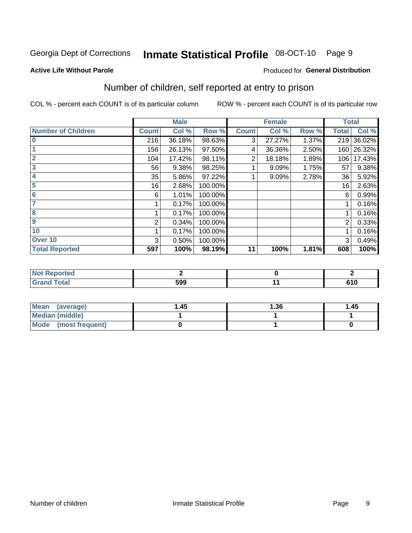## Inmate Statistical Profile 08-OCT-10 Page 9

**Active Life Without Parole** 

### Produced for General Distribution

## Number of children, self reported at entry to prison

COL % - percent each COUNT is of its particular column

|                           |              | <b>Male</b> |         |              | <b>Female</b> |       | <b>Total</b> |        |
|---------------------------|--------------|-------------|---------|--------------|---------------|-------|--------------|--------|
| <b>Number of Children</b> | <b>Count</b> | Col %       | Row %   | <b>Count</b> | Col %         | Row % | <b>Total</b> | Col %  |
| $\bf{0}$                  | 216          | 36.18%      | 98.63%  | 3            | 27.27%        | 1.37% | 219          | 36.02% |
|                           | 156          | 26.13%      | 97.50%  | 4            | 36.36%        | 2.50% | 160          | 26.32% |
| $\overline{2}$            | 104          | 17.42%      | 98.11%  | 2            | 18.18%        | 1.89% | 106          | 17.43% |
| 3                         | 56           | 9.38%       | 98.25%  |              | 9.09%         | 1.75% | 57           | 9.38%  |
| 4                         | 35           | 5.86%       | 97.22%  |              | 9.09%         | 2.78% | 36           | 5.92%  |
| 5                         | 16           | 2.68%       | 100.00% |              |               |       | 16           | 2.63%  |
| 6                         | 6            | 1.01%       | 100.00% |              |               |       | 6            | 0.99%  |
| 7                         |              | 0.17%       | 100.00% |              |               |       |              | 0.16%  |
| 8                         |              | 0.17%       | 100.00% |              |               |       |              | 0.16%  |
| $\boldsymbol{9}$          | 2            | 0.34%       | 100.00% |              |               |       | 2            | 0.33%  |
| 10                        |              | 0.17%       | 100.00% |              |               |       |              | 0.16%  |
| Over 10                   | 3            | 0.50%       | 100.00% |              |               |       | 3            | 0.49%  |
| <b>Total Reported</b>     | 597          | 100%        | 98.19%  | 11           | 100%          | 1.81% | 608          | 100%   |

| meo<br>N      |     |              |
|---------------|-----|--------------|
| υιαι<br>_____ | 599 | - - -<br>. . |

| <b>Mean</b><br>(average) | 1.45 | 1.36 | 1.45 |
|--------------------------|------|------|------|
| <b>Median (middle)</b>   |      |      |      |
| Mode (most frequent)     |      |      |      |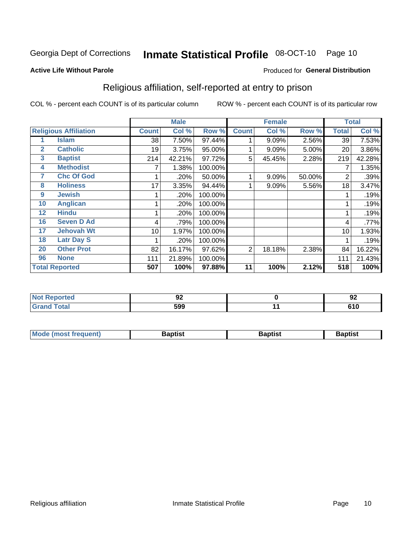#### Inmate Statistical Profile 08-OCT-10 Page 10

### **Active Life Without Parole**

## **Produced for General Distribution**

## Religious affiliation, self-reported at entry to prison

COL % - percent each COUNT is of its particular column

|              |                              |              | <b>Male</b> |         |              | <b>Female</b> |        |                  | <b>Total</b> |
|--------------|------------------------------|--------------|-------------|---------|--------------|---------------|--------|------------------|--------------|
|              | <b>Religious Affiliation</b> | <b>Count</b> | Col %       | Row %   | <b>Count</b> | Col %         | Row %  | <b>Total</b>     | Col %        |
|              | <b>Islam</b>                 | 38           | 7.50%       | 97.44%  |              | 9.09%         | 2.56%  | 39               | 7.53%        |
| $\mathbf{2}$ | <b>Catholic</b>              | 19           | 3.75%       | 95.00%  |              | 9.09%         | 5.00%  | 20               | 3.86%        |
| 3            | <b>Baptist</b>               | 214          | 42.21%      | 97.72%  | 5            | 45.45%        | 2.28%  | 219              | 42.28%       |
| 4            | <b>Methodist</b>             |              | 1.38%       | 100.00% |              |               |        | 7                | 1.35%        |
| 7            | <b>Chc Of God</b>            |              | .20%        | 50.00%  |              | 9.09%         | 50.00% | 2                | .39%         |
| 8            | <b>Holiness</b>              | 17           | 3.35%       | 94.44%  |              | 9.09%         | 5.56%  | 18               | 3.47%        |
| 9            | <b>Jewish</b>                |              | .20%        | 100.00% |              |               |        |                  | .19%         |
| 10           | <b>Anglican</b>              |              | .20%        | 100.00% |              |               |        |                  | .19%         |
| 12           | <b>Hindu</b>                 |              | .20%        | 100.00% |              |               |        |                  | .19%         |
| 16           | <b>Seven D Ad</b>            | 4            | .79%        | 100.00% |              |               |        | 4                | .77%         |
| 17           | <b>Jehovah Wt</b>            | 10           | 1.97%       | 100.00% |              |               |        | 10               | 1.93%        |
| 18           | <b>Latr Day S</b>            |              | .20%        | 100.00% |              |               |        |                  | .19%         |
| 20           | <b>Other Prot</b>            | 82           | 16.17%      | 97.62%  | 2            | 18.18%        | 2.38%  | 84               | 16.22%       |
| 96           | <b>None</b>                  | 111          | 21.89%      | 100.00% |              |               |        | 111              | 21.43%       |
|              | <b>Total Reported</b>        | 507          | 100%        | 97.88%  | 11           | 100%          | 2.12%  | $\overline{518}$ | 100%         |

| ιеι                         | ◡▵  |      | o٠<br>◡ |
|-----------------------------|-----|------|---------|
| $\sim$ $\sim$ $\sim$ $\sim$ | 599 | $ -$ | 0.40    |

| Mode (most frequent) | Baptist | <b>Baptist</b> | aptıst |
|----------------------|---------|----------------|--------|
|                      |         |                |        |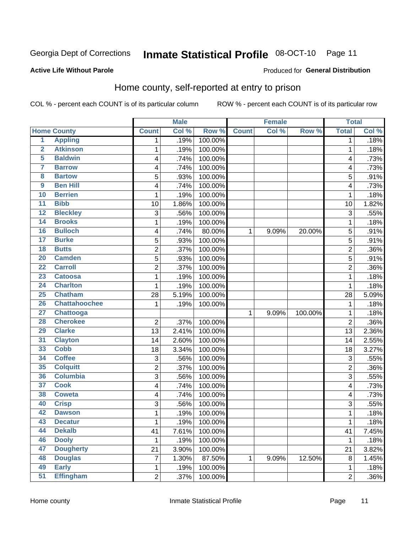#### Inmate Statistical Profile 08-OCT-10 Page 11

**Produced for General Distribution** 

## **Active Life Without Parole**

## Home county, self-reported at entry to prison

COL % - percent each COUNT is of its particular column

|                         |                      |                | <b>Male</b> |         |              | <b>Female</b> |         | <b>Total</b>   |         |
|-------------------------|----------------------|----------------|-------------|---------|--------------|---------------|---------|----------------|---------|
|                         | <b>Home County</b>   | <b>Count</b>   | Col %       | Row %   | <b>Count</b> | Col %         | Row %   | <b>Total</b>   | Col %   |
| $\overline{1}$          | <b>Appling</b>       | 1              | .19%        | 100.00% |              |               |         | 1              | .18%    |
| $\overline{2}$          | <b>Atkinson</b>      | 1              | .19%        | 100.00% |              |               |         | 1              | .18%    |
| 5                       | <b>Baldwin</b>       | 4              | .74%        | 100.00% |              |               |         | 4              | .73%    |
| 7                       | <b>Barrow</b>        | 4              | .74%        | 100.00% |              |               |         | 4              | .73%    |
| $\overline{\mathbf{8}}$ | <b>Bartow</b>        | 5              | .93%        | 100.00% |              |               |         | 5              | .91%    |
| 9                       | <b>Ben Hill</b>      | 4              | .74%        | 100.00% |              |               |         | 4              | .73%    |
| 10                      | <b>Berrien</b>       | 1              | .19%        | 100.00% |              |               |         | 1              | .18%    |
| 11                      | <b>Bibb</b>          | 10             | 1.86%       | 100.00% |              |               |         | 10             | 1.82%   |
| $\overline{12}$         | <b>Bleckley</b>      | 3              | .56%        | 100.00% |              |               |         | 3              | .55%    |
| 14                      | <b>Brooks</b>        | 1              | .19%        | 100.00% |              |               |         | 1              | .18%    |
| 16                      | <b>Bulloch</b>       | 4              | .74%        | 80.00%  | 1            | 9.09%         | 20.00%  | 5              | .91%    |
| 17                      | <b>Burke</b>         | 5              | .93%        | 100.00% |              |               |         | 5              | .91%    |
| $\overline{18}$         | <b>Butts</b>         | $\overline{2}$ | .37%        | 100.00% |              |               |         | $\overline{2}$ | .36%    |
| 20                      | <b>Camden</b>        | 5              | .93%        | 100.00% |              |               |         | 5              | .91%    |
| $\overline{22}$         | <b>Carroll</b>       | $\overline{2}$ | .37%        | 100.00% |              |               |         | $\overline{2}$ | .36%    |
| 23                      | <b>Catoosa</b>       | 1              | .19%        | 100.00% |              |               |         | 1              | .18%    |
| $\overline{24}$         | <b>Charlton</b>      | 1              | .19%        | 100.00% |              |               |         | 1              | .18%    |
| 25                      | <b>Chatham</b>       | 28             | 5.19%       | 100.00% |              |               |         | 28             | 5.09%   |
| 26                      | <b>Chattahoochee</b> | 1              | .19%        | 100.00% |              |               |         | 1              | .18%    |
| $\overline{27}$         | <b>Chattooga</b>     |                |             |         | 1            | 9.09%         | 100.00% | 1              | .18%    |
| 28                      | <b>Cherokee</b>      | $\overline{2}$ | .37%        | 100.00% |              |               |         | $\overline{2}$ | .36%    |
| 29                      | <b>Clarke</b>        | 13             | 2.41%       | 100.00% |              |               |         | 13             | 2.36%   |
| $\overline{31}$         | <b>Clayton</b>       | 14             | 2.60%       | 100.00% |              |               |         | 14             | 2.55%   |
| 33                      | <b>Cobb</b>          | 18             | 3.34%       | 100.00% |              |               |         | 18             | 3.27%   |
| 34                      | <b>Coffee</b>        | 3              | .56%        | 100.00% |              |               |         | 3              | .55%    |
| 35                      | <b>Colquitt</b>      | 2              | .37%        | 100.00% |              |               |         | $\overline{2}$ | .36%    |
| 36                      | <b>Columbia</b>      | $\overline{3}$ | .56%        | 100.00% |              |               |         | 3              | .55%    |
| 37                      | <b>Cook</b>          | 4              | .74%        | 100.00% |              |               |         | 4              | .73%    |
| 38                      | <b>Coweta</b>        | 4              | .74%        | 100.00% |              |               |         | 4              | .73%    |
| 40                      | <b>Crisp</b>         | 3              | .56%        | 100.00% |              |               |         | 3              | .55%    |
| 42                      | <b>Dawson</b>        | 1              | .19%        | 100.00% |              |               |         | 1              | .18%    |
| 43                      | <b>Decatur</b>       | 1              | .19%        | 100.00% |              |               |         | 1              | .18%    |
| 44                      | <b>Dekalb</b>        | 41             | 7.61%       | 100.00% |              |               |         | 41             | 7.45%   |
| 46                      | <b>Dooly</b>         | 1              | .19%        | 100.00% |              |               |         | 1              | .18%    |
| 47                      | <b>Dougherty</b>     | 21             | 3.90%       | 100.00% |              |               |         | 21             | 3.82%   |
| 48                      | <b>Douglas</b>       | 7              | 1.30%       | 87.50%  | 1            | 9.09%         | 12.50%  | 8              | 1.45%   |
| 49                      | <b>Early</b>         | 1              | .19%        | 100.00% |              |               |         | 1              | .18%    |
| 51                      | <b>Effingham</b>     | $\overline{2}$ | .37%        | 100.00% |              |               |         | $\overline{c}$ | $.36\%$ |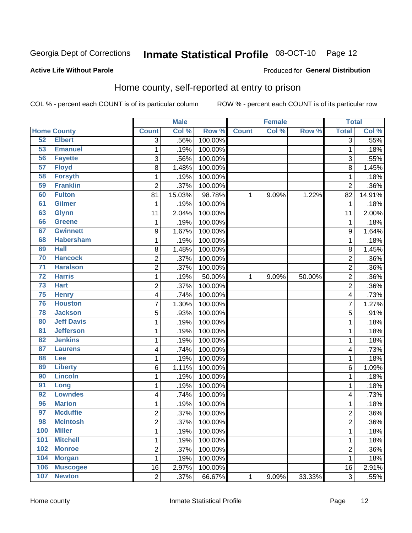#### Inmate Statistical Profile 08-OCT-10 Page 12

### **Active Life Without Parole**

### Produced for General Distribution

## Home county, self-reported at entry to prison

COL % - percent each COUNT is of its particular column

|                 |                    |                          | <b>Male</b> |         |              | <b>Female</b> |        | <b>Total</b>            |         |
|-----------------|--------------------|--------------------------|-------------|---------|--------------|---------------|--------|-------------------------|---------|
|                 | <b>Home County</b> | <b>Count</b>             | Col %       | Row %   | <b>Count</b> | Col %         | Row %  | <b>Total</b>            | Col %   |
| 52              | <b>Elbert</b>      | $\overline{3}$           | .56%        | 100.00% |              |               |        | 3                       | .55%    |
| 53              | <b>Emanuel</b>     | 1                        | .19%        | 100.00% |              |               |        | 1                       | .18%    |
| 56              | <b>Fayette</b>     | 3                        | .56%        | 100.00% |              |               |        | 3                       | .55%    |
| 57              | <b>Floyd</b>       | 8                        | 1.48%       | 100.00% |              |               |        | 8                       | 1.45%   |
| 58              | <b>Forsyth</b>     | $\mathbf{1}$             | .19%        | 100.00% |              |               |        | 1                       | .18%    |
| 59              | <b>Franklin</b>    | $\overline{2}$           | .37%        | 100.00% |              |               |        | $\overline{2}$          | .36%    |
| 60              | <b>Fulton</b>      | 81                       | 15.03%      | 98.78%  | 1            | 9.09%         | 1.22%  | 82                      | 14.91%  |
| 61              | <b>Gilmer</b>      | 1                        | .19%        | 100.00% |              |               |        | 1                       | .18%    |
| 63              | <b>Glynn</b>       | 11                       | 2.04%       | 100.00% |              |               |        | 11                      | 2.00%   |
| 66              | <b>Greene</b>      | 1                        | .19%        | 100.00% |              |               |        | 1                       | .18%    |
| 67              | <b>Gwinnett</b>    | 9                        | 1.67%       | 100.00% |              |               |        | 9                       | 1.64%   |
| 68              | <b>Habersham</b>   | 1                        | .19%        | 100.00% |              |               |        | 1                       | .18%    |
| 69              | <b>Hall</b>        | 8                        | 1.48%       | 100.00% |              |               |        | 8                       | 1.45%   |
| 70              | <b>Hancock</b>     | $\overline{2}$           | .37%        | 100.00% |              |               |        | $\overline{2}$          | .36%    |
| $\overline{71}$ | <b>Haralson</b>    | $\overline{c}$           | .37%        | 100.00% |              |               |        | $\overline{c}$          | .36%    |
| $\overline{72}$ | <b>Harris</b>      | 1                        | .19%        | 50.00%  | 1            | 9.09%         | 50.00% | $\overline{2}$          | .36%    |
| $\overline{73}$ | <b>Hart</b>        | 2                        | .37%        | 100.00% |              |               |        | 2                       | .36%    |
| 75              | <b>Henry</b>       | $\overline{\mathcal{A}}$ | .74%        | 100.00% |              |               |        | 4                       | .73%    |
| 76              | <b>Houston</b>     | $\overline{7}$           | 1.30%       | 100.00% |              |               |        | 7                       | 1.27%   |
| 78              | <b>Jackson</b>     | $\sqrt{5}$               | .93%        | 100.00% |              |               |        | 5                       | .91%    |
| 80              | <b>Jeff Davis</b>  | 1                        | .19%        | 100.00% |              |               |        | 1                       | .18%    |
| 81              | <b>Jefferson</b>   | $\mathbf{1}$             | .19%        | 100.00% |              |               |        | 1                       | .18%    |
| 82              | <b>Jenkins</b>     | $\mathbf{1}$             | .19%        | 100.00% |              |               |        | 1                       | .18%    |
| 87              | <b>Laurens</b>     | 4                        | .74%        | 100.00% |              |               |        | 4                       | .73%    |
| 88              | Lee                | 1                        | .19%        | 100.00% |              |               |        | 1                       | .18%    |
| 89              | <b>Liberty</b>     | 6                        | 1.11%       | 100.00% |              |               |        | 6                       | 1.09%   |
| 90              | <b>Lincoln</b>     | $\mathbf{1}$             | .19%        | 100.00% |              |               |        | 1                       | .18%    |
| 91              | Long               | $\mathbf{1}$             | .19%        | 100.00% |              |               |        | 1                       | .18%    |
| 92              | <b>Lowndes</b>     | $\overline{\mathcal{A}}$ | .74%        | 100.00% |              |               |        | 4                       | .73%    |
| 96              | <b>Marion</b>      | $\mathbf{1}$             | .19%        | 100.00% |              |               |        | 1                       | .18%    |
| 97              | <b>Mcduffie</b>    | $\boldsymbol{2}$         | .37%        | 100.00% |              |               |        | 2                       | .36%    |
| 98              | <b>Mcintosh</b>    | $\overline{c}$           | .37%        | 100.00% |              |               |        | $\overline{\mathbf{c}}$ | $.36\%$ |
| 100             | <b>Miller</b>      | $\mathbf{1}$             | .19%        | 100.00% |              |               |        | 1                       | .18%    |
| 101             | <b>Mitchell</b>    | $\mathbf 1$              | .19%        | 100.00% |              |               |        | $\mathbf{1}$            | .18%    |
| 102             | <b>Monroe</b>      | $\overline{2}$           | .37%        | 100.00% |              |               |        | 2                       | .36%    |
| 104             | <b>Morgan</b>      | $\mathbf 1$              | .19%        | 100.00% |              |               |        | 1                       | .18%    |
| 106             | <b>Muscogee</b>    | 16                       | 2.97%       | 100.00% |              |               |        | 16                      | 2.91%   |
| 107             | <b>Newton</b>      | $\overline{2}$           | .37%        | 66.67%  | $\mathbf 1$  | 9.09%         | 33.33% | 3                       | .55%    |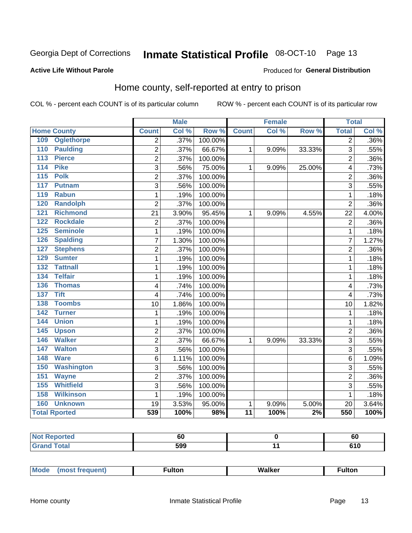#### Inmate Statistical Profile 08-OCT-10 Page 13

### **Active Life Without Parole**

### Produced for General Distribution

## Home county, self-reported at entry to prison

COL % - percent each COUNT is of its particular column

|     |                      |                         | <b>Male</b> |         |                 | <b>Female</b> |        | <b>Total</b>   |       |
|-----|----------------------|-------------------------|-------------|---------|-----------------|---------------|--------|----------------|-------|
|     | <b>Home County</b>   | <b>Count</b>            | Col %       | Row %   | <b>Count</b>    | Col %         | Row %  | <b>Total</b>   | Col % |
| 109 | <b>Oglethorpe</b>    | $\overline{2}$          | .37%        | 100.00% |                 |               |        | $\overline{2}$ | .36%  |
| 110 | <b>Paulding</b>      | $\overline{2}$          | .37%        | 66.67%  | $\mathbf{1}$    | 9.09%         | 33.33% | 3              | .55%  |
| 113 | <b>Pierce</b>        | $\overline{2}$          | .37%        | 100.00% |                 |               |        | $\overline{2}$ | .36%  |
| 114 | <b>Pike</b>          | 3                       | .56%        | 75.00%  | $\mathbf{1}$    | 9.09%         | 25.00% | 4              | .73%  |
| 115 | <b>Polk</b>          | $\overline{2}$          | .37%        | 100.00% |                 |               |        | $\overline{2}$ | .36%  |
| 117 | <b>Putnam</b>        | 3                       | .56%        | 100.00% |                 |               |        | 3              | .55%  |
| 119 | <b>Rabun</b>         | 1                       | .19%        | 100.00% |                 |               |        | 1              | .18%  |
| 120 | <b>Randolph</b>      | $\overline{2}$          | .37%        | 100.00% |                 |               |        | $\overline{2}$ | .36%  |
| 121 | <b>Richmond</b>      | 21                      | 3.90%       | 95.45%  | $\mathbf{1}$    | 9.09%         | 4.55%  | 22             | 4.00% |
| 122 | <b>Rockdale</b>      | $\overline{c}$          | .37%        | 100.00% |                 |               |        | $\overline{2}$ | .36%  |
| 125 | <b>Seminole</b>      | 1                       | .19%        | 100.00% |                 |               |        | 1              | .18%  |
| 126 | <b>Spalding</b>      | 7                       | 1.30%       | 100.00% |                 |               |        | 7              | 1.27% |
| 127 | <b>Stephens</b>      | $\overline{2}$          | .37%        | 100.00% |                 |               |        | $\overline{2}$ | .36%  |
| 129 | <b>Sumter</b>        | 1                       | .19%        | 100.00% |                 |               |        | 1              | .18%  |
| 132 | <b>Tattnall</b>      | 1                       | .19%        | 100.00% |                 |               |        | 1              | .18%  |
| 134 | <b>Telfair</b>       | 1                       | .19%        | 100.00% |                 |               |        | 1              | .18%  |
| 136 | <b>Thomas</b>        | 4                       | .74%        | 100.00% |                 |               |        | $\overline{4}$ | .73%  |
| 137 | <b>Tift</b>          | 4                       | .74%        | 100.00% |                 |               |        | 4              | .73%  |
| 138 | <b>Toombs</b>        | 10                      | 1.86%       | 100.00% |                 |               |        | 10             | 1.82% |
| 142 | <b>Turner</b>        | $\mathbf{1}$            | .19%        | 100.00% |                 |               |        | 1              | .18%  |
| 144 | <b>Union</b>         | 1                       | .19%        | 100.00% |                 |               |        | 1              | .18%  |
| 145 | <b>Upson</b>         | $\overline{c}$          | .37%        | 100.00% |                 |               |        | $\overline{2}$ | .36%  |
| 146 | <b>Walker</b>        | $\overline{c}$          | .37%        | 66.67%  | 1               | 9.09%         | 33.33% | 3              | .55%  |
| 147 | <b>Walton</b>        | 3                       | .56%        | 100.00% |                 |               |        | 3              | .55%  |
| 148 | <b>Ware</b>          | 6                       | 1.11%       | 100.00% |                 |               |        | 6              | 1.09% |
| 150 | <b>Washington</b>    | 3                       | .56%        | 100.00% |                 |               |        | 3              | .55%  |
| 151 | <b>Wayne</b>         | $\overline{\mathbf{c}}$ | .37%        | 100.00% |                 |               |        | $\overline{2}$ | .36%  |
| 155 | <b>Whitfield</b>     | 3                       | .56%        | 100.00% |                 |               |        | 3              | .55%  |
| 158 | <b>Wilkinson</b>     | 1                       | .19%        | 100.00% |                 |               |        | 1              | .18%  |
| 160 | <b>Unknown</b>       | 19                      | 3.53%       | 95.00%  | 1               | 9.09%         | 5.00%  | 20             | 3.64% |
|     | <b>Total Rported</b> | 539                     | 100%        | 98%     | $\overline{11}$ | 100%          | 2%     | 550            | 100%  |

| <b>Reported</b> |     | <b>60</b> |
|-----------------|-----|-----------|
| Total           | 599 | v I v     |

| Moa <sub>c</sub> |  | Walker<br>1 N.C | ultor |  |
|------------------|--|-----------------|-------|--|
|------------------|--|-----------------|-------|--|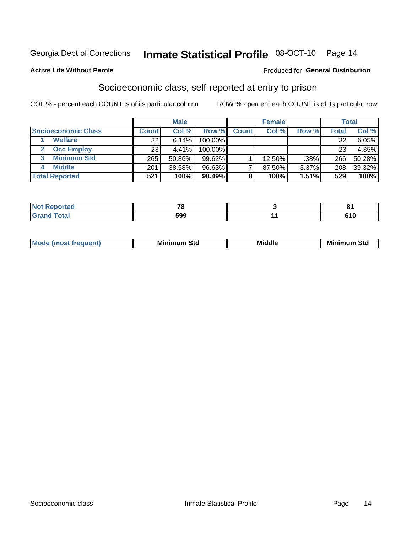## Inmate Statistical Profile 08-OCT-10 Page 14

### **Active Life Without Parole**

### Produced for General Distribution

## Socioeconomic class, self-reported at entry to prison

COL % - percent each COUNT is of its particular column

|                       |              | <b>Male</b> |           |              | <b>Female</b> |       |        | <b>Total</b> |
|-----------------------|--------------|-------------|-----------|--------------|---------------|-------|--------|--------------|
| Socioeconomic Class   | <b>Count</b> | Col %       | Row %     | <b>Count</b> | Col %         | Row % | Total, | Col %        |
| <b>Welfare</b>        | 32           | 6.14%       | 100.00%   |              |               |       | 32     | $6.05\%$     |
| <b>Occ Employ</b>     | 23           | 4.41%       | 100.00%   |              |               |       | 23     | 4.35%        |
| <b>Minimum Std</b>    | 265          | 50.86%      | $99.62\%$ |              | $12.50\%$     | .38%  | 266    | 50.28%       |
| <b>Middle</b>         | 201          | 38.58%      | 96.63%    |              | 87.50%        | 3.37% | 208    | 39.32%       |
| <b>Total Reported</b> | 521          | 100%        | 98.49%    |              | 100%          | 1.51% | 529    | 100%         |

| <b>Not Reported</b> | -~  | о.               |
|---------------------|-----|------------------|
| <b>Total</b>        | 599 | <b>040</b><br>ΊU |

|  | Mo | Minin<br>Std<br>$- - - -$ | <b>Middle</b> | Min<br>Std<br>. |
|--|----|---------------------------|---------------|-----------------|
|--|----|---------------------------|---------------|-----------------|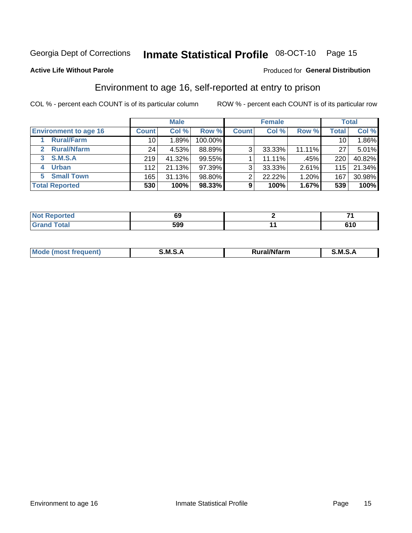## Inmate Statistical Profile 08-OCT-10 Page 15

### **Active Life Without Parole**

### Produced for General Distribution

## Environment to age 16, self-reported at entry to prison

COL % - percent each COUNT is of its particular column

|                                    |              | <b>Male</b> |           |              | <b>Female</b> |        |                 | <b>Total</b> |
|------------------------------------|--------------|-------------|-----------|--------------|---------------|--------|-----------------|--------------|
| <b>Environment to age 16</b>       | <b>Count</b> | Col %       | Row %     | <b>Count</b> | Col %         | Row %  | <b>Total</b>    | Col %        |
| <b>Rural/Farm</b>                  | 10           | 1.89%       | 100.00%   |              |               |        | 10 <sub>1</sub> | 1.86%        |
| <b>Rural/Nfarm</b><br>$\mathbf{2}$ | 24           | 4.53%       | 88.89%    | 3            | 33.33%        | 11.11% | 27              | 5.01%        |
| 3 S.M.S.A                          | 219          | 41.32%      | 99.55%    |              | 11.11%        | .45%   | 220             | 40.82%       |
| <b>Urban</b><br>4                  | 112          | 21.13%      | $97.39\%$ | 3            | 33.33%        | 2.61%  | 115             | 21.34%       |
| 5 Small Town                       | 165          | 31.13%      | 98.80%    | ົ            | 22.22%        | 1.20%  | 167             | 30.98%       |
| <b>Total Reported</b>              | 530          | 100%        | 98.33%    | 9            | 100%          | 1.67%  | 539             | 100%         |

| <b>Not Reported</b> | w   | _            |
|---------------------|-----|--------------|
| <b>Total</b>        | 599 | C4 C<br>61 U |

| Mo | M<br>______ | <b>17516</b><br><b>Ifarm</b><br>. | -<br>M<br>_____ |
|----|-------------|-----------------------------------|-----------------|
|    |             |                                   |                 |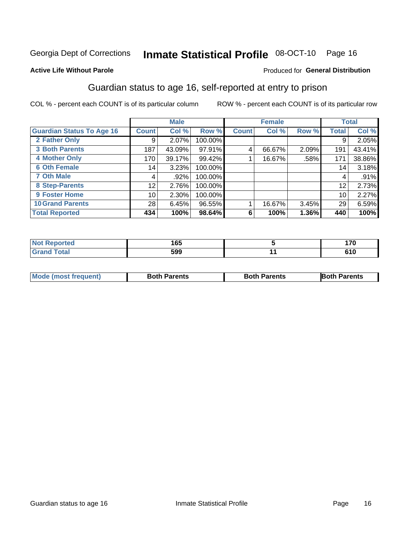## Inmate Statistical Profile 08-OCT-10 Page 16

### **Active Life Without Parole**

### Produced for General Distribution

## Guardian status to age 16, self-reported at entry to prison

COL % - percent each COUNT is of its particular column

|                                  |                 | <b>Male</b> |         |              | <b>Female</b> |       |                 | <b>Total</b> |
|----------------------------------|-----------------|-------------|---------|--------------|---------------|-------|-----------------|--------------|
| <b>Guardian Status To Age 16</b> | <b>Count</b>    | Col %       | Row %   | <b>Count</b> | Col %         | Row % | <b>Total</b>    | Col %        |
| 2 Father Only                    | 9               | 2.07%       | 100.00% |              |               |       | 9               | 2.05%        |
| <b>3 Both Parents</b>            | 187             | 43.09%      | 97.91%  | 4            | 66.67%        | 2.09% | 191             | 43.41%       |
| <b>4 Mother Only</b>             | 170             | 39.17%      | 99.42%  |              | 16.67%        | .58%  | 171             | 38.86%       |
| <b>6 Oth Female</b>              | 14 <sub>1</sub> | 3.23%       | 100.00% |              |               |       | 14 <sub>1</sub> | 3.18%        |
| <b>7 Oth Male</b>                | 4               | .92%        | 100.00% |              |               |       | 4               | .91%         |
| 8 Step-Parents                   | 12              | 2.76%       | 100.00% |              |               |       | 12              | 2.73%        |
| 9 Foster Home                    | 10              | 2.30%       | 100.00% |              |               |       | 10              | 2.27%        |
| <b>10 Grand Parents</b>          | 28              | 6.45%       | 96.55%  |              | 16.67%        | 3.45% | 29              | 6.59%        |
| <b>Total Reported</b>            | 434             | 100%        | 98.64%  | 6            | 100%          | 1.36% | 440             | 100%         |

| <b>Not Reported</b><br>⋯ | 165 | 170 |
|--------------------------|-----|-----|
| Total                    | 599 | 610 |

| <b>Mode (most frequent)</b> | <b>Both Parents</b> | <b>Both Parents</b> | <b>Both Parents</b> |
|-----------------------------|---------------------|---------------------|---------------------|
|                             |                     |                     |                     |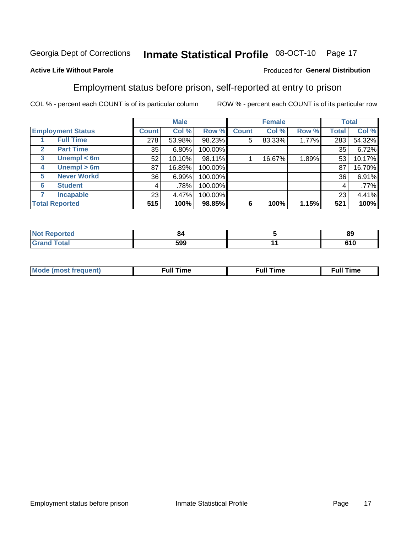#### Inmate Statistical Profile 08-OCT-10 Page 17

## **Active Life Without Parole**

### Produced for General Distribution

## Employment status before prison, self-reported at entry to prison

COL % - percent each COUNT is of its particular column

|                                  |                 | <b>Male</b> |         |              | <b>Female</b> |       |       | <b>Total</b> |
|----------------------------------|-----------------|-------------|---------|--------------|---------------|-------|-------|--------------|
| <b>Employment Status</b>         | <b>Count</b>    | Col %       | Row %   | <b>Count</b> | Col %         | Row % | Total | Col %        |
| <b>Full Time</b>                 | 278             | 53.98%      | 98.23%  | 5            | 83.33%        | 1.77% | 283   | 54.32%       |
| <b>Part Time</b><br>$\mathbf{2}$ | 35              | 6.80%       | 100.00% |              |               |       | 35    | 6.72%        |
| Unempl $<$ 6m<br>3               | 52              | 10.10%      | 98.11%  |              | 16.67%        | 1.89% | 53    | 10.17%       |
| Unempl > 6m<br>4                 | 87              | 16.89%      | 100.00% |              |               |       | 87    | 16.70%       |
| <b>Never Workd</b><br>5          | 36 <sub>1</sub> | 6.99%       | 100.00% |              |               |       | 36    | 6.91%        |
| <b>Student</b><br>6              | 4               | .78%        | 100.00% |              |               |       | 4     | .77%         |
| <b>Incapable</b>                 | 23              | 4.47%       | 100.00% |              |               |       | 23    | 4.41%        |
| <b>Total Reported</b>            | 515             | 100%        | 98.85%  | 6            | 100%          | 1.15% | 521   | 100%         |

| N   | O4     | - - |
|-----|--------|-----|
| тео | $\sim$ | 89  |
|     | 599    | 610 |

| Mc | ∙u∥<br>----<br>ıme | ίuΙ<br>Πmε |
|----|--------------------|------------|
|    |                    |            |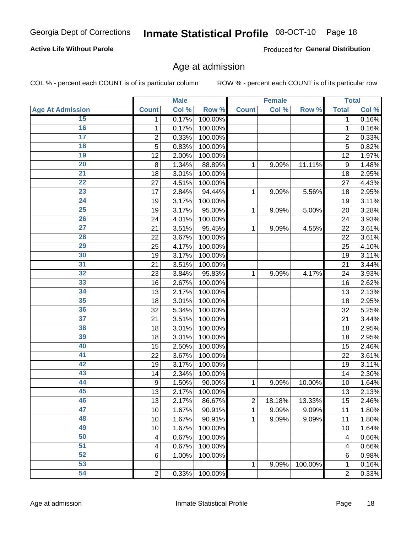## Inmate Statistical Profile 08-OCT-10 Page 18

## **Active Life Without Parole**

Produced for General Distribution

## Age at admission

COL % - percent each COUNT is of its particular column

|                         |                         | <b>Male</b> |         |                | <b>Female</b> |         |                  | <b>Total</b> |
|-------------------------|-------------------------|-------------|---------|----------------|---------------|---------|------------------|--------------|
| <b>Age At Admission</b> | <b>Count</b>            | Col %       | Row %   | <b>Count</b>   | Col %         | Row %   | <b>Total</b>     | Col %        |
| 15                      | 1                       | 0.17%       | 100.00% |                |               |         | 1                | 0.16%        |
| 16                      | 1                       | 0.17%       | 100.00% |                |               |         | 1                | 0.16%        |
| $\overline{17}$         | $\overline{\mathbf{c}}$ | 0.33%       | 100.00% |                |               |         | $\overline{2}$   | 0.33%        |
| 18                      | 5                       | 0.83%       | 100.00% |                |               |         | 5                | 0.82%        |
| 19                      | 12                      | 2.00%       | 100.00% |                |               |         | 12               | 1.97%        |
| $\overline{20}$         | 8                       | 1.34%       | 88.89%  | 1              | 9.09%         | 11.11%  | $\boldsymbol{9}$ | 1.48%        |
| $\overline{21}$         | 18                      | 3.01%       | 100.00% |                |               |         | 18               | 2.95%        |
| 22                      | 27                      | 4.51%       | 100.00% |                |               |         | 27               | 4.43%        |
| 23                      | 17                      | 2.84%       | 94.44%  | 1              | 9.09%         | 5.56%   | 18               | 2.95%        |
| 24                      | 19                      | 3.17%       | 100.00% |                |               |         | 19               | 3.11%        |
| $\overline{25}$         | 19                      | 3.17%       | 95.00%  | 1              | 9.09%         | 5.00%   | 20               | 3.28%        |
| 26                      | 24                      | 4.01%       | 100.00% |                |               |         | 24               | 3.93%        |
| $\overline{27}$         | 21                      | 3.51%       | 95.45%  | 1              | 9.09%         | 4.55%   | 22               | 3.61%        |
| 28                      | 22                      | 3.67%       | 100.00% |                |               |         | 22               | 3.61%        |
| 29                      | 25                      | 4.17%       | 100.00% |                |               |         | 25               | 4.10%        |
| 30                      | 19                      | 3.17%       | 100.00% |                |               |         | 19               | 3.11%        |
| 31                      | 21                      | 3.51%       | 100.00% |                |               |         | 21               | 3.44%        |
| 32                      | 23                      | 3.84%       | 95.83%  | 1              | 9.09%         | 4.17%   | 24               | 3.93%        |
| 33                      | 16                      | 2.67%       | 100.00% |                |               |         | 16               | 2.62%        |
| 34                      | 13                      | 2.17%       | 100.00% |                |               |         | 13               | 2.13%        |
| 35                      | 18                      | 3.01%       | 100.00% |                |               |         | 18               | 2.95%        |
| 36                      | 32                      | 5.34%       | 100.00% |                |               |         | 32               | 5.25%        |
| $\overline{37}$         | 21                      | 3.51%       | 100.00% |                |               |         | 21               | 3.44%        |
| 38                      | 18                      | 3.01%       | 100.00% |                |               |         | 18               | 2.95%        |
| 39                      | 18                      | 3.01%       | 100.00% |                |               |         | 18               | 2.95%        |
| 40                      | 15                      | 2.50%       | 100.00% |                |               |         | 15               | 2.46%        |
| 41                      | 22                      | 3.67%       | 100.00% |                |               |         | 22               | 3.61%        |
| 42                      | 19                      | 3.17%       | 100.00% |                |               |         | 19               | 3.11%        |
| 43                      | 14                      | 2.34%       | 100.00% |                |               |         | 14               | 2.30%        |
| 44                      | 9                       | 1.50%       | 90.00%  | 1              | 9.09%         | 10.00%  | 10               | 1.64%        |
| 45                      | 13                      | 2.17%       | 100.00% |                |               |         | 13               | 2.13%        |
| 46                      | 13                      | 2.17%       | 86.67%  | $\overline{c}$ | 18.18%        | 13.33%  | 15               | 2.46%        |
| 47                      | 10                      | 1.67%       | 90.91%  | 1              | 9.09%         | 9.09%   | 11               | 1.80%        |
| 48                      | 10                      | 1.67%       | 90.91%  | 1              | 9.09%         | 9.09%   | 11               | 1.80%        |
| 49                      | 10                      | 1.67%       | 100.00% |                |               |         | 10               | 1.64%        |
| 50                      | 4                       | 0.67%       | 100.00% |                |               |         | 4                | 0.66%        |
| $\overline{51}$         | 4                       | 0.67%       | 100.00% |                |               |         | 4                | 0.66%        |
| 52                      | 6                       | 1.00%       | 100.00% |                |               |         | 6                | 0.98%        |
| 53                      |                         |             |         | 1              | 9.09%         | 100.00% | 1                | 0.16%        |
| 54                      | $\boldsymbol{2}$        | 0.33%       | 100.00% |                |               |         | 2                | 0.33%        |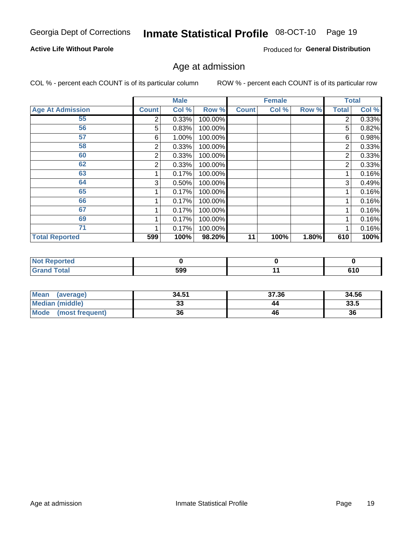#### Inmate Statistical Profile 08-OCT-10 Page 19

## **Active Life Without Parole**

Produced for General Distribution

## Age at admission

COL % - percent each COUNT is of its particular column

|                         |              | <b>Male</b> |         |              | <b>Female</b> |       |              | <b>Total</b> |
|-------------------------|--------------|-------------|---------|--------------|---------------|-------|--------------|--------------|
| <b>Age At Admission</b> | <b>Count</b> | Col %       | Row %   | <b>Count</b> | Col %         | Row % | <b>Total</b> | Col %        |
| 55                      | 2            | 0.33%       | 100.00% |              |               |       | 2            | 0.33%        |
| 56                      | 5            | 0.83%       | 100.00% |              |               |       | 5            | 0.82%        |
| 57                      | 6            | 1.00%       | 100.00% |              |               |       | 6            | 0.98%        |
| 58                      | 2            | 0.33%       | 100.00% |              |               |       | 2            | 0.33%        |
| 60                      | 2            | 0.33%       | 100.00% |              |               |       | 2            | 0.33%        |
| 62                      | 2            | 0.33%       | 100.00% |              |               |       | 2            | 0.33%        |
| 63                      |              | 0.17%       | 100.00% |              |               |       |              | 0.16%        |
| 64                      | 3            | 0.50%       | 100.00% |              |               |       | 3            | 0.49%        |
| 65                      |              | 0.17%       | 100.00% |              |               |       |              | 0.16%        |
| 66                      |              | 0.17%       | 100.00% |              |               |       |              | 0.16%        |
| 67                      |              | 0.17%       | 100.00% |              |               |       |              | 0.16%        |
| 69                      |              | 0.17%       | 100.00% |              |               |       |              | 0.16%        |
| 71                      |              | 0.17%       | 100.00% |              |               |       |              | 0.16%        |
| <b>Total Reported</b>   | 599          | 100%        | 98.20%  | 11           | 100%          | 1.80% | 610          | 100%         |

| <b>Not Reported</b> |     |     |
|---------------------|-----|-----|
| <b>Grand Total</b>  | 599 | 610 |

| Mean<br>(average)       | 34.51 | 37.36 | 34.56 |
|-------------------------|-------|-------|-------|
| Median (middle)         | JJ    | 44    | 33.5  |
| Mode<br>(most frequent) | 36    | 46    | 36    |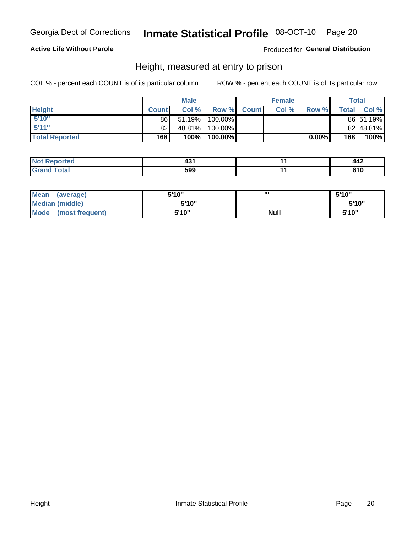## Inmate Statistical Profile 08-OCT-10 Page 20

## **Active Life Without Parole**

Produced for General Distribution

## Height, measured at entry to prison

COL % - percent each COUNT is of its particular column

|                       |              | <b>Male</b> |         |             | <b>Female</b> |       |              | Total     |
|-----------------------|--------------|-------------|---------|-------------|---------------|-------|--------------|-----------|
| <b>Height</b>         | <b>Count</b> | Col%        |         | Row % Count | Col %         | Row % | <b>Total</b> | Col %     |
| 5'10''                | 86           | 51.19%      | 100.00% |             |               |       |              | 86 51.19% |
| 5'11''                | 82           | 48.81%      | 100.00% |             |               |       |              | 82 48.81% |
| <b>Total Reported</b> | 168          | 100%        | 100.00% |             |               | 0.00% | 168          | 100%      |

| Reported     | ___ | <br><u>лл</u><br>77A |
|--------------|-----|----------------------|
| <b>Total</b> | 599 | . I V                |

| <b>Mean</b><br>(average)       | 5'10'' | ,,,         | 5'10"  |
|--------------------------------|--------|-------------|--------|
| <b>Median (middle)</b>         | 5'10"  |             | 5'10'' |
| <b>Mode</b><br>(most frequent) | 5'10"  | <b>Null</b> | 5'10"  |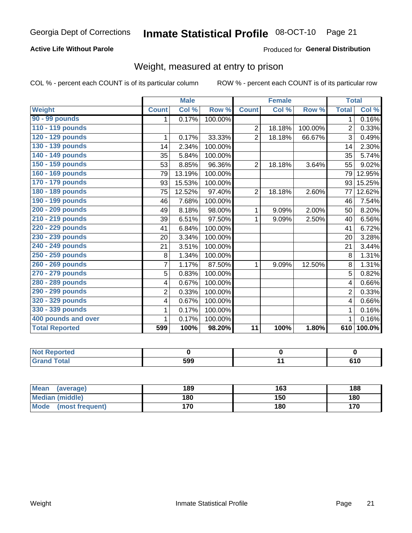## Inmate Statistical Profile 08-OCT-10 Page 21

## **Active Life Without Parole**

### Produced for General Distribution

## Weight, measured at entry to prison

COL % - percent each COUNT is of its particular column

|                       |                | <b>Male</b> |         |                 | <b>Female</b> |         | <b>Total</b>   |                            |
|-----------------------|----------------|-------------|---------|-----------------|---------------|---------|----------------|----------------------------|
| <b>Weight</b>         | <b>Count</b>   | Col %       | Row %   | <b>Count</b>    | Col %         | Row %   | <b>Total</b>   | $\overline{\text{Col }^9}$ |
| 90 - 99 pounds        | 1              | 0.17%       | 100.00% |                 |               |         | 1.             | 0.16%                      |
| 110 - 119 pounds      |                |             |         | $\overline{2}$  | 18.18%        | 100.00% | 2              | 0.33%                      |
| 120 - 129 pounds      | 1              | 0.17%       | 33.33%  | $\overline{2}$  | 18.18%        | 66.67%  | 3              | 0.49%                      |
| 130 - 139 pounds      | 14             | 2.34%       | 100.00% |                 |               |         | 14             | 2.30%                      |
| 140 - 149 pounds      | 35             | 5.84%       | 100.00% |                 |               |         | 35             | 5.74%                      |
| 150 - 159 pounds      | 53             | 8.85%       | 96.36%  | $\overline{2}$  | 18.18%        | 3.64%   | 55             | 9.02%                      |
| 160 - 169 pounds      | 79             | 13.19%      | 100.00% |                 |               |         | 79             | 12.95%                     |
| 170 - 179 pounds      | 93             | 15.53%      | 100.00% |                 |               |         | 93             | 15.25%                     |
| 180 - 189 pounds      | 75             | 12.52%      | 97.40%  | $\overline{2}$  | 18.18%        | 2.60%   | 77             | 12.62%                     |
| 190 - 199 pounds      | 46             | 7.68%       | 100.00% |                 |               |         | 46             | 7.54%                      |
| 200 - 209 pounds      | 49             | 8.18%       | 98.00%  | 1               | 9.09%         | 2.00%   | 50             | 8.20%                      |
| 210 - 219 pounds      | 39             | 6.51%       | 97.50%  | 1               | 9.09%         | 2.50%   | 40             | 6.56%                      |
| 220 - 229 pounds      | 41             | 6.84%       | 100.00% |                 |               |         | 41             | 6.72%                      |
| 230 - 239 pounds      | 20             | 3.34%       | 100.00% |                 |               |         | 20             | 3.28%                      |
| 240 - 249 pounds      | 21             | 3.51%       | 100.00% |                 |               |         | 21             | 3.44%                      |
| 250 - 259 pounds      | 8              | 1.34%       | 100.00% |                 |               |         | 8              | 1.31%                      |
| 260 - 269 pounds      | $\overline{7}$ | 1.17%       | 87.50%  | 1               | 9.09%         | 12.50%  | 8              | 1.31%                      |
| 270 - 279 pounds      | 5              | 0.83%       | 100.00% |                 |               |         | 5              | 0.82%                      |
| 280 - 289 pounds      | 4              | 0.67%       | 100.00% |                 |               |         | 4              | 0.66%                      |
| 290 - 299 pounds      | $\overline{2}$ | 0.33%       | 100.00% |                 |               |         | $\overline{2}$ | 0.33%                      |
| 320 - 329 pounds      | 4              | 0.67%       | 100.00% |                 |               |         | 4              | 0.66%                      |
| 330 - 339 pounds      | 1              | 0.17%       | 100.00% |                 |               |         | 1              | 0.16%                      |
| 400 pounds and over   | 1              | 0.17%       | 100.00% |                 |               |         |                | 0.16%                      |
| <b>Total Reported</b> | 599            | 100%        | 98.20%  | $\overline{11}$ | 100%          | 1.80%   | 610            | 100.0%                     |

| <b>Not Reported</b>              |     |               |
|----------------------------------|-----|---------------|
| <b>Total</b><br>'Grand<br>$\sim$ | 599 | 61 N<br>0 I U |

| Mean<br>(average)              | 189 | 163 | 188 |
|--------------------------------|-----|-----|-----|
| <b>Median (middle)</b>         | 180 | 150 | 180 |
| <b>Mode</b><br>(most frequent) | 170 | 180 | 170 |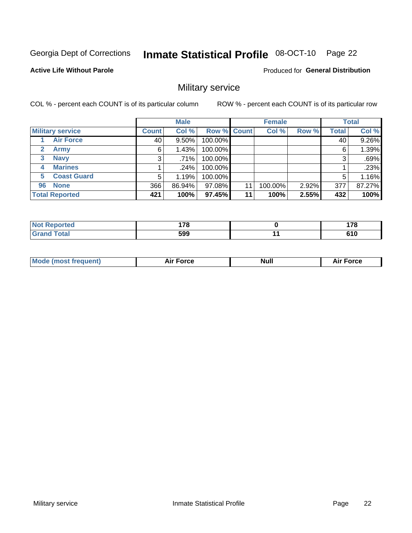#### Inmate Statistical Profile 08-OCT-10 Page 22

### **Active Life Without Parole**

Produced for General Distribution

## Military service

COL % - percent each COUNT is of its particular column

|                             |              | <b>Male</b> |             |    | <b>Female</b> |       |              | <b>Total</b> |
|-----------------------------|--------------|-------------|-------------|----|---------------|-------|--------------|--------------|
| <b>Military service</b>     | <b>Count</b> | Col %       | Row % Count |    | Col %         | Row % | <b>Total</b> | Col %        |
| <b>Air Force</b>            | 40           | $9.50\%$    | 100.00%     |    |               |       | 40           | 9.26%        |
| $\mathbf{2}$<br><b>Army</b> | 6            | 1.43%       | 100.00%     |    |               |       | 6            | 1.39%        |
| <b>Navy</b><br>3            | 3            | .71%        | 100.00%     |    |               |       | 3            | .69%         |
| <b>Marines</b><br>4         |              | $.24\%$     | 100.00%     |    |               |       |              | .23%         |
| <b>Coast Guard</b><br>5     | 5            | 1.19%       | 100.00%     |    |               |       | 5            | 1.16%        |
| <b>None</b><br>96           | 366          | 86.94%      | 97.08%      | 11 | 100.00%       | 2.92% | 377          | 87.27%       |
| <b>Total Reported</b>       | 421          | 100%        | 97.45%      | 11 | 100%          | 2.55% | 432          | 100%         |

| orted<br>N           | 470 | ---                  |
|----------------------|-----|----------------------|
| <b>otal</b><br>Grand | 599 | <b>CA C</b><br>v 1 v |

|  |  | <b>Mode</b><br>uent)<br>most tren | Force<br>Aır | <b>Null</b> | orce |
|--|--|-----------------------------------|--------------|-------------|------|
|--|--|-----------------------------------|--------------|-------------|------|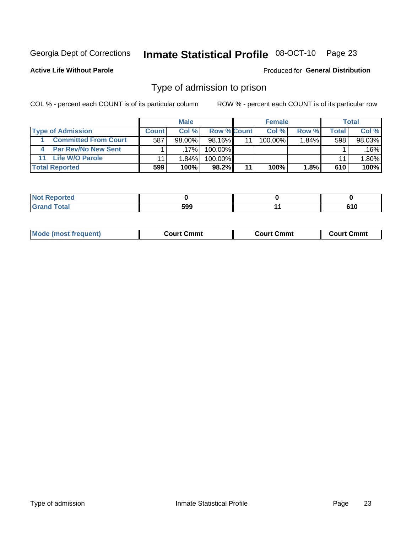#### Inmate Statistical Profile 08-OCT-10 Page 23

**Active Life Without Parole** 

Produced for General Distribution

## Type of admission to prison

COL % - percent each COUNT is of its particular column

|                             |              | <b>Male</b> |                    |    | <b>Female</b> |                |       | Total  |
|-----------------------------|--------------|-------------|--------------------|----|---------------|----------------|-------|--------|
| <b>Type of Admission</b>    | <b>Count</b> | Col%        | <b>Row % Count</b> |    | Col %         | Row %          | Total | Col %  |
| <b>Committed From Court</b> | 587          | $98.00\%$   | $98.16\%$          | 11 | 100.00%       | $1.84\%$       | 598   | 98.03% |
| <b>Par Rev/No New Sent</b>  |              | $.17\%$     | 100.00%            |    |               |                |       | .16%   |
| <b>Life W/O Parole</b>      |              | $1.84\%$    | 100.00%            |    |               |                | 11    | 1.80%  |
| <b>Total Reported</b>       | 599          | 100%        | $98.2\%$           | 11 | 100%          | $1.8\%$ $\mid$ | 610   | 100%   |

| ιθυ        |      |  |
|------------|------|--|
| ייניי<br>- | - 20 |  |

| <b>Mode (most frequent)</b> | Court Cmmt | <b>Court Cmmt</b> | Court Cmmt |
|-----------------------------|------------|-------------------|------------|
|                             |            |                   |            |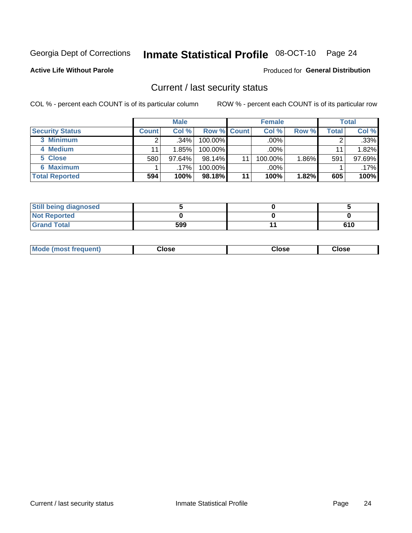## Inmate Statistical Profile 08-OCT-10 Page 24

**Active Life Without Parole** 

### Produced for General Distribution

## Current / last security status

COL % - percent each COUNT is of its particular column

|                        |              | <b>Male</b> |                    |    | <b>Female</b> |          |       | <b>Total</b> |
|------------------------|--------------|-------------|--------------------|----|---------------|----------|-------|--------------|
| <b>Security Status</b> | <b>Count</b> | Col %       | <b>Row % Count</b> |    | Col %         | Row %    | Total | Col %        |
| 3 Minimum              |              | .34%        | $100.00\%$         |    | .00%          |          |       | .33%         |
| 4 Medium               |              | 1.85%       | 100.00%            |    | $.00\%$       |          | 11    | 1.82%        |
| 5 Close                | 580          | 97.64%      | 98.14%             | 11 | 100.00%       | $1.86\%$ | 591   | 97.69%       |
| <b>6 Maximum</b>       |              | $.17\%$     | 100.00%            |    | .00%          |          |       | $.17\%$      |
| <b>Total Reported</b>  | 594          | 100%        | 98.18%             | 11 | 100%          | 1.82%    | 605   | 100%         |

| <b>Still being diagnosed</b> |     |     |
|------------------------------|-----|-----|
| <b>Not Reported</b>          |     |     |
| <b>Grand Total</b>           | 599 | 610 |

| <b>Mode</b><br>Close<br>: (most frequent)<br>oseت<br>Close<br>- - - -<br>- - - -<br>- - - - |
|---------------------------------------------------------------------------------------------|
|---------------------------------------------------------------------------------------------|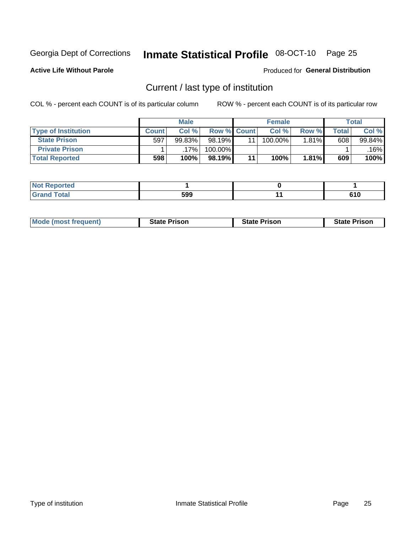## Inmate Statistical Profile 08-OCT-10 Page 25

**Active Life Without Parole** 

Produced for General Distribution

## Current / last type of institution

COL % - percent each COUNT is of its particular column

|                            |       | <b>Male</b> |                    | <b>Female</b> |       |       | <b>Total</b> |
|----------------------------|-------|-------------|--------------------|---------------|-------|-------|--------------|
| <b>Type of Institution</b> | Count | Col %       | <b>Row % Count</b> | Col %         | Row % | Total | Col %        |
| <b>State Prison</b>        | 597   | 99.83%      | 98.19%             | 100.00%       | 1.81% | 608   | 99.84%       |
| <b>Private Prison</b>      |       | 17%         | 100.00%            |               |       |       | $.16\%$      |
| <b>Total Reported</b>      | 598   | 100%        | 98.19%             | 100%          | 1.81% | 609   | 100%         |

| الداري الأمير<br>τeα |     |             |
|----------------------|-----|-------------|
| $int^{\infty}$       | 599 | ra r<br>uıu |

| <b>Mode (most frequent)</b> | <b>State Prison</b> | <b>State Prison</b> | <b>State Prison</b> |
|-----------------------------|---------------------|---------------------|---------------------|
|                             |                     |                     |                     |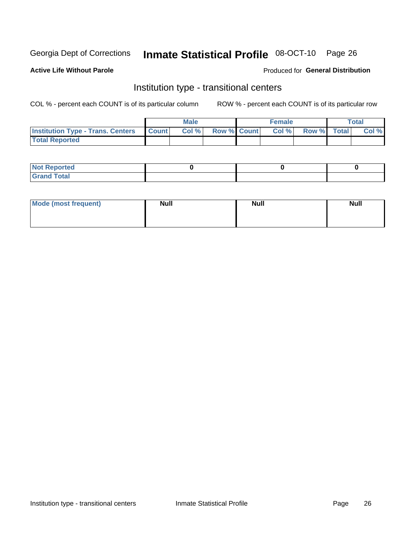## Inmate Statistical Profile 08-OCT-10 Page 26

**Active Life Without Parole** 

### Produced for General Distribution

## Institution type - transitional centers

COL % - percent each COUNT is of its particular column

|                                          |              | <b>Male</b> |                    | <b>Female</b> |             | <b>Total</b> |
|------------------------------------------|--------------|-------------|--------------------|---------------|-------------|--------------|
| <b>Institution Type - Trans. Centers</b> | <b>Count</b> | CoI%        | <b>Row % Count</b> | Col %         | Row % Total | Col %        |
| <b>Total Reported</b>                    |              |             |                    |               |             |              |

| <b>Reported</b><br><b>NOT</b>  |  |  |
|--------------------------------|--|--|
| $n+n$<br>C <sub>r</sub><br>--- |  |  |

| Mode (most frequent) | <b>Null</b> | <b>Null</b> | <b>Null</b> |
|----------------------|-------------|-------------|-------------|
|                      |             |             |             |
|                      |             |             |             |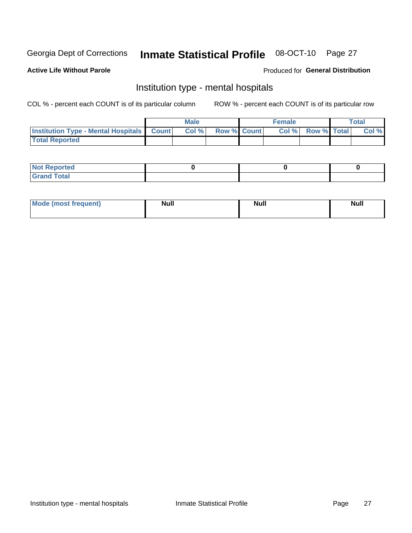#### **Inmate Statistical Profile 08-OCT-10** Page 27

### **Active Life Without Parole**

### Produced for General Distribution

## Institution type - mental hospitals

COL % - percent each COUNT is of its particular column

|                                                  | Male |                    | <b>Female</b> |                   | <b>Total</b> |
|--------------------------------------------------|------|--------------------|---------------|-------------------|--------------|
| <b>Institution Type - Mental Hospitals Count</b> | Col% | <b>Row % Count</b> |               | Col % Row % Total | Col %        |
| <b>Total Reported</b>                            |      |                    |               |                   |              |

| <b>Not Reported</b>   |  |  |
|-----------------------|--|--|
| <b>Total</b><br>_____ |  |  |

| Mode.<br>frequent) | <b>Nul</b><br>_____ | <b>Null</b> | <b>Null</b> |
|--------------------|---------------------|-------------|-------------|
|                    |                     |             |             |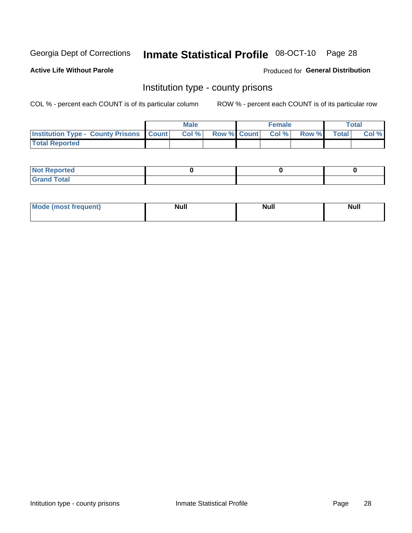## Inmate Statistical Profile 08-OCT-10 Page 28

**Active Life Without Parole** 

Produced for General Distribution

## Institution type - county prisons

COL % - percent each COUNT is of its particular column

|                                                    | <b>Male</b> |  | <b>Female</b>            |             | <b>Total</b> |
|----------------------------------------------------|-------------|--|--------------------------|-------------|--------------|
| <b>Institution Type - County Prisons   Count  </b> | Col %       |  | <b>Row % Count Col %</b> | Row % Total | Col %        |
| <b>Total Reported</b>                              |             |  |                          |             |              |

| <b>Not Reported</b>         |  |  |
|-----------------------------|--|--|
| <b>Total</b><br>-<br>______ |  |  |

| <b>Mode</b>      | <b>Null</b> | <b>Null</b> | <b>Null</b> |  |
|------------------|-------------|-------------|-------------|--|
| (most freauent). |             |             |             |  |
|                  |             |             |             |  |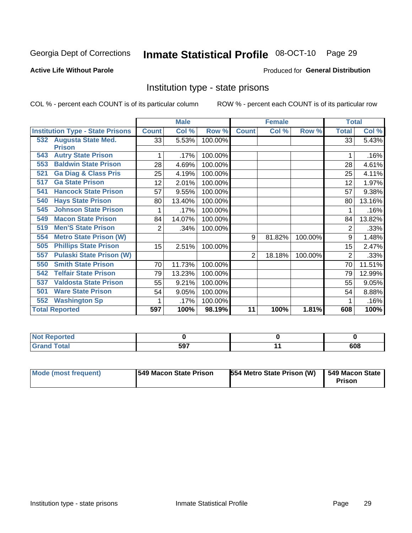## Inmate Statistical Profile 08-OCT-10 Page 29

## **Active Life Without Parole**

### Produced for General Distribution

## Institution type - state prisons

COL % - percent each COUNT is of its particular column

|                                         |                | <b>Male</b> |         |                | <b>Female</b> |         | <b>Total</b> |        |
|-----------------------------------------|----------------|-------------|---------|----------------|---------------|---------|--------------|--------|
| <b>Institution Type - State Prisons</b> | <b>Count</b>   | Col %       | Row %   | <b>Count</b>   | Col %         | Row %   | <b>Total</b> | Col %  |
| <b>Augusta State Med.</b><br>532        | 33             | 5.53%       | 100.00% |                |               |         | 33           | 5.43%  |
| <b>Prison</b>                           |                |             |         |                |               |         |              |        |
| <b>Autry State Prison</b><br>543        |                | .17%        | 100.00% |                |               |         |              | .16%   |
| <b>Baldwin State Prison</b><br>553      | 28             | 4.69%       | 100.00% |                |               |         | 28           | 4.61%  |
| <b>Ga Diag &amp; Class Pris</b><br>521  | 25             | 4.19%       | 100.00% |                |               |         | 25           | 4.11%  |
| <b>Ga State Prison</b><br>517           | 12             | 2.01%       | 100.00% |                |               |         | 12           | 1.97%  |
| <b>Hancock State Prison</b><br>541      | 57             | 9.55%       | 100.00% |                |               |         | 57           | 9.38%  |
| <b>Hays State Prison</b><br>540         | 80             | 13.40%      | 100.00% |                |               |         | 80           | 13.16% |
| <b>Johnson State Prison</b><br>545      | 1              | .17%        | 100.00% |                |               |         |              | .16%   |
| <b>Macon State Prison</b><br>549        | 84             | 14.07%      | 100.00% |                |               |         | 84           | 13.82% |
| <b>Men'S State Prison</b><br>519        | $\overline{2}$ | .34%        | 100.00% |                |               |         | 2            | .33%   |
| <b>Metro State Prison (W)</b><br>554    |                |             |         | 9              | 81.82%        | 100.00% | 9            | 1.48%  |
| <b>Phillips State Prison</b><br>505     | 15             | 2.51%       | 100.00% |                |               |         | 15           | 2.47%  |
| <b>Pulaski State Prison (W)</b><br>557  |                |             |         | $\overline{2}$ | 18.18%        | 100.00% | 2            | .33%   |
| <b>Smith State Prison</b><br>550        | 70             | 11.73%      | 100.00% |                |               |         | 70           | 11.51% |
| <b>Telfair State Prison</b><br>542      | 79             | 13.23%      | 100.00% |                |               |         | 79           | 12.99% |
| <b>Valdosta State Prison</b><br>537     | 55             | 9.21%       | 100.00% |                |               |         | 55           | 9.05%  |
| <b>Ware State Prison</b><br>501         | 54             | 9.05%       | 100.00% |                |               |         | 54           | 8.88%  |
| <b>Washington Sp</b><br>552             |                | .17%        | 100.00% |                |               |         |              | .16%   |
| <b>Total Reported</b>                   | 597            | 100%        | 98.19%  | 11             | 100%          | 1.81%   | 608          | 100%   |

| <b>Not Reported</b> |     |     |
|---------------------|-----|-----|
| Total               | 597 | 608 |

| <b>Mode (most frequent)</b> | 1549 Macon State Prison | 554 Metro State Prison (W) | 549 Macon State<br>Prison |
|-----------------------------|-------------------------|----------------------------|---------------------------|
|-----------------------------|-------------------------|----------------------------|---------------------------|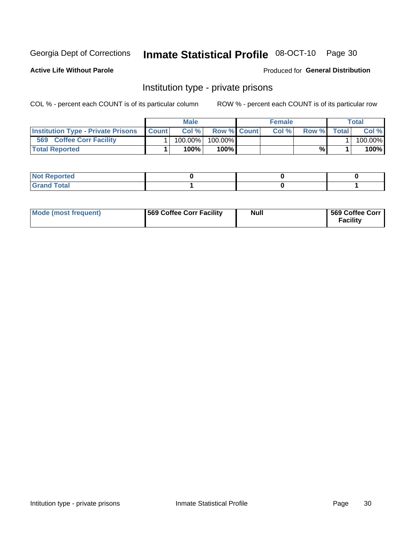## Inmate Statistical Profile 08-OCT-10 Page 30

**Active Life Without Parole** 

Produced for General Distribution

## Institution type - private prisons

COL % - percent each COUNT is of its particular column

|                                           |              | Male       |                    | <b>Female</b> |       |              | Total   |
|-------------------------------------------|--------------|------------|--------------------|---------------|-------|--------------|---------|
| <b>Institution Type - Private Prisons</b> | <b>Count</b> | Col%       | <b>Row % Count</b> | Col%          | Row % | <b>Total</b> | Col %   |
| 569<br><b>Coffee Corr Facility</b>        |              | $100.00\%$ | 100.00%            |               |       |              | 100.00% |
| <b>Total Reported</b>                     |              | $100\%$ .  | 100%               |               | %     |              | 100%    |

| Not Reported |  |  |
|--------------|--|--|
|              |  |  |

| Mode (most frequent) | 569 Coffee Corr Facility | <b>Null</b> | 569 Coffee Corr<br><b>Facility</b> |
|----------------------|--------------------------|-------------|------------------------------------|
|----------------------|--------------------------|-------------|------------------------------------|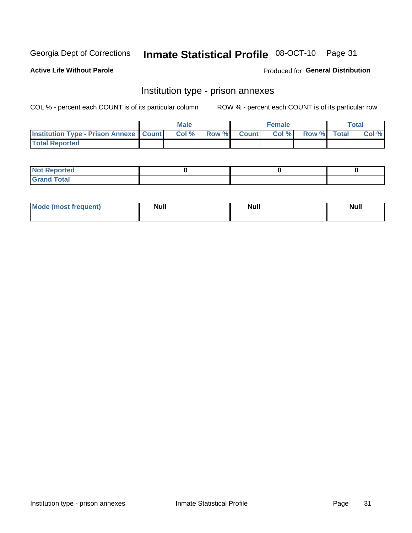## Inmate Statistical Profile 08-OCT-10 Page 31

**Active Life Without Parole** 

Produced for General Distribution

## Institution type - prison annexes

COL % - percent each COUNT is of its particular column

|                                                   | <b>Male</b> |       |              | <b>Female</b> |             | <b>Total</b> |
|---------------------------------------------------|-------------|-------|--------------|---------------|-------------|--------------|
| <b>Institution Type - Prison Annexe   Count  </b> | Col %       | Row % | <b>Count</b> | Col %         | Row % Total | Col %        |
| <b>Total Reported</b>                             |             |       |              |               |             |              |

| <b>Reported</b><br>I NOT |  |  |
|--------------------------|--|--|
| <b>Total</b><br>$C$ ren  |  |  |

| <b>Mode</b>     | <b>Null</b> | <b>Null</b> | <b>Null</b> |
|-----------------|-------------|-------------|-------------|
| most frequent). |             |             |             |
|                 |             |             |             |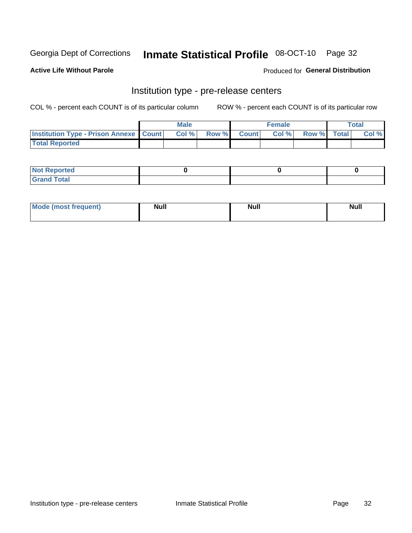## Inmate Statistical Profile 08-OCT-10 Page 32

**Active Life Without Parole** 

**Produced for General Distribution** 

## Institution type - pre-release centers

COL % - percent each COUNT is of its particular column

|                                                   | <b>Male</b> |              |       | <b>Female</b> |                    | <b>Total</b> |
|---------------------------------------------------|-------------|--------------|-------|---------------|--------------------|--------------|
| <b>Institution Type - Prison Annexe   Count  </b> | Col %       | <b>Row %</b> | Count | Col %         | <b>Row %</b> Total | Col %        |
| <b>Total Reported</b>                             |             |              |       |               |                    |              |

| <b>Reported</b><br>I NOT |  |  |
|--------------------------|--|--|
| <b>Total</b><br>$C$ ren  |  |  |

| $^{\prime}$ Mo <sub>t</sub><br>frequent)<br>⊥(most | <b>Null</b> | Noll<br><b>vull</b> | <b>Null</b> |
|----------------------------------------------------|-------------|---------------------|-------------|
|                                                    |             |                     |             |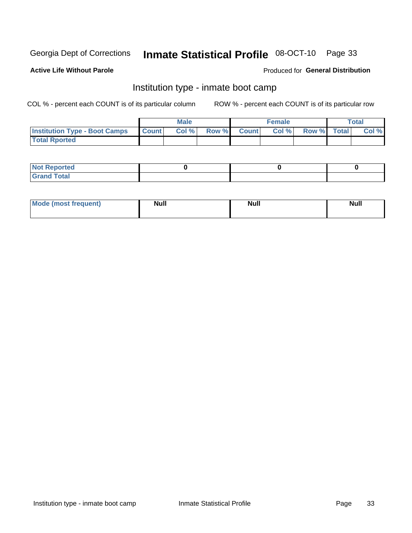## Inmate Statistical Profile 08-OCT-10 Page 33

### **Active Life Without Parole**

### Produced for General Distribution

## Institution type - inmate boot camp

COL % - percent each COUNT is of its particular column

|                                      |              | <b>Male</b> |               |              | <b>Female</b> |             | <b>Total</b> |
|--------------------------------------|--------------|-------------|---------------|--------------|---------------|-------------|--------------|
| <b>Institution Type - Boot Camps</b> | <b>Count</b> | Col %       | <b>Row %I</b> | <b>Count</b> | Col %         | Row % Total | Col %        |
| <b>Total Rported</b>                 |              |             |               |              |               |             |              |

| <b>Not Reported</b> |  |  |
|---------------------|--|--|
| <b>Total</b><br>Cro |  |  |

| <b>I Mode (most frequent)</b> | <b>Null</b> | <b>Null</b> | <b>Null</b> |
|-------------------------------|-------------|-------------|-------------|
|                               |             |             |             |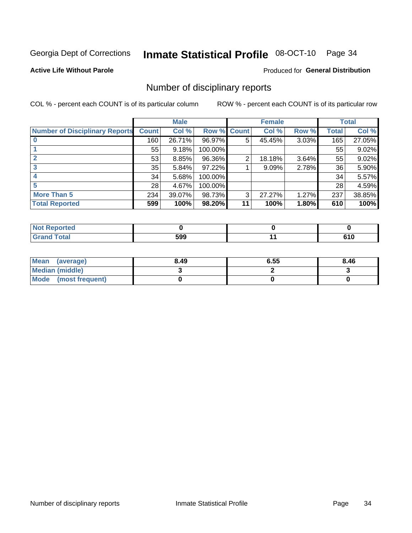## Inmate Statistical Profile 08-OCT-10 Page 34

**Active Life Without Parole** 

**Produced for General Distribution** 

## Number of disciplinary reports

COL % - percent each COUNT is of its particular column

|                                       |              | <b>Male</b> |                    |    | <b>Female</b> |       |       | <b>Total</b> |
|---------------------------------------|--------------|-------------|--------------------|----|---------------|-------|-------|--------------|
| <b>Number of Disciplinary Reports</b> | <b>Count</b> | Col %       | <b>Row % Count</b> |    | Col %         | Row % | Total | Col %        |
|                                       | 160          | 26.71%      | 96.97%             | 5  | 45.45%        | 3.03% | 165   | 27.05%       |
|                                       | 55           | 9.18%       | 100.00%            |    |               |       | 55    | 9.02%        |
| 2                                     | 53           | 8.85%       | 96.36%             | 2  | 18.18%        | 3.64% | 55    | 9.02%        |
| 3                                     | 35           | 5.84%       | 97.22%             |    | 9.09%         | 2.78% | 36    | 5.90%        |
|                                       | 34           | 5.68%       | 100.00%            |    |               |       | 34    | 5.57%        |
|                                       | 28           | 4.67%       | 100.00%            |    |               |       | 28    | 4.59%        |
| <b>More Than 5</b>                    | 234          | 39.07%      | 98.73%             | 3  | 27.27%        | 1.27% | 237   | 38.85%       |
| <b>Total Reported</b>                 | 599          | 100%        | 98.20%             | 11 | 100%          | 1.80% | 610   | 100%         |

| NO<br>teo |     |   |
|-----------|-----|---|
| Total     | 599 | . |

| Mean (average)       | 8.49 | 6.55 | 8.46 |
|----------------------|------|------|------|
| Median (middle)      |      |      |      |
| Mode (most frequent) |      |      |      |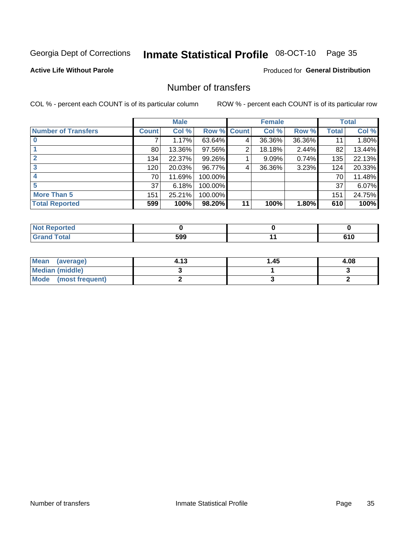## Inmate Statistical Profile 08-OCT-10 Page 35

### **Active Life Without Parole**

## **Produced for General Distribution**

## Number of transfers

COL % - percent each COUNT is of its particular column

|                            |              | <b>Male</b> |             |    | <b>Female</b> |        |              | <b>Total</b> |
|----------------------------|--------------|-------------|-------------|----|---------------|--------|--------------|--------------|
| <b>Number of Transfers</b> | <b>Count</b> | Col %       | Row % Count |    | Col %         | Row %  | <b>Total</b> | Col %        |
|                            | 7            | 1.17%       | 63.64%      | 4  | 36.36%        | 36.36% | 11           | 1.80%        |
|                            | 80           | 13.36%      | 97.56%      | 2  | 18.18%        | 2.44%  | 82           | 13.44%       |
| $\mathbf{2}$               | 134          | 22.37%      | 99.26%      |    | 9.09%         | 0.74%  | 135          | 22.13%       |
| 3                          | 120          | 20.03%      | 96.77%      | 4  | 36.36%        | 3.23%  | 124          | 20.33%       |
|                            | 70           | 11.69%      | 100.00%     |    |               |        | 70           | 11.48%       |
| 5                          | 37           | 6.18%       | 100.00%     |    |               |        | 37           | 6.07%        |
| <b>More Than 5</b>         | 151          | 25.21%      | 100.00%     |    |               |        | 151          | 24.75%       |
| <b>Total Reported</b>      | 599          | 100%        | 98.20%      | 11 | 100%          | 1.80%  | 610          | 100%         |

| NO.<br>τeσ |     |       |
|------------|-----|-------|
| Total      | 599 | v 1 v |

| Mean (average)       | 4.13 | 1.45 | 4.08 |
|----------------------|------|------|------|
| Median (middle)      |      |      |      |
| Mode (most frequent) |      |      |      |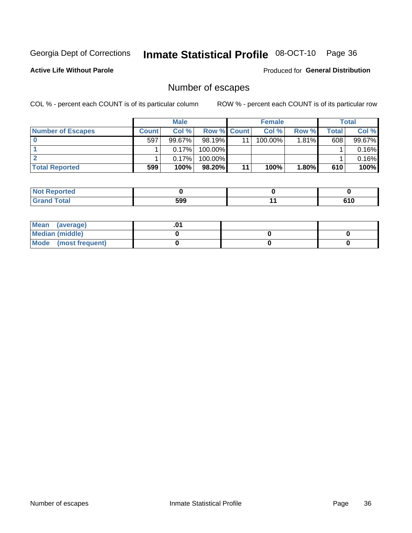## Inmate Statistical Profile 08-OCT-10 Page 36

**Active Life Without Parole** 

**Produced for General Distribution** 

## Number of escapes

COL % - percent each COUNT is of its particular column

|                          |              | <b>Male</b> |                    |    | <b>Female</b> |          |       | Total  |
|--------------------------|--------------|-------------|--------------------|----|---------------|----------|-------|--------|
| <b>Number of Escapes</b> | <b>Count</b> | Col%        | <b>Row % Count</b> |    | Col %         | Row %    | Total | Col %  |
|                          | 597          | $99.67\%$   | $98.19\%$          | 11 | 100.00%       | $1.81\%$ | 608   | 99.67% |
|                          |              | 0.17%       | 100.00%            |    |               |          |       | 0.16%  |
|                          |              | 0.17%       | 100.00%            |    |               |          |       | 0.16%  |
| <b>Total Reported</b>    | 599          | 100%        | 98.20%             | 11 | 100%          | 1.80%    | 610   | 100%   |

| prted<br><b>AUT Report</b> |     |             |
|----------------------------|-----|-------------|
| <b>f</b> otal<br>Grand     | 599 | 61 N<br>טוט |

| Mean (average)       |  |  |
|----------------------|--|--|
| Median (middle)      |  |  |
| Mode (most frequent) |  |  |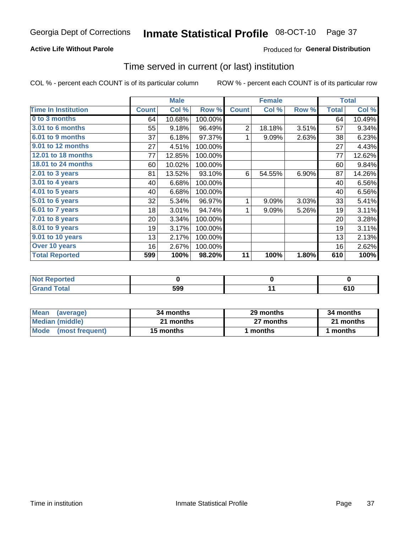## **Active Life Without Parole**

## **Produced for General Distribution**

## Time served in current (or last) institution

COL % - percent each COUNT is of its particular column

|                            |              | <b>Male</b> |         |                | <b>Female</b> |       |              | <b>Total</b> |
|----------------------------|--------------|-------------|---------|----------------|---------------|-------|--------------|--------------|
| <b>Time In Institution</b> | <b>Count</b> | Col %       | Row %   | <b>Count</b>   | Col %         | Row % | <b>Total</b> | Col %        |
| 0 to 3 months              | 64           | 10.68%      | 100.00% |                |               |       | 64           | 10.49%       |
| <b>3.01 to 6 months</b>    | 55           | 9.18%       | 96.49%  | $\overline{2}$ | 18.18%        | 3.51% | 57           | 9.34%        |
| 6.01 to 9 months           | 37           | 6.18%       | 97.37%  | 1              | 9.09%         | 2.63% | 38           | 6.23%        |
| 9.01 to 12 months          | 27           | 4.51%       | 100.00% |                |               |       | 27           | 4.43%        |
| 12.01 to 18 months         | 77           | 12.85%      | 100.00% |                |               |       | 77           | 12.62%       |
| <b>18.01 to 24 months</b>  | 60           | 10.02%      | 100.00% |                |               |       | 60           | 9.84%        |
| $2.01$ to 3 years          | 81           | 13.52%      | 93.10%  | 6              | 54.55%        | 6.90% | 87           | 14.26%       |
| 3.01 to 4 years            | 40           | 6.68%       | 100.00% |                |               |       | 40           | 6.56%        |
| 4.01 to 5 years            | 40           | 6.68%       | 100.00% |                |               |       | 40           | 6.56%        |
| 5.01 to 6 years            | 32           | 5.34%       | 96.97%  | 1              | 9.09%         | 3.03% | 33           | 5.41%        |
| 6.01 to 7 years            | 18           | 3.01%       | 94.74%  | 1              | 9.09%         | 5.26% | 19           | 3.11%        |
| 7.01 to 8 years            | 20           | 3.34%       | 100.00% |                |               |       | 20           | 3.28%        |
| 8.01 to 9 years            | 19           | 3.17%       | 100.00% |                |               |       | 19           | 3.11%        |
| 9.01 to 10 years           | 13           | 2.17%       | 100.00% |                |               |       | 13           | 2.13%        |
| Over 10 years              | 16           | 2.67%       | 100.00% |                |               |       | 16           | 2.62%        |
| <b>Total Reported</b>      | 599          | 100%        | 98.20%  | 11             | 100%          | 1.80% | 610          | 100%         |

| Reported<br><b>Not</b> |     |  |
|------------------------|-----|--|
| <i>i</i> otal          | 599 |  |

| <b>Mean</b><br>(average) | 34 months | 29 months | 34 months |
|--------------------------|-----------|-----------|-----------|
| Median (middle)          | 21 months | 27 months | 21 months |
| Mode (most frequent)     | 15 months | 1 months  | 1 months  |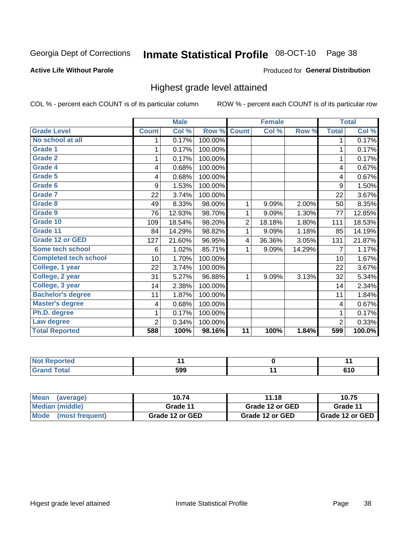# Inmate Statistical Profile 08-OCT-10 Page 38

## **Active Life Without Parole**

## Produced for General Distribution

## Highest grade level attained

COL % - percent each COUNT is of its particular column

|                              |                 | <b>Male</b> |         |                 | <b>Female</b> |        |                | <b>Total</b> |
|------------------------------|-----------------|-------------|---------|-----------------|---------------|--------|----------------|--------------|
| <b>Grade Level</b>           | <b>Count</b>    | Col %       | Row %   | <b>Count</b>    | Col %         | Row %  | <b>Total</b>   | Col %        |
| No school at all             | 1               | 0.17%       | 100.00% |                 |               |        | 1              | 0.17%        |
| <b>Grade 1</b>               |                 | 0.17%       | 100.00% |                 |               |        | 1              | 0.17%        |
| <b>Grade 2</b>               | 1               | 0.17%       | 100.00% |                 |               |        | 1              | 0.17%        |
| Grade 4                      | 4               | 0.68%       | 100.00% |                 |               |        | 4              | 0.67%        |
| Grade 5                      | 4               | 0.68%       | 100.00% |                 |               |        | 4              | 0.67%        |
| Grade 6                      | 9               | 1.53%       | 100.00% |                 |               |        | 9              | 1.50%        |
| <b>Grade 7</b>               | 22              | 3.74%       | 100.00% |                 |               |        | 22             | 3.67%        |
| <b>Grade 8</b>               | 49              | 8.33%       | 98.00%  | 1               | 9.09%         | 2.00%  | 50             | 8.35%        |
| <b>Grade 9</b>               | 76              | 12.93%      | 98.70%  | 1               | 9.09%         | 1.30%  | 77             | 12.85%       |
| Grade 10                     | 109             | 18.54%      | 98.20%  | $\overline{2}$  | 18.18%        | 1.80%  | 111            | 18.53%       |
| Grade 11                     | 84              | 14.29%      | 98.82%  | 1               | 9.09%         | 1.18%  | 85             | 14.19%       |
| <b>Grade 12 or GED</b>       | 127             | 21.60%      | 96.95%  | 4               | 36.36%        | 3.05%  | 131            | 21.87%       |
| <b>Some tech school</b>      | 6               | 1.02%       | 85.71%  | 1               | 9.09%         | 14.29% | 7              | 1.17%        |
| <b>Completed tech school</b> | 10 <sup>1</sup> | 1.70%       | 100.00% |                 |               |        | 10             | 1.67%        |
| College, 1 year              | 22              | 3.74%       | 100.00% |                 |               |        | 22             | 3.67%        |
| College, 2 year              | 31              | 5.27%       | 96.88%  | 1               | 9.09%         | 3.13%  | 32             | 5.34%        |
| College, 3 year              | 14              | 2.38%       | 100.00% |                 |               |        | 14             | 2.34%        |
| <b>Bachelor's degree</b>     | 11              | 1.87%       | 100.00% |                 |               |        | 11             | 1.84%        |
| <b>Master's degree</b>       | 4               | 0.68%       | 100.00% |                 |               |        | 4              | 0.67%        |
| Ph.D. degree                 | 1               | 0.17%       | 100.00% |                 |               |        | 1              | 0.17%        |
| Law degree                   | 2               | 0.34%       | 100.00% |                 |               |        | $\overline{2}$ | 0.33%        |
| <b>Total Reported</b>        | 588             | 100%        | 98.16%  | $\overline{11}$ | 100%          | 1.84%  | 599            | 100.0%       |

| .<br><b>Reported</b> |     |  |
|----------------------|-----|--|
| <b>otal</b>          | 599 |  |

| Mean (average)       | 10.74           | 11.18           | 10.75                    |
|----------------------|-----------------|-----------------|--------------------------|
| Median (middle)      | Grade 11        | Grade 12 or GED | Grade 11                 |
| Mode (most frequent) | Grade 12 or GED | Grade 12 or GED | <b>I</b> Grade 12 or GED |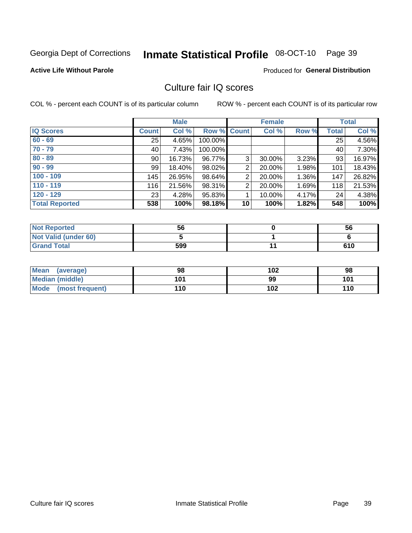# Inmate Statistical Profile 08-OCT-10 Page 39

## **Active Life Without Parole**

### Produced for General Distribution

## Culture fair IQ scores

COL % - percent each COUNT is of its particular column

|                       |              | <b>Male</b> |             |                 | <b>Female</b> |       |              | <b>Total</b> |
|-----------------------|--------------|-------------|-------------|-----------------|---------------|-------|--------------|--------------|
| <b>IQ Scores</b>      | <b>Count</b> | Col %       | Row % Count |                 | Col %         | Row % | <b>Total</b> | Col %        |
| $60 - 69$             | 25           | 4.65%       | 100.00%     |                 |               |       | 25           | 4.56%        |
| $70 - 79$             | 40           | 7.43%       | 100.00%     |                 |               |       | 40           | 7.30%        |
| $80 - 89$             | 90           | 16.73%      | 96.77%      | 3               | 30.00%        | 3.23% | 93           | 16.97%       |
| $90 - 99$             | 99           | 18.40%      | 98.02%      | 2               | 20.00%        | 1.98% | 101          | 18.43%       |
| $100 - 109$           | 145          | 26.95%      | 98.64%      | 2               | 20.00%        | 1.36% | 147          | 26.82%       |
| $110 - 119$           | 116          | 21.56%      | 98.31%      | $\overline{2}$  | 20.00%        | 1.69% | 118          | 21.53%       |
| $120 - 129$           | 23           | 4.28%       | 95.83%      |                 | 10.00%        | 4.17% | 24           | 4.38%        |
| <b>Total Reported</b> | 538          | 100%        | 98.18%      | 10 <sup>1</sup> | 100%          | 1.82% | 548          | 100%         |

| <b>Not Reported</b>         | 56  | 56  |
|-----------------------------|-----|-----|
| <b>Not Valid (under 60)</b> |     |     |
| <b>Grand Total</b>          | 599 | 610 |

| Mean (average)       | 98  | 102 | 98  |
|----------------------|-----|-----|-----|
| Median (middle)      | 101 | 99  | 101 |
| Mode (most frequent) | 110 | 102 | 110 |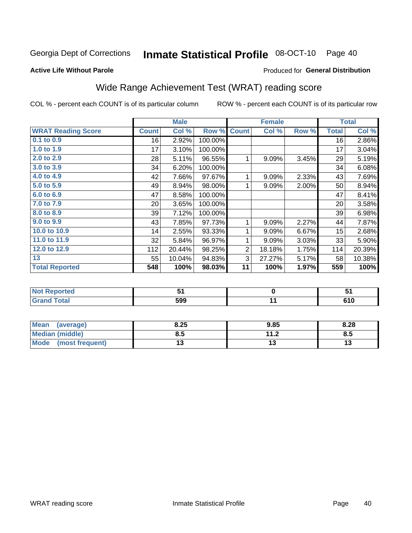#### Inmate Statistical Profile 08-OCT-10 Page 40

### **Active Life Without Parole**

### Produced for General Distribution

## Wide Range Achievement Test (WRAT) reading score

COL % - percent each COUNT is of its particular column

|                           |              | <b>Male</b> |         |                | <b>Female</b> |       |              | <b>Total</b> |
|---------------------------|--------------|-------------|---------|----------------|---------------|-------|--------------|--------------|
| <b>WRAT Reading Score</b> | <b>Count</b> | Col %       | Row %   | <b>Count</b>   | Col %         | Row % | <b>Total</b> | Col %        |
| 0.1 to 0.9                | 16           | 2.92%       | 100.00% |                |               |       | 16           | 2.86%        |
| 1.0 to 1.9                | 17           | 3.10%       | 100.00% |                |               |       | 17           | 3.04%        |
| 2.0 to 2.9                | 28           | 5.11%       | 96.55%  | 1              | 9.09%         | 3.45% | 29           | 5.19%        |
| 3.0 to 3.9                | 34           | 6.20%       | 100.00% |                |               |       | 34           | 6.08%        |
| 4.0 to 4.9                | 42           | 7.66%       | 97.67%  | 1              | 9.09%         | 2.33% | 43           | 7.69%        |
| 5.0 t0 5.9                | 49           | 8.94%       | 98.00%  | 1              | 9.09%         | 2.00% | 50           | 8.94%        |
| 6.0 to 6.9                | 47           | 8.58%       | 100.00% |                |               |       | 47           | 8.41%        |
| 7.0 to 7.9                | 20           | 3.65%       | 100.00% |                |               |       | 20           | 3.58%        |
| 8.0 to 8.9                | 39           | 7.12%       | 100.00% |                |               |       | 39           | 6.98%        |
| 9.0 to 9.9                | 43           | 7.85%       | 97.73%  | 1              | 9.09%         | 2.27% | 44           | 7.87%        |
| 10.0 to 10.9              | 14           | 2.55%       | 93.33%  | 1              | 9.09%         | 6.67% | 15           | 2.68%        |
| 11.0 to 11.9              | 32           | 5.84%       | 96.97%  | 1              | 9.09%         | 3.03% | 33           | 5.90%        |
| 12.0 to 12.9              | 112          | 20.44%      | 98.25%  | $\overline{2}$ | 18.18%        | 1.75% | 114          | 20.39%       |
| 13                        | 55           | 10.04%      | 94.83%  | 3              | 27.27%        | 5.17% | 58           | 10.38%       |
| <b>Total Reported</b>     | 548          | 100%        | 98.03%  | 11             | 100%          | 1.97% | 559          | 100%         |
| <b>12.20</b>              |              |             |         |                |               |       |              |              |

| <b>Not</b><br><b>Reported</b> |     | .           |
|-------------------------------|-----|-------------|
| <b>Fotal</b>                  | 599 | C4 C<br>טוס |

| <b>Mean</b><br>(average) | 8.25 | 9.85      | 8.28 |
|--------------------------|------|-----------|------|
| Median (middle)          | ช.ว  | 11 J<br>Z | 8.5  |
| Mode<br>(most frequent)  | . .  |           | ויי  |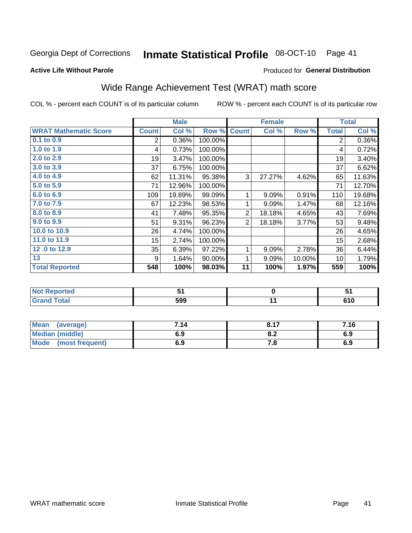#### Inmate Statistical Profile 08-OCT-10 Page 41

### **Active Life Without Parole**

## Produced for General Distribution

## Wide Range Achievement Test (WRAT) math score

COL % - percent each COUNT is of its particular column

|                              |                  | <b>Male</b> |         |                 | <b>Female</b> |        |              | <b>Total</b> |
|------------------------------|------------------|-------------|---------|-----------------|---------------|--------|--------------|--------------|
| <b>WRAT Mathematic Score</b> | <b>Count</b>     | Col %       | Row %   | <b>Count</b>    | Col %         | Row %  | <b>Total</b> | Col %        |
| $0.1$ to $0.9$               | $\overline{2}$   | 0.36%       | 100.00% |                 |               |        | 2            | 0.36%        |
| $1.0$ to 1.9                 | 4                | 0.73%       | 100.00% |                 |               |        | 4            | 0.72%        |
| 2.0 to 2.9                   | 19               | 3.47%       | 100.00% |                 |               |        | 19           | 3.40%        |
| 3.0 to 3.9                   | 37               | 6.75%       | 100.00% |                 |               |        | 37           | 6.62%        |
| 4.0 to 4.9                   | 62               | 11.31%      | 95.38%  | 3               | 27.27%        | 4.62%  | 65           | 11.63%       |
| 5.0 to 5.9                   | 71               | 12.96%      | 100.00% |                 |               |        | 71           | 12.70%       |
| 6.0 to 6.9                   | 109              | 19.89%      | 99.09%  | 1               | 9.09%         | 0.91%  | 110          | 19.68%       |
| 7.0 to 7.9                   | 67               | 12.23%      | 98.53%  | 1               | 9.09%         | 1.47%  | 68           | 12.16%       |
| 8.0 to 8.9                   | 41               | 7.48%       | 95.35%  | 2               | 18.18%        | 4.65%  | 43           | 7.69%        |
| 9.0 to 9.9                   | 51               | 9.31%       | 96.23%  | $\overline{2}$  | 18.18%        | 3.77%  | 53           | 9.48%        |
| 10.0 to 10.9                 | 26               | 4.74%       | 100.00% |                 |               |        | 26           | 4.65%        |
| 11.0 to 11.9                 | 15 <sub>15</sub> | 2.74%       | 100.00% |                 |               |        | 15           | 2.68%        |
| 12.0 to 12.9                 | 35               | 6.39%       | 97.22%  | 1               | 9.09%         | 2.78%  | 36           | 6.44%        |
| 13                           | 9                | 1.64%       | 90.00%  | 1               | 9.09%         | 10.00% | 10           | 1.79%        |
| <b>Total Reported</b>        | 548              | 100%        | 98.03%  | 11              | 100%          | 1.97%  | 559          | 100%         |
|                              |                  |             |         |                 |               |        |              |              |
| <b>Not Reported</b>          |                  | 51          |         |                 | $\mathbf 0$   |        |              | 51           |
| <b>Grand Total</b>           |                  | 599         |         | $\overline{11}$ |               |        | 610          |              |

| Mean (average)       | 7.14 | 8.17 | 7.16 |
|----------------------|------|------|------|
| Median (middle)      | 6.9  | o.z  | 6.9  |
| Mode (most frequent) | 6.9  | 7. O | 6.9  |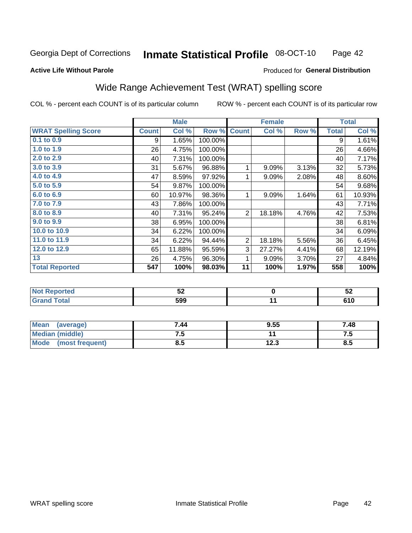#### Inmate Statistical Profile 08-OCT-10 Page 42

### **Active Life Without Parole**

### Produced for General Distribution

## Wide Range Achievement Test (WRAT) spelling score

COL % - percent each COUNT is of its particular column

|                            |              | <b>Male</b> |         |                | <b>Female</b> |       |              | <b>Total</b>               |
|----------------------------|--------------|-------------|---------|----------------|---------------|-------|--------------|----------------------------|
| <b>WRAT Spelling Score</b> | <b>Count</b> | Col %       | Row %   | <b>Count</b>   | Col %         | Row % | <b>Total</b> | $\overline{\text{Col }^9}$ |
| 0.1 to 0.9                 | 9            | 1.65%       | 100.00% |                |               |       | 9            | 1.61%                      |
| 1.0 to 1.9                 | 26           | 4.75%       | 100.00% |                |               |       | 26           | 4.66%                      |
| 2.0 to 2.9                 | 40           | 7.31%       | 100.00% |                |               |       | 40           | 7.17%                      |
| 3.0 to 3.9                 | 31           | 5.67%       | 96.88%  | 1              | 9.09%         | 3.13% | 32           | 5.73%                      |
| 4.0 to 4.9                 | 47           | 8.59%       | 97.92%  | 1              | 9.09%         | 2.08% | 48           | 8.60%                      |
| 5.0 to 5.9                 | 54           | 9.87%       | 100.00% |                |               |       | 54           | 9.68%                      |
| 6.0 to 6.9                 | 60           | 10.97%      | 98.36%  | 1              | 9.09%         | 1.64% | 61           | 10.93%                     |
| 7.0 to 7.9                 | 43           | 7.86%       | 100.00% |                |               |       | 43           | 7.71%                      |
| 8.0 to 8.9                 | 40           | 7.31%       | 95.24%  | $\overline{2}$ | 18.18%        | 4.76% | 42           | 7.53%                      |
| 9.0 to 9.9                 | 38           | 6.95%       | 100.00% |                |               |       | 38           | 6.81%                      |
| 10.0 to 10.9               | 34           | 6.22%       | 100.00% |                |               |       | 34           | 6.09%                      |
| 11.0 to 11.9               | 34           | 6.22%       | 94.44%  | $\overline{2}$ | 18.18%        | 5.56% | 36           | 6.45%                      |
| 12.0 to 12.9               | 65           | 11.88%      | 95.59%  | 3              | 27.27%        | 4.41% | 68           | 12.19%                     |
| 13                         | 26           | 4.75%       | 96.30%  | 1              | 9.09%         | 3.70% | 27           | 4.84%                      |
| <b>Total Reported</b>      | 547          | 100%        | 98.03%  | 11             | 100%          | 1.97% | 558          | 100%                       |
|                            |              |             |         |                |               |       |              |                            |
| <b>Not Reported</b>        |              | 52          |         |                | $\pmb{0}$     |       |              | 52                         |
| <b>Grand Total</b>         |              | 599         |         |                | 11            |       |              | 610                        |

| Mean<br>(average)       | 7.44 | 9.55          | 7.48 |
|-------------------------|------|---------------|------|
| <b>Median (middle)</b>  | ن -  |               | ن. ا |
| Mode<br>(most frequent) | 8.5  | ィク ?<br>ں ے ا | ტ.J  |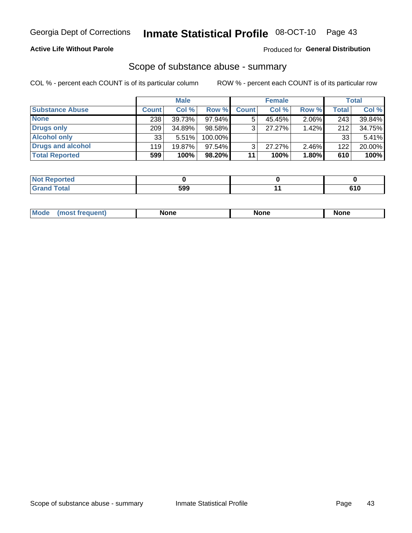## **Active Life Without Parole**

## **Produced for General Distribution**

## Scope of substance abuse - summary

COL % - percent each COUNT is of its particular column

|                        |              | <b>Male</b> |           |              | <b>Female</b> |          |              | <b>Total</b> |
|------------------------|--------------|-------------|-----------|--------------|---------------|----------|--------------|--------------|
| <b>Substance Abuse</b> | <b>Count</b> | Col %       | Row %     | <b>Count</b> | Col %         | Row %    | <b>Total</b> | Col %        |
| <b>None</b>            | 238          | 39.73%      | 97.94%I   |              | 45.45%        | 2.06%    | 243          | 39.84%       |
| <b>Drugs only</b>      | 209          | 34.89%      | 98.58%    |              | 27.27%        | 1.42%    | 212          | 34.75%       |
| <b>Alcohol only</b>    | 33           | 5.51%       | 100.00%   |              |               |          | 33           | 5.41%        |
| Drugs and alcohol      | 119          | 19.87%      | $97.54\%$ |              | $27.27\%$     | $2.46\%$ | 122          | 20.00%       |
| <b>Total Reported</b>  | 599          | 100%        | 98.20%    | 11           | 100%          | 1.80%    | 610          | 100%         |

| <b>Not Reported</b> |     |     |
|---------------------|-----|-----|
| <b>Grand Total</b>  | 599 | 610 |

| <b>Mode</b> | None<br>None | <b>None</b> |
|-------------|--------------|-------------|
|-------------|--------------|-------------|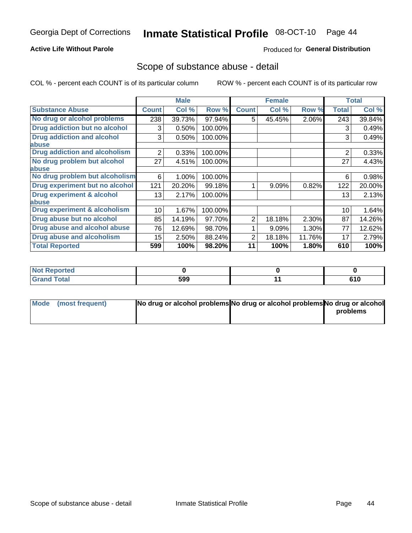## **Active Life Without Parole**

## **Produced for General Distribution**

## Scope of substance abuse - detail

COL % - percent each COUNT is of its particular column

|                                         |              | <b>Male</b> |         |              | <b>Female</b> |        |                | <b>Total</b> |
|-----------------------------------------|--------------|-------------|---------|--------------|---------------|--------|----------------|--------------|
| <b>Substance Abuse</b>                  | <b>Count</b> | Col %       | Row %   | <b>Count</b> | Col %         | Row %  | <b>Total</b>   | Col %        |
| No drug or alcohol problems             | 238          | 39.73%      | 97.94%  | 5            | 45.45%        | 2.06%  | 243            | 39.84%       |
| Drug addiction but no alcohol           | 3            | 0.50%       | 100.00% |              |               |        | 3              | 0.49%        |
| <b>Drug addiction and alcohol</b>       | 3            | 0.50%       | 100.00% |              |               |        | 3              | 0.49%        |
| abuse                                   |              |             |         |              |               |        |                |              |
| <b>Drug addiction and alcoholism</b>    | 2            | 0.33%       | 100.00% |              |               |        | $\overline{2}$ | 0.33%        |
| No drug problem but alcohol             | 27           | 4.51%       | 100.00% |              |               |        | 27             | 4.43%        |
| abuse                                   |              |             |         |              |               |        |                |              |
| No drug problem but alcoholism          | 6            | 1.00%       | 100.00% |              |               |        | 6              | 0.98%        |
| Drug experiment but no alcohol          | 121          | 20.20%      | 99.18%  |              | 9.09%         | 0.82%  | 122            | 20.00%       |
| <b>Drug experiment &amp; alcohol</b>    | 13           | 2.17%       | 100.00% |              |               |        | 13             | 2.13%        |
| abuse                                   |              |             |         |              |               |        |                |              |
| <b>Drug experiment &amp; alcoholism</b> | 10           | 1.67%       | 100.00% |              |               |        | 10             | 1.64%        |
| Drug abuse but no alcohol               | 85           | 14.19%      | 97.70%  | 2            | 18.18%        | 2.30%  | 87             | 14.26%       |
| Drug abuse and alcohol abuse            | 76           | 12.69%      | 98.70%  |              | 9.09%         | 1.30%  | 77             | 12.62%       |
| <b>Drug abuse and alcoholism</b>        | 15           | 2.50%       | 88.24%  | 2            | 18.18%        | 11.76% | 17             | 2.79%        |
| <b>Total Reported</b>                   | 599          | 100%        | 98.20%  | 11           | 100%          | 1.80%  | 610            | 100%         |

| Reported<br><b>NOT</b> |     |     |
|------------------------|-----|-----|
| <b>otal</b>            | 599 | 610 |

| Mode (most frequent) | No drug or alcohol problems No drug or alcohol problems No drug or alcohol |          |
|----------------------|----------------------------------------------------------------------------|----------|
|                      |                                                                            | problems |
|                      |                                                                            |          |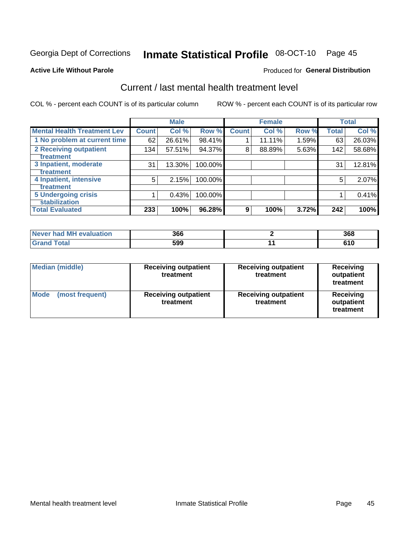#### Inmate Statistical Profile 08-OCT-10 Page 45

### **Active Life Without Parole**

### Produced for General Distribution

## Current / last mental health treatment level

COL % - percent each COUNT is of its particular column

|                                                    |              | <b>Male</b> |         |              | <b>Female</b> |       |              | <b>Total</b> |
|----------------------------------------------------|--------------|-------------|---------|--------------|---------------|-------|--------------|--------------|
| <b>Mental Health Treatment Lev</b>                 | <b>Count</b> | Col %       | Row %   | <b>Count</b> | Col %         | Row % | <b>Total</b> | Col %        |
| 1 No problem at current time                       | 62           | 26.61%      | 98.41%  |              | 11.11%        | 1.59% | 63           | 26.03%       |
| 2 Receiving outpatient<br><b>Treatment</b>         | 134          | 57.51%      | 94.37%  | 8            | 88.89%        | 5.63% | 142          | 58.68%       |
| 3 Inpatient, moderate<br>Treatment                 | 31           | 13.30%      | 100.00% |              |               |       | 31           | 12.81%       |
| 4 Inpatient, intensive<br><b>Treatment</b>         | 5            | 2.15%       | 100.00% |              |               |       | 5            | 2.07%        |
| <b>5 Undergoing crisis</b><br><b>stabilization</b> |              | 0.43%       | 100.00% |              |               |       |              | 0.41%        |
| <b>Total Evaluated</b>                             | 233          | 100%        | 96.28%  | 9            | 100%          | 3.72% | 242          | 100%         |

| evaluation<br><b>Never had MF</b> | 366 | 368   |
|-----------------------------------|-----|-------|
| $\sim$                            | 599 | v 1 v |

| <b>Median (middle)</b>         | <b>Receiving outpatient</b><br>treatment | <b>Receiving outpatient</b><br>treatment | <b>Receiving</b><br>outpatient<br>treatment |  |
|--------------------------------|------------------------------------------|------------------------------------------|---------------------------------------------|--|
| <b>Mode</b><br>(most frequent) | <b>Receiving outpatient</b><br>treatment | <b>Receiving outpatient</b><br>treatment | <b>Receiving</b><br>outpatient<br>treatment |  |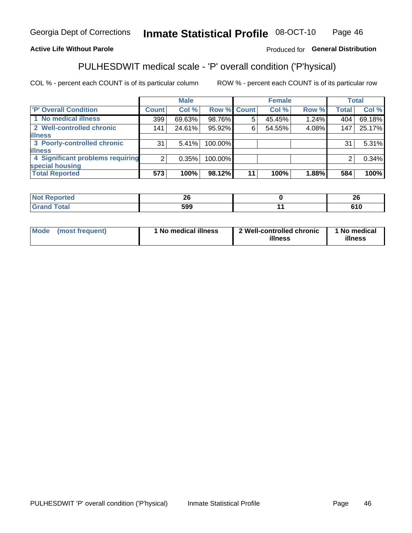#### Inmate Statistical Profile 08-OCT-10 Page 46

## **Active Life Without Parole**

## Produced for General Distribution

## PULHESDWIT medical scale - 'P' overall condition ('P'hysical)

COL % - percent each COUNT is of its particular column

|                                  |         | <b>Male</b> |         |             | <b>Female</b> |       |              | <b>Total</b> |
|----------------------------------|---------|-------------|---------|-------------|---------------|-------|--------------|--------------|
| 'P' Overall Condition            | Count l | Col %       |         | Row % Count | Col %         | Row % | <b>Total</b> | Col %        |
| 1 No medical illness             | 399     | 69.63%      | 98.76%  | 5           | 45.45%        | 1.24% | 404          | 69.18%       |
| 2 Well-controlled chronic        | 141     | 24.61%      | 95.92%  | 6           | 54.55%        | 4.08% | 147          | 25.17%       |
| <b>illness</b>                   |         |             |         |             |               |       |              |              |
| 3 Poorly-controlled chronic      | 31      | 5.41%       | 100.00% |             |               |       | 31           | 5.31%        |
| <b>illness</b>                   |         |             |         |             |               |       |              |              |
| 4 Significant problems requiring | 2       | 0.35%       | 100.00% |             |               |       | 2            | 0.34%        |
| special housing                  |         |             |         |             |               |       |              |              |
| <b>Total Reported</b>            | 573     | 100%        | 98.12%  | 11          | 100%          | 1.88% | 584          | 100%         |

| oc.<br>ΔV  | . .<br>ΔU |
|------------|-----------|
| 500<br>JJJ | 610       |

| Mode | (most frequent) | No medical illness | 2 Well-controlled chronic<br>illness | 1 No medical<br>illness |
|------|-----------------|--------------------|--------------------------------------|-------------------------|
|------|-----------------|--------------------|--------------------------------------|-------------------------|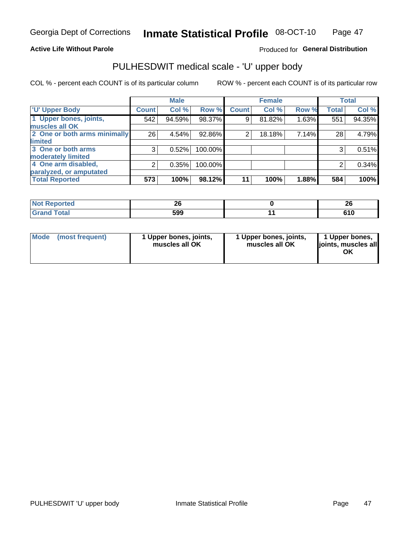### **Active Life Without Parole**

## Produced for General Distribution

# PULHESDWIT medical scale - 'U' upper body

COL % - percent each COUNT is of its particular column

|                              |              | <b>Male</b> |         |              | <b>Female</b> |       |              | <b>Total</b> |
|------------------------------|--------------|-------------|---------|--------------|---------------|-------|--------------|--------------|
| <b>'U' Upper Body</b>        | <b>Count</b> | Col %       | Row %   | <b>Count</b> | Col %         | Row % | <b>Total</b> | Col %        |
| 1 Upper bones, joints,       | 542          | 94.59%      | 98.37%  | 9            | 81.82%        | 1.63% | 551          | 94.35%       |
| muscles all OK               |              |             |         |              |               |       |              |              |
| 2 One or both arms minimally | 26           | 4.54%       | 92.86%  | 2            | 18.18%        | 7.14% | 28           | 4.79%        |
| limited                      |              |             |         |              |               |       |              |              |
| 3 One or both arms           | 3            | 0.52%       | 100.00% |              |               |       | 3            | 0.51%        |
| <b>moderately limited</b>    |              |             |         |              |               |       |              |              |
| 4 One arm disabled,          | 2            | 0.35%       | 100.00% |              |               |       | 2            | 0.34%        |
| paralyzed, or amputated      |              |             |         |              |               |       |              |              |
| <b>Total Reported</b>        | 573          | 100%        | 98.12%  | 11           | 100%          | 1.88% | 584          | 100%         |

| <b>Not Reported</b><br>. <b>.</b> | ZV  | oc.<br>~ |
|-----------------------------------|-----|----------|
| <b>Total</b>                      | 599 | 610      |

| Mode | (most frequent) | 1 Upper bones, joints,<br>muscles all OK | 1 Upper bones, joints,<br>muscles all OK | 1 Upper bones,<br>ljoints, muscles all<br>OK |
|------|-----------------|------------------------------------------|------------------------------------------|----------------------------------------------|
|------|-----------------|------------------------------------------|------------------------------------------|----------------------------------------------|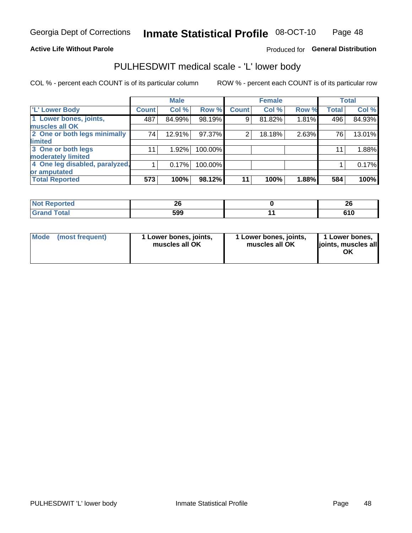## **Active Life Without Parole**

## Produced for General Distribution

## PULHESDWIT medical scale - 'L' lower body

COL % - percent each COUNT is of its particular column

|                                |              | <b>Male</b> |         |              | <b>Female</b> |       |              | <b>Total</b> |
|--------------------------------|--------------|-------------|---------|--------------|---------------|-------|--------------|--------------|
| 'L' Lower Body                 | <b>Count</b> | Col %       | Row %   | <b>Count</b> | Col %         | Row % | <b>Total</b> | Col %        |
| 1 Lower bones, joints,         | 487          | 84.99%      | 98.19%  | 9            | 81.82%        | 1.81% | 496          | 84.93%       |
| muscles all OK                 |              |             |         |              |               |       |              |              |
| 2 One or both legs minimally   | 74           | 12.91%      | 97.37%  | 2            | 18.18%        | 2.63% | 76           | 13.01%       |
| limited                        |              |             |         |              |               |       |              |              |
| 3 One or both legs             | 11           | 1.92%       | 100.00% |              |               |       | 11           | 1.88%        |
| moderately limited             |              |             |         |              |               |       |              |              |
| 4 One leg disabled, paralyzed, |              | 0.17%       | 100.00% |              |               |       |              | 0.17%        |
| or amputated                   |              |             |         |              |               |       |              |              |
| <b>Total Reported</b>          | 573          | 100%        | 98.12%  | 11           | 100%          | 1.88% | 584          | 100%         |

| <b>Not Reported</b><br>. <b>.</b> | ሳሪ  | ົ<br>ZV |
|-----------------------------------|-----|---------|
| <b>Total</b>                      | 599 | UIV     |

| Mode | (most frequent) | 1 Lower bones, joints,<br>muscles all OK | 1 Lower bones, joints,<br>muscles all OK | 1 Lower bones,<br>ljoints, muscles all<br>ΟK |
|------|-----------------|------------------------------------------|------------------------------------------|----------------------------------------------|
|------|-----------------|------------------------------------------|------------------------------------------|----------------------------------------------|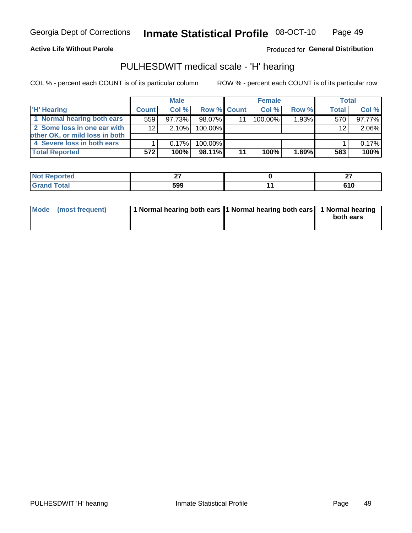### **Active Life Without Parole**

Produced for General Distribution

## PULHESDWIT medical scale - 'H' hearing

COL % - percent each COUNT is of its particular column

|                                |                 | <b>Male</b> |                    |    | <b>Female</b> |       | <b>Total</b> |        |
|--------------------------------|-----------------|-------------|--------------------|----|---------------|-------|--------------|--------|
| <b>H' Hearing</b>              | <b>Count</b>    | Col %       | <b>Row % Count</b> |    | Col%          | Row % | <b>Total</b> | Col %  |
| 1 Normal hearing both ears     | 559             | 97.73%      | 98.07%             |    | 100.00%       | 1.93% | 570          | 97.77% |
| 2 Some loss in one ear with    | 12 <sub>1</sub> | $2.10\%$    | 100.00%            |    |               |       | 12           | 2.06%  |
| other OK, or mild loss in both |                 |             |                    |    |               |       |              |        |
| 4 Severe loss in both ears     |                 | 0.17%       | 100.00%            |    |               |       |              | 0.17%  |
| <b>Total Reported</b>          | 572             | 100%        | 98.11%             | 11 | 100%          | 1.89% | 583          | 100%   |

| тео    | --                    | $\sim$<br>--   |
|--------|-----------------------|----------------|
| $\sim$ | <b>EOO</b><br><br>JJJ | - - -<br>, I U |

| Mode (most frequent) | 1 Normal hearing both ears 1 Normal hearing both ears 1 Normal hearing |           |
|----------------------|------------------------------------------------------------------------|-----------|
|                      |                                                                        | both ears |
|                      |                                                                        |           |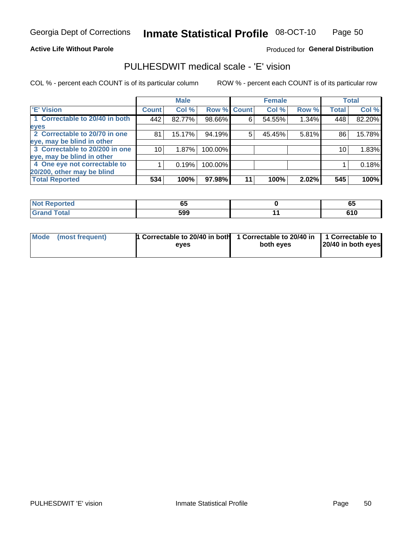## **Active Life Without Parole**

## Produced for General Distribution

## PULHESDWIT medical scale - 'E' vision

COL % - percent each COUNT is of its particular column

|                                |              | <b>Male</b> |             |    | <b>Female</b> |       |              | <b>Total</b> |
|--------------------------------|--------------|-------------|-------------|----|---------------|-------|--------------|--------------|
| <b>E' Vision</b>               | <b>Count</b> | Col %       | Row % Count |    | Col %         | Row % | <b>Total</b> | Col %        |
| 1 Correctable to 20/40 in both | 442          | 82.77%      | 98.66%      | 6  | 54.55%        | 1.34% | 448          | 82.20%       |
| eyes                           |              |             |             |    |               |       |              |              |
| 2 Correctable to 20/70 in one  | 81           | 15.17%      | 94.19%      | 5  | 45.45%        | 5.81% | 86           | 15.78%       |
| eye, may be blind in other     |              |             |             |    |               |       |              |              |
| 3 Correctable to 20/200 in one | 10           | 1.87%       | 100.00%     |    |               |       | 10           | 1.83%        |
| eye, may be blind in other     |              |             |             |    |               |       |              |              |
| 4 One eye not correctable to   |              | 0.19%       | 100.00%     |    |               |       |              | 0.18%        |
| 20/200, other may be blind     |              |             |             |    |               |       |              |              |
| <b>Total Reported</b>          | 534          | 100%        | 97.98%      | 11 | 100%          | 2.02% | 545          | 100%         |

| Reported     | <br>vu | p.    |
|--------------|--------|-------|
| <b>Total</b> | 599    | v I v |

| Mode (most frequent) | 1 Correctable to 20/40 in both<br>eves | 1 Correctable to 20/40 in   1 Correctable to<br>both eyes | 20/40 in both eyes |
|----------------------|----------------------------------------|-----------------------------------------------------------|--------------------|
|                      |                                        |                                                           |                    |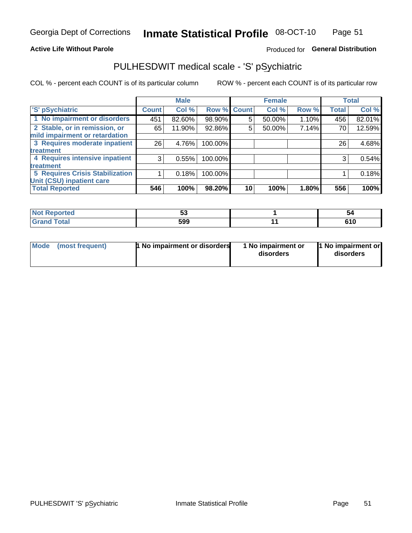### **Active Life Without Parole**

## Produced for General Distribution

## PULHESDWIT medical scale - 'S' pSychiatric

COL % - percent each COUNT is of its particular column

|                                        |                 | <b>Male</b> |                    |    | <b>Female</b> |       |              | <b>Total</b> |
|----------------------------------------|-----------------|-------------|--------------------|----|---------------|-------|--------------|--------------|
| 'S' pSychiatric                        | <b>Count</b>    | Col %       | <b>Row % Count</b> |    | Col %         | Row % | <b>Total</b> | Col %        |
| 1 No impairment or disorders           | 451             | 82.60%      | 98.90%             | 5  | 50.00%        | 1.10% | 456          | 82.01%       |
| 2 Stable, or in remission, or          | 65              | 11.90%      | 92.86%             | 5  | 50.00%        | 7.14% | 70           | 12.59%       |
| mild impairment or retardation         |                 |             |                    |    |               |       |              |              |
| 3 Requires moderate inpatient          | 26 <sub>1</sub> | 4.76%       | 100.00%            |    |               |       | 26           | 4.68%        |
| treatment                              |                 |             |                    |    |               |       |              |              |
| 4 Requires intensive inpatient         | 3               | 0.55%       | 100.00%            |    |               |       | 3            | 0.54%        |
| treatment                              |                 |             |                    |    |               |       |              |              |
| <b>5 Requires Crisis Stabilization</b> |                 | 0.18%       | 100.00%            |    |               |       |              | 0.18%        |
| Unit (CSU) inpatient care              |                 |             |                    |    |               |       |              |              |
| <b>Total Reported</b>                  | 546             | 100%        | 98.20%             | 10 | 100%          | 1.80% | 556          | 100%         |

| <b>horted</b><br><b>NOT</b><br>кемо | v.  | 54                  |
|-------------------------------------|-----|---------------------|
| <b>Total</b>                        | 599 | <b>C40</b><br>v 1 J |

| <b>Mode</b> | (most frequent) | 1 No impairment or disorders | 1 No impairment or<br>disorders | 1 No impairment or<br>disorders |
|-------------|-----------------|------------------------------|---------------------------------|---------------------------------|
|-------------|-----------------|------------------------------|---------------------------------|---------------------------------|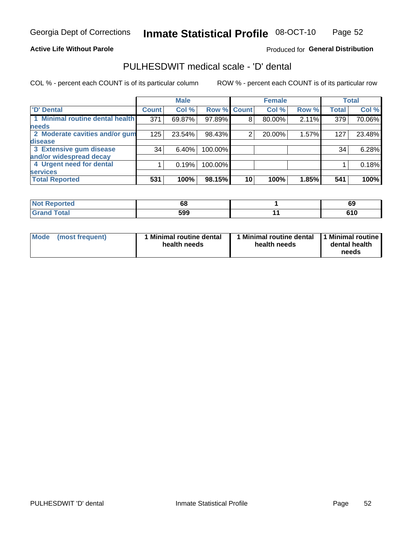### **Active Life Without Parole**

## Produced for General Distribution

## PULHESDWIT medical scale - 'D' dental

COL % - percent each COUNT is of its particular column

|                                 |                    | <b>Male</b> |         |             | <b>Female</b> |       |              | <b>Total</b> |
|---------------------------------|--------------------|-------------|---------|-------------|---------------|-------|--------------|--------------|
| <b>D'</b> Dental                | Count <sup>1</sup> | Col %       |         | Row % Count | Col %         | Row % | <b>Total</b> | Col %        |
| 1 Minimal routine dental health | 371                | 69.87%      | 97.89%  | 8           | 80.00%        | 2.11% | 379          | 70.06%       |
| <b>needs</b>                    |                    |             |         |             |               |       |              |              |
| 2 Moderate cavities and/or gum  | 125                | 23.54%      | 98.43%  | 2           | 20.00%        | 1.57% | 127          | 23.48%       |
| disease                         |                    |             |         |             |               |       |              |              |
| 3 Extensive gum disease         | 34                 | 6.40%       | 100.00% |             |               |       | 34           | 6.28%        |
| and/or widespread decay         |                    |             |         |             |               |       |              |              |
| 4 Urgent need for dental        |                    | 0.19%       | 100.00% |             |               |       |              | 0.18%        |
| <b>services</b>                 |                    |             |         |             |               |       |              |              |
| <b>Total Reported</b>           | 531                | 100%        | 98.15%  | 10          | 100%          | 1.85% | 541          | 100%         |

| <b>Not Reported</b><br>$\cdots$ | 68  | c<br>o,       |
|---------------------------------|-----|---------------|
| <b>Total</b>                    | 599 | 64 N<br>v I v |

| <b>Mode</b> | (most frequent) | <b>Minimal routine dental</b><br>health needs | 1 Minimal routine dental<br>health needs | <b>11 Minimal routine I</b><br>dental health<br>needs |
|-------------|-----------------|-----------------------------------------------|------------------------------------------|-------------------------------------------------------|
|-------------|-----------------|-----------------------------------------------|------------------------------------------|-------------------------------------------------------|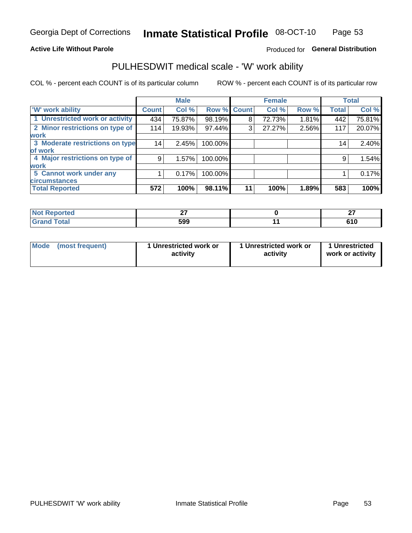### **Active Life Without Parole**

## Produced for General Distribution

## PULHESDWIT medical scale - 'W' work ability

COL % - percent each COUNT is of its particular column

|                                 |              | <b>Male</b> |         |             | <b>Female</b> |       |              | <b>Total</b> |
|---------------------------------|--------------|-------------|---------|-------------|---------------|-------|--------------|--------------|
| <b>W' work ability</b>          | <b>Count</b> | Col %       |         | Row % Count | Col %         | Row % | <b>Total</b> | Col %        |
| 1 Unrestricted work or activity | 434          | 75.87%      | 98.19%  | 8           | 72.73%        | 1.81% | 442          | 75.81%       |
| 2 Minor restrictions on type of | 114          | 19.93%      | 97.44%  | 3           | 27.27%        | 2.56% | 117          | 20.07%       |
| <b>work</b>                     |              |             |         |             |               |       |              |              |
| 3 Moderate restrictions on type | 14           | 2.45%       | 100.00% |             |               |       | 14           | 2.40%        |
| of work                         |              |             |         |             |               |       |              |              |
| 4 Major restrictions on type of | 9            | 1.57%       | 100.00% |             |               |       | 9            | 1.54%        |
| <b>work</b>                     |              |             |         |             |               |       |              |              |
| 5 Cannot work under any         |              | 0.17%       | 100.00% |             |               |       |              | 0.17%        |
| <b>circumstances</b>            |              |             |         |             |               |       |              |              |
| <b>Total Reported</b>           | 572          | 100%        | 98.11%  | 11          | 100%          | 1.89% | 583          | 100%         |

| <b>Not Reported</b> | $\sim$ | ~-<br>. .<br>-- |
|---------------------|--------|-----------------|
| <b>Grand Total</b>  | 599    | 64 N<br>v I v   |

| <b>Mode</b>     | 1 Unrestricted work or | 1 Unrestricted work or | 1 Unrestricted   |
|-----------------|------------------------|------------------------|------------------|
| (most frequent) | activity               | activity               | work or activity |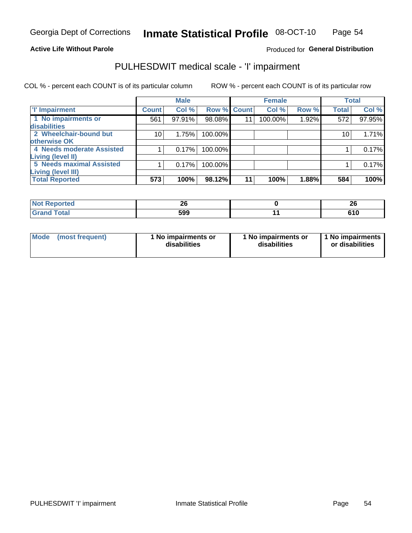## **Active Life Without Parole**

### Produced for General Distribution

## PULHESDWIT medical scale - 'I' impairment

COL % - percent each COUNT is of its particular column ROW % - percent each COUNT is of its particular row

|                           |                    | <b>Male</b> |             |                 | <b>Female</b> |       |              | <b>Total</b> |
|---------------------------|--------------------|-------------|-------------|-----------------|---------------|-------|--------------|--------------|
| <b>T' Impairment</b>      | Count <sup>1</sup> | Col %       | Row % Count |                 | Col %         | Row % | <b>Total</b> | Col %        |
| 1 No impairments or       | 561                | 97.91%      | 98.08%      | 11              | 100.00%       | 1.92% | 572          | 97.95%       |
| <b>disabilities</b>       |                    |             |             |                 |               |       |              |              |
| 2 Wheelchair-bound but    | 10                 | 1.75%       | 100.00%     |                 |               |       | 10           | 1.71%        |
| otherwise OK              |                    |             |             |                 |               |       |              |              |
| 4 Needs moderate Assisted |                    | 0.17%       | 100.00%     |                 |               |       |              | 0.17%        |
| Living (level II)         |                    |             |             |                 |               |       |              |              |
| 5 Needs maximal Assisted  |                    | 0.17%       | 100.00%     |                 |               |       |              | 0.17%        |
| Living (level III)        |                    |             |             |                 |               |       |              |              |
| <b>Total Reported</b>     | 573                | 100%        | 98.12%      | 11 <sub>1</sub> | 100%          | 1.88% | 584          | 100%         |

| <b>eported</b> | ኅረ<br>ΔV | ኅር<br>ZV |
|----------------|----------|----------|
| Total          | 599      | 610      |

| Mode | (most frequent) | 1 No impairments or<br>disabilities | 1 No impairments or<br>disabilities | 1 No impairments  <br>or disabilities |
|------|-----------------|-------------------------------------|-------------------------------------|---------------------------------------|
|------|-----------------|-------------------------------------|-------------------------------------|---------------------------------------|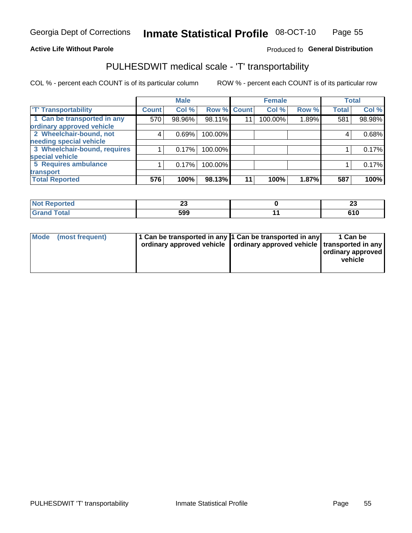### **Active Life Without Parole**

## Produced fo General Distribution

## PULHESDWIT medical scale - 'T' transportability

COL % - percent each COUNT is of its particular column

ROW % - percent each COUNT is of its particular row

|                              |              | <b>Male</b> |             |    | <b>Female</b> |       |              | <b>Total</b> |
|------------------------------|--------------|-------------|-------------|----|---------------|-------|--------------|--------------|
| <b>T' Transportability</b>   | <b>Count</b> | Col %       | Row % Count |    | Col %         | Row % | <b>Total</b> | Col %        |
| 1 Can be transported in any  | 570          | 98.96%      | 98.11%      | 11 | 100.00%       | 1.89% | 581          | 98.98%       |
| ordinary approved vehicle    |              |             |             |    |               |       |              |              |
| 2 Wheelchair-bound, not      | 4            | 0.69%       | 100.00%     |    |               |       |              | 0.68%        |
| needing special vehicle      |              |             |             |    |               |       |              |              |
| 3 Wheelchair-bound, requires |              | 0.17%       | 100.00%     |    |               |       |              | 0.17%        |
| special vehicle              |              |             |             |    |               |       |              |              |
| 5 Requires ambulance         |              | 0.17%       | 100.00%     |    |               |       |              | 0.17%        |
| transport                    |              |             |             |    |               |       |              |              |
| <b>Total Reported</b>        | 576          | 100%        | 98.13%      | 11 | 100%          | 1.87% | 587          | 100%         |

| w<br>лтео | ΔJ  | ~~<br>ΔJ |
|-----------|-----|----------|
|           | 599 | ט ו ט    |

| <b>Mode</b> | (most frequent) | 1 Can be transported in any 1 Can be transported in any | ordinary approved vehicle   ordinary approved vehicle   transported in any | 1 Can be<br>  ordinary approved  <br>vehicle |
|-------------|-----------------|---------------------------------------------------------|----------------------------------------------------------------------------|----------------------------------------------|
|-------------|-----------------|---------------------------------------------------------|----------------------------------------------------------------------------|----------------------------------------------|

**Inmate Statistical Profile**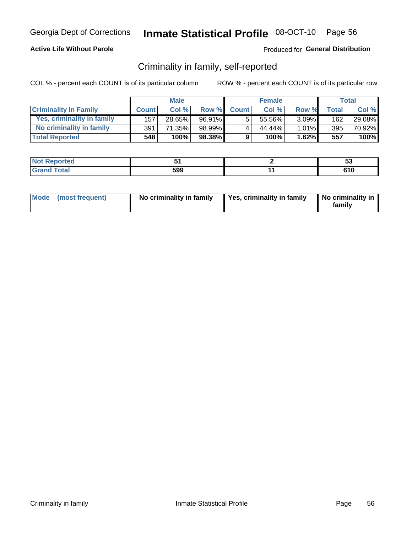## **Active Life Without Parole**

## Produced for General Distribution

## Criminality in family, self-reported

COL % - percent each COUNT is of its particular column

|                              |              | <b>Male</b> |        |              | <b>Female</b> |          |       | Total  |
|------------------------------|--------------|-------------|--------|--------------|---------------|----------|-------|--------|
| <b>Criminality In Family</b> | <b>Count</b> | Col %       | Row %  | <b>Count</b> | Col %         | Row %    | Total | Col %  |
| Yes, criminality in family   | 157          | 28.65%      | 96.91% | 5            | 55.56%        | $3.09\%$ | 162   | 29.08% |
| No criminality in family     | 391          | 71.35%      | 98.99% | 4            | 44.44%        | 1.01%    | 395   | 70.92% |
| <b>Total Reported</b>        | 548          | 100%        | 98.38% | 9            | 100%          | 1.62%    | 557   | 100%   |

| <b>Not Reported</b>      |     | v           |
|--------------------------|-----|-------------|
| <b>c</b> otal<br>' Grano | 599 | 61 N<br>טוט |

|  | Mode (most frequent) | No criminality in family | Yes, criminality in family | No criminality in<br>family |
|--|----------------------|--------------------------|----------------------------|-----------------------------|
|--|----------------------|--------------------------|----------------------------|-----------------------------|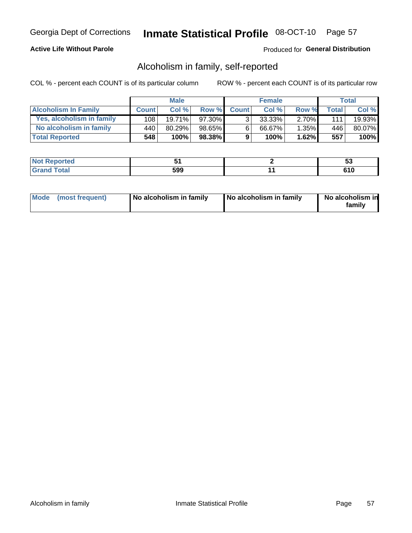## **Active Life Without Parole**

## Produced for General Distribution

## Alcoholism in family, self-reported

COL % - percent each COUNT is of its particular column

|                             |              | <b>Male</b> |           |                | <b>Female</b> |          |       | Total   |
|-----------------------------|--------------|-------------|-----------|----------------|---------------|----------|-------|---------|
| <b>Alcoholism In Family</b> | <b>Count</b> | Col%        | Row %     | <b>Count</b>   | Col%          | Row %    | Total | Col %   |
| Yes, alcoholism in family   | 108          | $19.71\%$   | 97.30%    | 3 <sub>1</sub> | $33.33\%$     | $2.70\%$ | 111   | 19.93%  |
| No alcoholism in family     | 440          | 80.29%      | 98.65%    | $6^{\circ}$    | 66.67%        | 1.35%    | 446   | 80.07%  |
| <b>Total Reported</b>       | 548          | 100%        | $98.38\%$ | 9              | 100%          | 1.62%    | 557   | $100\%$ |

| <b>Not Reported</b>     |     | v       |
|-------------------------|-----|---------|
| <b>c</b> otal<br>l Gran | 599 | <br>טוט |

|  | Mode (most frequent) | No alcoholism in family | No alcoholism in family | No alcoholism in<br>family |
|--|----------------------|-------------------------|-------------------------|----------------------------|
|--|----------------------|-------------------------|-------------------------|----------------------------|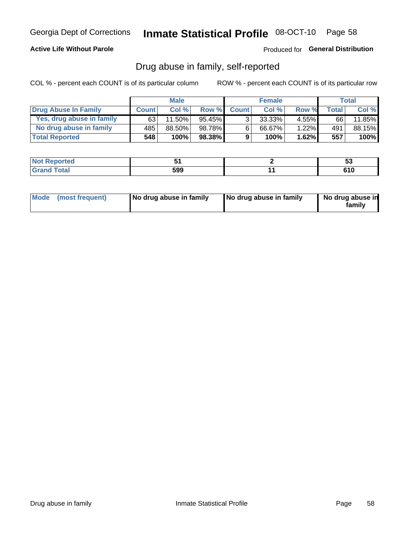## **Active Life Without Parole**

## Produced for General Distribution

## Drug abuse in family, self-reported

COL % - percent each COUNT is of its particular column

|                           |              | <b>Male</b> |           |                | <b>Female</b> |          |       | <b>Total</b> |
|---------------------------|--------------|-------------|-----------|----------------|---------------|----------|-------|--------------|
| Drug Abuse In Family      | <b>Count</b> | Col%        | Row %     | <b>Count</b>   | Col%          | Row %    | Total | Col %        |
| Yes, drug abuse in family | 63           | 11.50%      | $95.45\%$ | 3 <sub>1</sub> | $33.33\%$     | $4.55\%$ | 66    | 11.85%       |
| No drug abuse in family   | 485          | 88.50%      | 98.78%    | 6              | 66.67%        | 1.22%    | 491   | 88.15%       |
| <b>Total Reported</b>     | 548          | 100%        | 98.38%    | 9              | 100%          | 1.62%    | 557   | $100\%$      |

| ام د الس<br>≺eported<br><b>NOT</b> |     | u   |
|------------------------------------|-----|-----|
| <b>ctal</b>                        | 599 | 610 |

|  | Mode (most frequent) | No drug abuse in family | No drug abuse in family | No drug abuse in<br>family |
|--|----------------------|-------------------------|-------------------------|----------------------------|
|--|----------------------|-------------------------|-------------------------|----------------------------|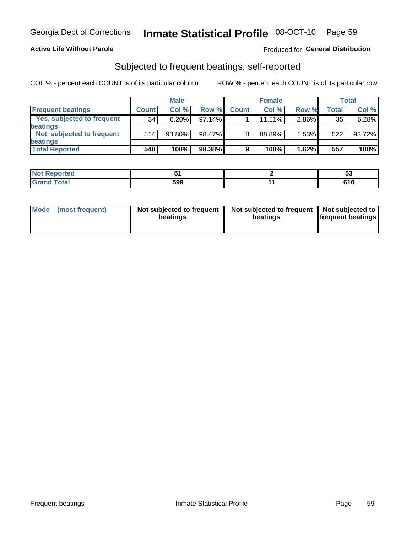## **Active Life Without Parole**

## Produced for General Distribution

## Subjected to frequent beatings, self-reported

COL % - percent each COUNT is of its particular column

|                                   |              | <b>Male</b> |        |              | <b>Female</b> |       |       | Total  |
|-----------------------------------|--------------|-------------|--------|--------------|---------------|-------|-------|--------|
| <b>Frequent beatings</b>          | <b>Count</b> | Col %       | Row %  | <b>Count</b> | Col %         | Row % | Total | Col %  |
| <b>Yes, subjected to frequent</b> | 34           | 6.20%       | 97.14% |              | 11.11%        | 2.86% | 35    | 6.28%  |
| <b>beatings</b>                   |              |             |        |              |               |       |       |        |
| Not subjected to frequent         | 514          | 93.80%      | 98.47% | 8            | 88.89%        | 1.53% | 522   | 93.72% |
| <b>beatings</b>                   |              |             |        |              |               |       |       |        |
| <b>Total Reported</b>             | 548          | 100%        | 98.38% | 9            | 100%          | 1.62% | 557   | 100%   |

| <b>Not Reported</b> |     | w   |
|---------------------|-----|-----|
| <b>Grand Total</b>  | 599 | 610 |

| Mode (most frequent) | Not subjected to frequent<br>beatings | Not subjected to frequent<br>beatings | Not subjected to<br><b>frequent beatings</b> |
|----------------------|---------------------------------------|---------------------------------------|----------------------------------------------|
|                      |                                       |                                       |                                              |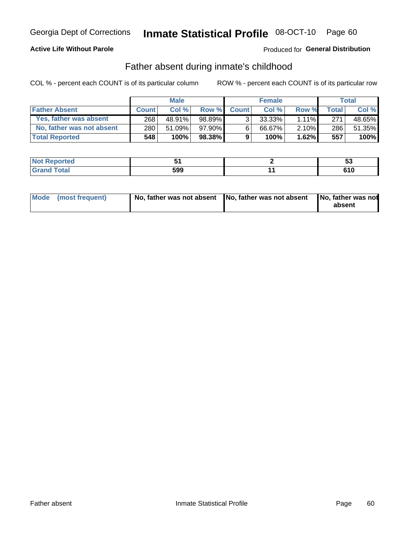## **Active Life Without Parole**

## Produced for General Distribution

## Father absent during inmate's childhood

COL % - percent each COUNT is of its particular column

|                           |              | <b>Male</b> |          |                | <b>Female</b> |          |                  | <b>Total</b> |
|---------------------------|--------------|-------------|----------|----------------|---------------|----------|------------------|--------------|
| <b>Father Absent</b>      | <b>Count</b> | Col%        | Row %    | <b>Count</b>   | Col%          | Row %    | <b>Total</b>     | Col %        |
| Yes, father was absent    | 268          | 48.91%      | 98.89%   | 3 <sub>1</sub> | $33.33\%$     | $1.11\%$ | 271 <sub>1</sub> | 48.65%       |
| No, father was not absent | 280          | $51.09\%$   | 97.90% I | 6              | 66.67%        | $2.10\%$ | 286              | 51.35%       |
| <b>Total Reported</b>     | 548          | $100\%$     | 98.38%   | 9              | 100%          | 1.62%    | 557              | 100%         |

| <b>Not Reported</b>      |     | v           |
|--------------------------|-----|-------------|
| <b>c</b> otal<br>' Grano | 599 | 61 N<br>טוט |

|  | Mode (most frequent) | No, father was not absent No, father was not absent |  | No, father was not<br>absent |
|--|----------------------|-----------------------------------------------------|--|------------------------------|
|--|----------------------|-----------------------------------------------------|--|------------------------------|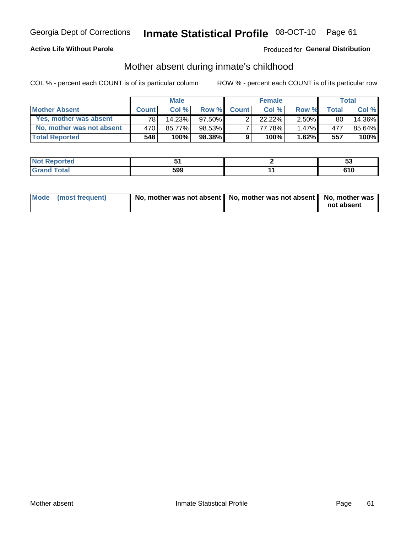## **Active Life Without Parole**

## **Produced for General Distribution**

## Mother absent during inmate's childhood

COL % - percent each COUNT is of its particular column

|                           |                 | <b>Male</b> |           |              | <b>Female</b> |          |         | <b>Total</b> |
|---------------------------|-----------------|-------------|-----------|--------------|---------------|----------|---------|--------------|
| <b>Mother Absent</b>      | <b>Count</b>    | Col%        | Row %     | <b>Count</b> | Col %         | Row %    | Total ⊧ | Col %        |
| Yes, mother was absent    | 78 <sub>1</sub> | 14.23%      | 97.50% L  | ◠            | 22.22%        | $2.50\%$ | 80      | 14.36%       |
| No, mother was not absent | 470             | 85.77%      | 98.53%    |              | 77.78%        | $1.47\%$ | 477     | 85.64%       |
| <b>Total Reported</b>     | 548             | 100%        | $98.38\%$ | 9            | 100%          | 1.62%    | 557     | 100%         |

| <b>Not Reported</b>     |     | v       |
|-------------------------|-----|---------|
| <b>c</b> otal<br>l Gran | 599 | <br>טוט |

| Mode (most frequent) | No, mother was not absent   No, mother was not absent   No, mother was | not absent |
|----------------------|------------------------------------------------------------------------|------------|
|----------------------|------------------------------------------------------------------------|------------|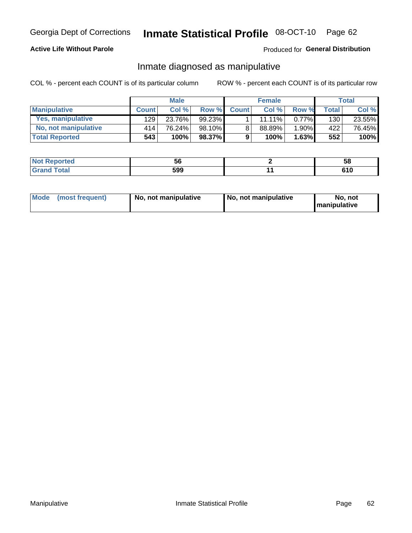## **Active Life Without Parole**

## Produced for General Distribution

## Inmate diagnosed as manipulative

COL % - percent each COUNT is of its particular column

|                          | <b>Male</b>  |        |           | <b>Female</b> |           |          | Total        |        |
|--------------------------|--------------|--------|-----------|---------------|-----------|----------|--------------|--------|
| <b>Manipulative</b>      | <b>Count</b> | Col %  | Row %     | <b>Count</b>  | Col %     | Row %    | <b>Total</b> | Col %  |
| <b>Yes, manipulative</b> | 129          | 23.76% | $99.23\%$ |               | $11.11\%$ | $0.77\%$ | 130          | 23.55% |
| No, not manipulative     | 414'         | 76.24% | 98.10%    | 8             | 88.89%    | 1.90%    | 422          | 76.45% |
| <b>Total Reported</b>    | 543          | 100%   | $98.37\%$ | 9             | 100%      | 1.63%    | 552          | 100%   |

| vreo | - -<br>ັ | 58      |
|------|----------|---------|
|      | 599      | <b></b> |

|  | Mode (most frequent) | No, not manipulative | No, not manipulative | No. not<br><b>I</b> manipulative |
|--|----------------------|----------------------|----------------------|----------------------------------|
|--|----------------------|----------------------|----------------------|----------------------------------|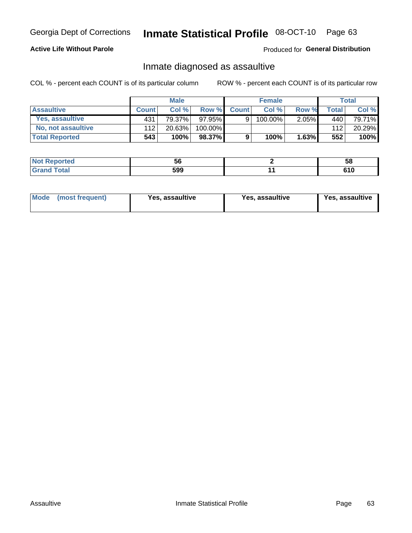# Inmate Statistical Profile 08-OCT-10 Page 63

## **Active Life Without Parole**

Produced for General Distribution

## Inmate diagnosed as assaultive

COL % - percent each COUNT is of its particular column

|                       |              | <b>Male</b> |           |              | <b>Female</b> |          |       | Total  |
|-----------------------|--------------|-------------|-----------|--------------|---------------|----------|-------|--------|
| <b>Assaultive</b>     | <b>Count</b> | Col%        | Row %     | <b>Count</b> | Col %         | Row %    | Total | Col %  |
| Yes, assaultive       | 431          | 79.37%      | $97.95\%$ | 9            | 100.00%       | $2.05\%$ | 440   | 79.71% |
| No, not assaultive    | 112          | 20.63%      | 100.00%   |              |               |          | 112   | 20.29% |
| <b>Total Reported</b> | 543          | 100%        | 98.37%)   | 9            | 100%          | 1.63%    | 552   | 100%   |

| <b>Not Reported</b> | JU  | 58  |
|---------------------|-----|-----|
| <b>Total</b>        | 599 | 610 |

| <b>Mode</b><br>(most frequent) | <b>Yes, assaultive</b> | Yes, assaultive | <b>Yes, assaultive</b> |
|--------------------------------|------------------------|-----------------|------------------------|
|--------------------------------|------------------------|-----------------|------------------------|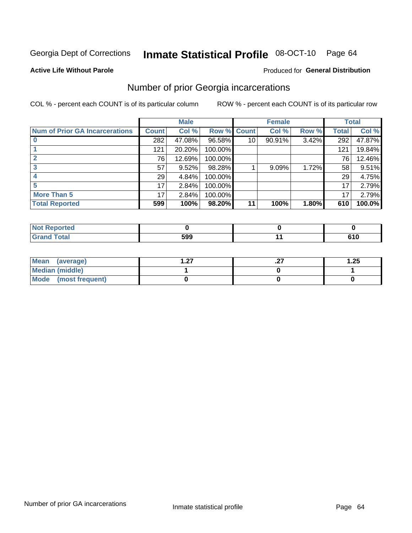#### Inmate Statistical Profile 08-OCT-10 Page 64

### **Active Life Without Parole**

### Produced for General Distribution

## Number of prior Georgia incarcerations

COL % - percent each COUNT is of its particular column

|                                       |              | <b>Male</b> |         |                 | <b>Female</b> |       |       | <b>Total</b> |
|---------------------------------------|--------------|-------------|---------|-----------------|---------------|-------|-------|--------------|
| <b>Num of Prior GA Incarcerations</b> | <b>Count</b> | Col %       | Row %   | <b>Count</b>    | Col %         | Row % | Total | Col %        |
|                                       | 282          | 47.08%      | 96.58%  | 10 <sup>1</sup> | 90.91%        | 3.42% | 292   | 47.87%       |
|                                       | 121          | 20.20%      | 100.00% |                 |               |       | 121   | 19.84%       |
|                                       | 76           | 12.69%      | 100.00% |                 |               |       | 76    | 12.46%       |
|                                       | 57           | 9.52%       | 98.28%  |                 | 9.09%         | 1.72% | 58    | 9.51%        |
|                                       | 29           | 4.84%       | 100.00% |                 |               |       | 29    | 4.75%        |
|                                       | 17           | 2.84%       | 100.00% |                 |               |       | 17    | 2.79%        |
| <b>More Than 5</b>                    | 17           | 2.84%       | 100.00% |                 |               |       | 17    | 2.79%        |
| <b>Total Reported</b>                 | 599          | 100%        | 98.20%  | 11              | 100%          | 1.80% | 610   | 100.0%       |

| neo   |             |     |
|-------|-------------|-----|
| Total | ran<br>---- | . . |

| Mean (average)       | דפ | . | 1.25 |
|----------------------|----|---|------|
| Median (middle)      |    |   |      |
| Mode (most frequent) |    |   |      |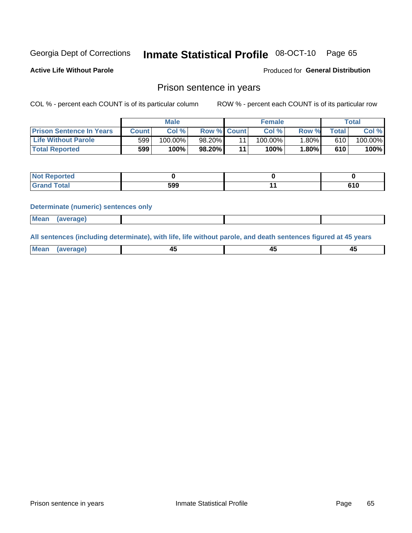#### Inmate Statistical Profile 08-OCT-10 Page 65

Produced for General Distribution

**Active Life Without Parole** 

## Prison sentence in years

COL % - percent each COUNT is of its particular column

ROW % - percent each COUNT is of its particular row

|                                 |         | <b>Male</b> |                    |    | <b>Female</b> |       |             | Total   |
|---------------------------------|---------|-------------|--------------------|----|---------------|-------|-------------|---------|
| <b>Prison Sentence In Years</b> | Count l | Col %       | <b>Row % Count</b> |    | Col %         | Row % | $\tau$ otal | Col %   |
| <b>Life Without Parole</b>      | 599     | $100.00\%$  | 98.20%             |    | 100.00%       | 1.80% | 610         | 100.00% |
| <b>Total Reported</b>           | 599     | 100%        | 98.20%             | 44 | 100%          | 1.80% | 610         | 100%    |

| Not Reported |     |     |
|--------------|-----|-----|
| <b>otal</b>  | 599 | טונ |

### **Determinate (numeric) sentences only**

| <b>Mean</b><br><i>(average)</i> |  |
|---------------------------------|--|
|---------------------------------|--|

All sentences (including determinate), with life, life without parole, and death sentences figured at 45 years

| Me<br>.<br> | -- | -- |  |
|-------------|----|----|--|
|             |    |    |  |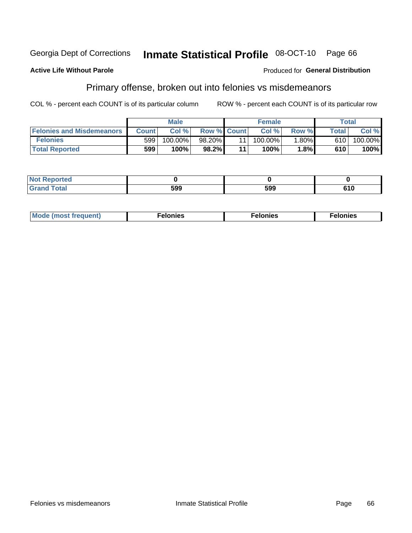#### Georgia Dept of Corrections Inmate Statistical Profile 08-OCT-10 Page 66

### **Active Life Without Parole**

### Produced for General Distribution

## Primary offense, broken out into felonies vs misdemeanors

COL % - percent each COUNT is of its particular column

|                                  | <b>Male</b>  |            |                    | <b>Female</b> |            |          | Total        |            |  |
|----------------------------------|--------------|------------|--------------------|---------------|------------|----------|--------------|------------|--|
| <b>Felonies and Misdemeanors</b> | <b>Count</b> | Col%       | <b>Row % Count</b> |               | Col%       | Row %    | <b>Total</b> | Col %      |  |
| <b>Felonies</b>                  | 599          | $100.00\%$ | 98.20%             |               | $100.00\%$ | $1.80\%$ | 610          | $100.00\%$ |  |
| <b>Total Reported</b>            | 599          | $100\%$    | 98.2%              |               | 100%       | 1.8%     | 610          | 100%       |  |

| <b>Not Reported</b>         |           |     |               |
|-----------------------------|-----------|-----|---------------|
| <b>Total</b><br>Gran<br>uuu | המ<br>JYY | 599 | 64 N<br>ט ו ט |

| <b>Mode</b><br>frequent)<br>nies<br>≧ (most tr.<br>. | onies<br>. | lonies<br>ею<br>____ |
|------------------------------------------------------|------------|----------------------|
|------------------------------------------------------|------------|----------------------|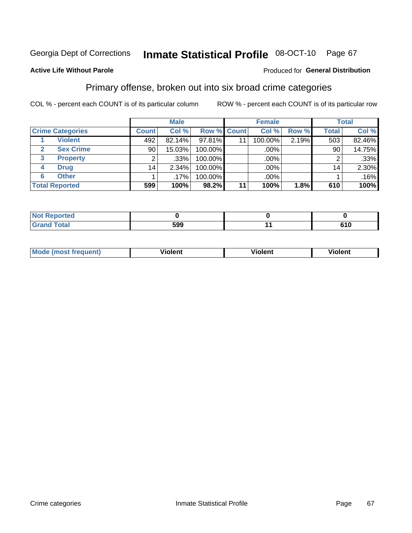#### Inmate Statistical Profile 08-OCT-10 Page 67

## **Active Life Without Parole**

### Produced for General Distribution

## Primary offense, broken out into six broad crime categories

COL % - percent each COUNT is of its particular column

|                         | <b>Male</b>     |        |         | <b>Female</b> |         |       | <b>Total</b> |        |
|-------------------------|-----------------|--------|---------|---------------|---------|-------|--------------|--------|
| <b>Crime Categories</b> | <b>Count</b>    | Col %  |         | Row % Count   | Col %   | Row % | <b>Total</b> | Col %  |
| <b>Violent</b>          | 492             | 82.14% | 97.81%  | 11            | 100.00% | 2.19% | 503          | 82.46% |
| <b>Sex Crime</b>        | 90              | 15.03% | 100.00% |               | .00%    |       | 90           | 14.75% |
| <b>Property</b><br>3    | ົ               | .33%   | 100.00% |               | .00%    |       |              | .33%   |
| <b>Drug</b><br>4        | 14 <sub>1</sub> | 2.34%  | 100.00% |               | .00%    |       | 14.          | 2.30%  |
| <b>Other</b><br>6       |                 | .17%   | 100.00% |               | .00%    |       |              | .16%   |
| <b>Total Reported</b>   | 599             | 100%   | 98.2%   | 11            | 100%    | 1.8%  | 610          | 100%   |

| <b>Not Reported</b> |     |            |
|---------------------|-----|------------|
| <b>Total</b>        | 599 | .<br>ט ו ט |

| M | . | 40 O |
|---|---|------|
|   |   |      |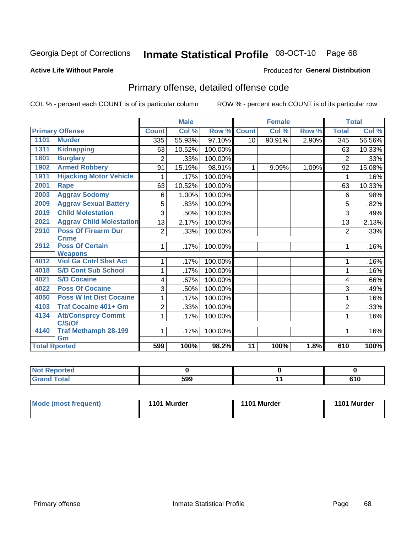#### Inmate Statistical Profile 08-OCT-10 Page 68

### **Active Life Without Parole**

### Produced for General Distribution

## Primary offense, detailed offense code

COL % - percent each COUNT is of its particular column

|      |                                          |                | <b>Male</b> |         |                 | <b>Female</b> |       |                | <b>Total</b> |
|------|------------------------------------------|----------------|-------------|---------|-----------------|---------------|-------|----------------|--------------|
|      | <b>Primary Offense</b>                   | <b>Count</b>   | Col %       | Row %   | <b>Count</b>    | Col %         | Row % | <b>Total</b>   | Col %        |
| 1101 | <b>Murder</b>                            | 335            | 55.93%      | 97.10%  | 10 <sup>1</sup> | 90.91%        | 2.90% | 345            | 56.56%       |
| 1311 | <b>Kidnapping</b>                        | 63             | 10.52%      | 100.00% |                 |               |       | 63             | 10.33%       |
| 1601 | <b>Burglary</b>                          | 2              | .33%        | 100.00% |                 |               |       | $\overline{2}$ | .33%         |
| 1902 | <b>Armed Robbery</b>                     | 91             | 15.19%      | 98.91%  | 1               | 9.09%         | 1.09% | 92             | 15.08%       |
| 1911 | <b>Hijacking Motor Vehicle</b>           |                | .17%        | 100.00% |                 |               |       | 1              | .16%         |
| 2001 | Rape                                     | 63             | 10.52%      | 100.00% |                 |               |       | 63             | 10.33%       |
| 2003 | <b>Aggrav Sodomy</b>                     | 6              | 1.00%       | 100.00% |                 |               |       | 6              | .98%         |
| 2009 | <b>Aggrav Sexual Battery</b>             | 5              | .83%        | 100.00% |                 |               |       | 5              | .82%         |
| 2019 | <b>Child Molestation</b>                 | 3              | .50%        | 100.00% |                 |               |       | 3              | .49%         |
| 2021 | <b>Aggrav Child Molestation</b>          | 13             | 2.17%       | 100.00% |                 |               |       | 13             | 2.13%        |
| 2910 | <b>Poss Of Firearm Dur</b>               | $\overline{2}$ | .33%        | 100.00% |                 |               |       | $\overline{2}$ | .33%         |
|      | <b>Crime</b>                             |                |             |         |                 |               |       |                |              |
| 2912 | <b>Poss Of Certain</b><br><b>Weapons</b> |                | .17%        | 100.00% |                 |               |       | 1              | .16%         |
| 4012 | <b>Viol Ga Cntrl Sbst Act</b>            | 1              | .17%        | 100.00% |                 |               |       | 1              | .16%         |
| 4018 | <b>S/D Cont Sub School</b>               |                | .17%        | 100.00% |                 |               |       | 1              | .16%         |
| 4021 | <b>S/D Cocaine</b>                       | 4              | .67%        | 100.00% |                 |               |       | 4              | .66%         |
| 4022 | <b>Poss Of Cocaine</b>                   | 3              | .50%        | 100.00% |                 |               |       | 3              | .49%         |
| 4050 | <b>Poss W Int Dist Cocaine</b>           |                | .17%        | 100.00% |                 |               |       | 1              | .16%         |
| 4103 | <b>Traf Cocaine 401+ Gm</b>              | $\overline{2}$ | .33%        | 100.00% |                 |               |       | $\overline{2}$ | .33%         |
| 4134 | <b>Att/Consprcy Commt</b>                | 1              | .17%        | 100.00% |                 |               |       | 1              | .16%         |
|      | C/S/Of                                   |                |             |         |                 |               |       |                |              |
| 4140 | <b>Traf Methamph 28-199</b>              | 1              | .17%        | 100.00% |                 |               |       | 1              | .16%         |
|      | Gm                                       |                |             |         |                 |               |       |                |              |
|      | <b>Total Rported</b>                     | 599            | 100%        | 98.2%   | 11              | 100%          | 1.8%  | 610            | 100%         |

| <b>eported</b><br>$\sim$ |     |     |
|--------------------------|-----|-----|
| 'ota.                    | 599 | 610 |

| Mode (most frequent) | 1101 Murder | 1101 Murder | 1101 Murder |  |
|----------------------|-------------|-------------|-------------|--|
|                      |             |             |             |  |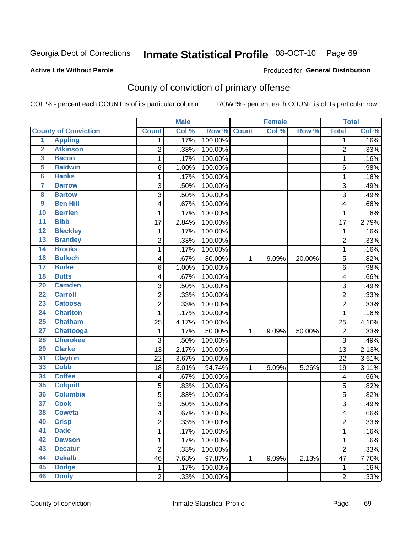# Inmate Statistical Profile 08-OCT-10 Page 69

### **Active Life Without Parole**

## **Produced for General Distribution**

## County of conviction of primary offense

COL % - percent each COUNT is of its particular column

|                         |                             |                         | <b>Male</b> |         |              | <b>Female</b> |        |                | <b>Total</b> |
|-------------------------|-----------------------------|-------------------------|-------------|---------|--------------|---------------|--------|----------------|--------------|
|                         | <b>County of Conviction</b> | <b>Count</b>            | Col %       | Row %   | <b>Count</b> | Col %         | Row %  | <b>Total</b>   | Col %        |
| 1                       | <b>Appling</b>              | 1                       | .17%        | 100.00% |              |               |        | 1              | .16%         |
| $\overline{2}$          | <b>Atkinson</b>             | $\overline{2}$          | .33%        | 100.00% |              |               |        | $\overline{2}$ | .33%         |
| $\overline{\mathbf{3}}$ | <b>Bacon</b>                | $\mathbf 1$             | .17%        | 100.00% |              |               |        | 1              | .16%         |
| 5                       | <b>Baldwin</b>              | 6                       | 1.00%       | 100.00% |              |               |        | 6              | .98%         |
| 6                       | <b>Banks</b>                | 1                       | .17%        | 100.00% |              |               |        | 1              | .16%         |
| $\overline{\mathbf{7}}$ | <b>Barrow</b>               | 3                       | .50%        | 100.00% |              |               |        | 3              | .49%         |
| $\overline{\mathbf{8}}$ | <b>Bartow</b>               | 3                       | .50%        | 100.00% |              |               |        | $\overline{3}$ | .49%         |
| $\overline{9}$          | <b>Ben Hill</b>             | 4                       | .67%        | 100.00% |              |               |        | 4              | .66%         |
| 10                      | <b>Berrien</b>              | 1                       | .17%        | 100.00% |              |               |        | 1              | .16%         |
| $\overline{11}$         | <b>Bibb</b>                 | 17                      | 2.84%       | 100.00% |              |               |        | 17             | 2.79%        |
| $\overline{12}$         | <b>Bleckley</b>             | $\mathbf 1$             | .17%        | 100.00% |              |               |        | $\mathbf 1$    | .16%         |
| 13                      | <b>Brantley</b>             | $\overline{2}$          | .33%        | 100.00% |              |               |        | $\overline{2}$ | .33%         |
| 14                      | <b>Brooks</b>               | 1                       | .17%        | 100.00% |              |               |        | $\mathbf{1}$   | .16%         |
| 16                      | <b>Bulloch</b>              | 4                       | .67%        | 80.00%  | 1            | 9.09%         | 20.00% | 5              | .82%         |
| $\overline{17}$         | <b>Burke</b>                | 6                       | 1.00%       | 100.00% |              |               |        | 6              | .98%         |
| $\overline{18}$         | <b>Butts</b>                | 4                       | .67%        | 100.00% |              |               |        | 4              | .66%         |
| $\overline{20}$         | <b>Camden</b>               | 3                       | .50%        | 100.00% |              |               |        | 3              | .49%         |
| $\overline{22}$         | <b>Carroll</b>              | $\overline{c}$          | .33%        | 100.00% |              |               |        | $\overline{c}$ | .33%         |
| 23                      | <b>Catoosa</b>              | $\overline{c}$          | .33%        | 100.00% |              |               |        | $\overline{2}$ | .33%         |
| $\overline{24}$         | <b>Charlton</b>             | 1                       | .17%        | 100.00% |              |               |        | $\mathbf{1}$   | .16%         |
| $\overline{25}$         | <b>Chatham</b>              | 25                      | 4.17%       | 100.00% |              |               |        | 25             | 4.10%        |
| $\overline{27}$         | Chattooga                   | 1                       | .17%        | 50.00%  | 1            | 9.09%         | 50.00% | $\overline{c}$ | .33%         |
| 28                      | <b>Cherokee</b>             | 3                       | .50%        | 100.00% |              |               |        | $\overline{3}$ | .49%         |
| 29                      | <b>Clarke</b>               | 13                      | 2.17%       | 100.00% |              |               |        | 13             | 2.13%        |
| $\overline{31}$         | <b>Clayton</b>              | 22                      | 3.67%       | 100.00% |              |               |        | 22             | 3.61%        |
| 33                      | <b>Cobb</b>                 | 18                      | 3.01%       | 94.74%  | 1            | 9.09%         | 5.26%  | 19             | 3.11%        |
| 34                      | <b>Coffee</b>               | 4                       | .67%        | 100.00% |              |               |        | 4              | .66%         |
| 35                      | <b>Colquitt</b>             | 5                       | .83%        | 100.00% |              |               |        | 5              | .82%         |
| 36                      | <b>Columbia</b>             | 5                       | .83%        | 100.00% |              |               |        | 5              | .82%         |
| $\overline{37}$         | <b>Cook</b>                 | 3                       | .50%        | 100.00% |              |               |        | 3              | .49%         |
| 38                      | <b>Coweta</b>               | 4                       | .67%        | 100.00% |              |               |        | 4              | .66%         |
| 40                      | <b>Crisp</b>                | $\overline{\mathbf{c}}$ | .33%        | 100.00% |              |               |        | 2              | .33%         |
| 41                      | <b>Dade</b>                 | 1                       | .17%        | 100.00% |              |               |        | $\mathbf{1}$   | .16%         |
| 42                      | <b>Dawson</b>               | 1                       | .17%        | 100.00% |              |               |        | 1              | .16%         |
| 43                      | <b>Decatur</b>              | $\overline{2}$          | .33%        | 100.00% |              |               |        | $\overline{2}$ | .33%         |
| 44                      | <b>Dekalb</b>               | 46                      | 7.68%       | 97.87%  | 1            | 9.09%         | 2.13%  | 47             | 7.70%        |
| 45                      | <b>Dodge</b>                | $\mathbf{1}$            | .17%        | 100.00% |              |               |        | $\mathbf 1$    | .16%         |
| 46                      | <b>Dooly</b>                | $\overline{2}$          | .33%        | 100.00% |              |               |        | $\overline{2}$ | .33%         |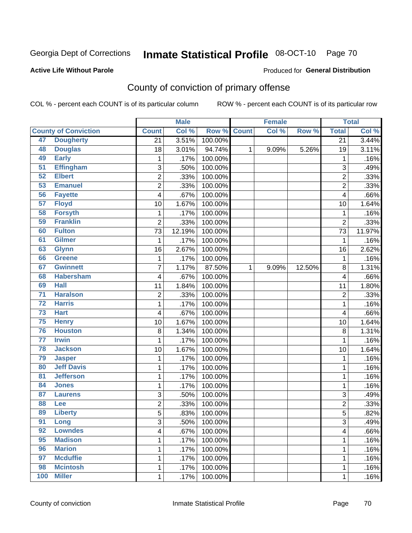# Inmate Statistical Profile 08-OCT-10 Page 70

### **Active Life Without Parole**

### Produced for General Distribution

## County of conviction of primary offense

COL % - percent each COUNT is of its particular column

|                 |                             |                 | <b>Male</b> |         |              | <b>Female</b> |        |                         | <b>Total</b> |
|-----------------|-----------------------------|-----------------|-------------|---------|--------------|---------------|--------|-------------------------|--------------|
|                 | <b>County of Conviction</b> | <b>Count</b>    | Col %       | Row %   | <b>Count</b> | Col %         | Row %  | <b>Total</b>            | Col %        |
| 47              | <b>Dougherty</b>            | $\overline{21}$ | 3.51%       | 100.00% |              |               |        | $\overline{21}$         | 3.44%        |
| 48              | <b>Douglas</b>              | 18              | 3.01%       | 94.74%  | 1            | 9.09%         | 5.26%  | 19                      | 3.11%        |
| 49              | <b>Early</b>                | $\mathbf 1$     | .17%        | 100.00% |              |               |        | 1                       | .16%         |
| $\overline{51}$ | <b>Effingham</b>            | 3               | .50%        | 100.00% |              |               |        | 3                       | .49%         |
| 52              | <b>Elbert</b>               | 2               | .33%        | 100.00% |              |               |        | $\overline{c}$          | .33%         |
| 53              | <b>Emanuel</b>              | $\overline{c}$  | .33%        | 100.00% |              |               |        | $\overline{2}$          | .33%         |
| 56              | <b>Fayette</b>              | 4               | .67%        | 100.00% |              |               |        | 4                       | .66%         |
| 57              | <b>Floyd</b>                | 10              | 1.67%       | 100.00% |              |               |        | 10                      | 1.64%        |
| 58              | <b>Forsyth</b>              | $\mathbf{1}$    | .17%        | 100.00% |              |               |        | $\mathbf{1}$            | .16%         |
| 59              | <b>Franklin</b>             | $\overline{2}$  | .33%        | 100.00% |              |               |        | $\overline{2}$          | .33%         |
| 60              | <b>Fulton</b>               | 73              | 12.19%      | 100.00% |              |               |        | 73                      | 11.97%       |
| 61              | <b>Gilmer</b>               | 1               | .17%        | 100.00% |              |               |        | 1                       | .16%         |
| 63              | <b>Glynn</b>                | 16              | 2.67%       | 100.00% |              |               |        | 16                      | 2.62%        |
| 66              | Greene                      | 1               | .17%        | 100.00% |              |               |        | $\mathbf{1}$            | .16%         |
| 67              | <b>Gwinnett</b>             | $\overline{7}$  | 1.17%       | 87.50%  | $\mathbf{1}$ | 9.09%         | 12.50% | 8                       | 1.31%        |
| 68              | <b>Habersham</b>            | 4               | .67%        | 100.00% |              |               |        | 4                       | .66%         |
| 69              | <b>Hall</b>                 | 11              | 1.84%       | 100.00% |              |               |        | 11                      | 1.80%        |
| $\overline{71}$ | <b>Haralson</b>             | $\overline{2}$  | .33%        | 100.00% |              |               |        | $\overline{c}$          | .33%         |
| $\overline{72}$ | <b>Harris</b>               | 1               | .17%        | 100.00% |              |               |        | $\mathbf{1}$            | .16%         |
| 73              | <b>Hart</b>                 | 4               | .67%        | 100.00% |              |               |        | 4                       | .66%         |
| 75              | <b>Henry</b>                | 10              | 1.67%       | 100.00% |              |               |        | 10                      | 1.64%        |
| 76              | <b>Houston</b>              | 8               | 1.34%       | 100.00% |              |               |        | 8                       | 1.31%        |
| $\overline{77}$ | <b>Irwin</b>                | 1               | .17%        | 100.00% |              |               |        | $\mathbf 1$             | .16%         |
| 78              | <b>Jackson</b>              | 10              | 1.67%       | 100.00% |              |               |        | 10                      | 1.64%        |
| 79              | <b>Jasper</b>               | $\mathbf{1}$    | .17%        | 100.00% |              |               |        | $\mathbf 1$             | .16%         |
| 80              | <b>Jeff Davis</b>           | 1               | .17%        | 100.00% |              |               |        | $\mathbf 1$             | .16%         |
| 81              | <b>Jefferson</b>            | 1               | .17%        | 100.00% |              |               |        | $\mathbf 1$             | .16%         |
| 84              | <b>Jones</b>                | 1               | .17%        | 100.00% |              |               |        | $\mathbf 1$             | .16%         |
| 87              | <b>Laurens</b>              | 3               | .50%        | 100.00% |              |               |        | 3                       | .49%         |
| 88              | Lee                         | $\overline{c}$  | .33%        | 100.00% |              |               |        | $\overline{c}$          | .33%         |
| 89              | <b>Liberty</b>              | $\overline{5}$  | .83%        | 100.00% |              |               |        | 5                       | .82%         |
| 91              | Long                        | 3               | .50%        | 100.00% |              |               |        | 3                       | .49%         |
| 92              | <b>Lowndes</b>              | 4               | .67%        | 100.00% |              |               |        | $\overline{\mathbf{4}}$ | .66%         |
| 95              | <b>Madison</b>              | 1               | .17%        | 100.00% |              |               |        | $\mathbf{1}$            | .16%         |
| 96              | <b>Marion</b>               | 1               | .17%        | 100.00% |              |               |        | $\mathbf 1$             | .16%         |
| 97              | <b>Mcduffie</b>             | 1               | .17%        | 100.00% |              |               |        | 1                       | .16%         |
| 98              | <b>Mcintosh</b>             | 1               | .17%        | 100.00% |              |               |        | $\mathbf{1}$            | .16%         |
| 100             | <b>Miller</b>               | $\mathbf 1$     | .17%        | 100.00% |              |               |        | $\mathbf{1}$            | .16%         |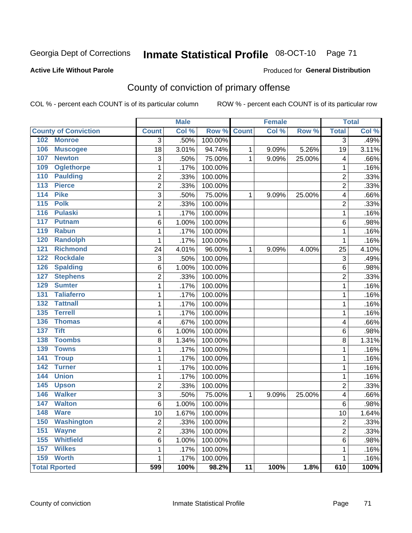# Inmate Statistical Profile 08-OCT-10 Page 71

### **Active Life Without Parole**

### Produced for General Distribution

## County of conviction of primary offense

COL % - percent each COUNT is of its particular column

|                                 |                | <b>Male</b> |         |                 | <b>Female</b> |        |                | <b>Total</b> |
|---------------------------------|----------------|-------------|---------|-----------------|---------------|--------|----------------|--------------|
| <b>County of Conviction</b>     | <b>Count</b>   | Col %       | Row %   | <b>Count</b>    | Col %         | Row %  | <b>Total</b>   | Col %        |
| <b>Monroe</b><br>102            | 3              | .50%        | 100.00% |                 |               |        | $\overline{3}$ | .49%         |
| 106<br><b>Muscogee</b>          | 18             | 3.01%       | 94.74%  | 1               | 9.09%         | 5.26%  | 19             | 3.11%        |
| 107<br><b>Newton</b>            | 3              | .50%        | 75.00%  | 1               | 9.09%         | 25.00% | 4              | .66%         |
| <b>Oglethorpe</b><br>109        | 1              | .17%        | 100.00% |                 |               |        | 1              | .16%         |
| <b>Paulding</b><br>110          | 2              | .33%        | 100.00% |                 |               |        | 2              | .33%         |
| 113<br><b>Pierce</b>            | $\overline{2}$ | .33%        | 100.00% |                 |               |        | $\overline{2}$ | .33%         |
| <b>Pike</b><br>114              | 3              | .50%        | 75.00%  | 1               | 9.09%         | 25.00% | 4              | .66%         |
| 115<br><b>Polk</b>              | $\overline{c}$ | .33%        | 100.00% |                 |               |        | $\overline{c}$ | .33%         |
| 116<br><b>Pulaski</b>           | $\mathbf{1}$   | .17%        | 100.00% |                 |               |        | 1              | .16%         |
| 117<br><b>Putnam</b>            | 6              | 1.00%       | 100.00% |                 |               |        | 6              | .98%         |
| 119<br><b>Rabun</b>             | 1              | .17%        | 100.00% |                 |               |        | 1              | .16%         |
| <b>Randolph</b><br>120          | 1              | .17%        | 100.00% |                 |               |        | 1              | .16%         |
| <b>Richmond</b><br>121          | 24             | 4.01%       | 96.00%  | 1               | 9.09%         | 4.00%  | 25             | 4.10%        |
| 122<br><b>Rockdale</b>          | 3              | .50%        | 100.00% |                 |               |        | 3              | .49%         |
| 126<br><b>Spalding</b>          | 6              | 1.00%       | 100.00% |                 |               |        | 6              | .98%         |
| <b>Stephens</b><br>127          | $\overline{c}$ | .33%        | 100.00% |                 |               |        | $\overline{c}$ | .33%         |
| <b>Sumter</b><br>129            | $\mathbf{1}$   | .17%        | 100.00% |                 |               |        | 1              | .16%         |
| <b>Taliaferro</b><br>131        | 1              | .17%        | 100.00% |                 |               |        | 1              | .16%         |
| 132<br><b>Tattnall</b>          | 1              | .17%        | 100.00% |                 |               |        | 1              | .16%         |
| <b>Terrell</b><br>135           | 1              | .17%        | 100.00% |                 |               |        | 1              | .16%         |
| 136<br><b>Thomas</b>            | 4              | .67%        | 100.00% |                 |               |        | 4              | .66%         |
| <b>Tift</b><br>$\overline{137}$ | 6              | 1.00%       | 100.00% |                 |               |        | 6              | .98%         |
| <b>Toombs</b><br>138            | 8              | 1.34%       | 100.00% |                 |               |        | 8              | 1.31%        |
| <b>Towns</b><br>139             | 1              | .17%        | 100.00% |                 |               |        | 1              | .16%         |
| <b>Troup</b><br>141             | 1              | .17%        | 100.00% |                 |               |        | 1              | .16%         |
| 142<br><b>Turner</b>            | 1              | .17%        | 100.00% |                 |               |        | 1              | .16%         |
| <b>Union</b><br>144             | 1              | .17%        | 100.00% |                 |               |        | 1              | .16%         |
| 145<br><b>Upson</b>             | $\overline{2}$ | .33%        | 100.00% |                 |               |        | $\overline{2}$ | .33%         |
| <b>Walker</b><br>146            | 3              | .50%        | 75.00%  | 1               | 9.09%         | 25.00% | 4              | .66%         |
| 147<br><b>Walton</b>            | $\,6$          | 1.00%       | 100.00% |                 |               |        | 6              | .98%         |
| 148<br><b>Ware</b>              | 10             | 1.67%       | 100.00% |                 |               |        | 10             | 1.64%        |
| 150 Washington                  | 2              | .33%        | 100.00% |                 |               |        | 2              | .33%         |
| <b>Wayne</b><br>151             | 2              | .33%        | 100.00% |                 |               |        | $\overline{c}$ | .33%         |
| <b>Whitfield</b><br>155         | 6              | 1.00%       | 100.00% |                 |               |        | 6              | .98%         |
| <b>Wilkes</b><br>157            | 1              | .17%        | 100.00% |                 |               |        | 1              | .16%         |
| 159<br><b>Worth</b>             | $\mathbf{1}$   | .17%        | 100.00% |                 |               |        | 1              | .16%         |
| <b>Total Rported</b>            | 599            | 100%        | 98.2%   | $\overline{11}$ | 100%          | 1.8%   | 610            | 100%         |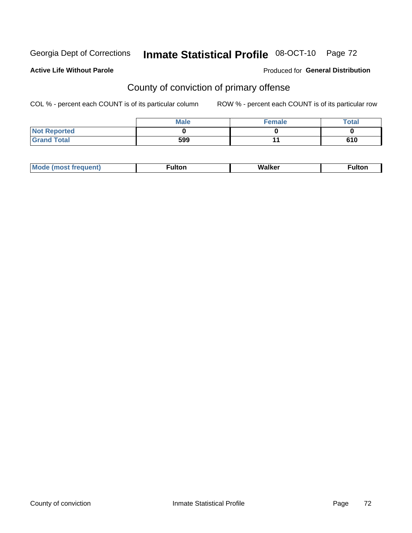# Inmate Statistical Profile 08-OCT-10 Page 72

### **Active Life Without Parole**

### Produced for General Distribution

## County of conviction of primary offense

COL % - percent each COUNT is of its particular column

|                     | <b>Male</b> | <b>Female</b> | Total |
|---------------------|-------------|---------------|-------|
| <b>Not Reported</b> |             |               |       |
| <b>Grand Total</b>  | 599         |               | 610   |

|  | <b>M</b> |  | $\mathbf{H}$<br>wa |  |
|--|----------|--|--------------------|--|
|--|----------|--|--------------------|--|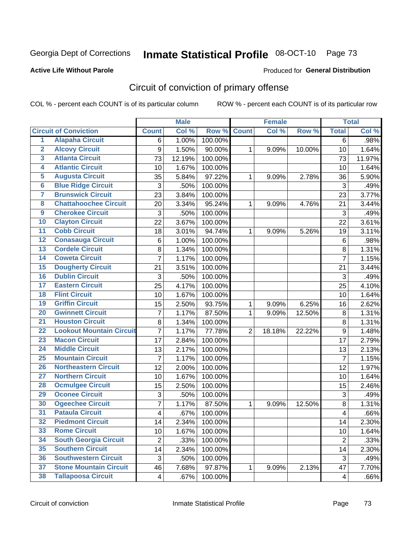Georgia Dept of Corrections

# Inmate Statistical Profile 08-OCT-10 Page 73

#### **Active Life Without Parole**

#### Produced for General Distribution

# Circuit of conviction of primary offense

COL % - percent each COUNT is of its particular column

|                         |                                 |                | <b>Male</b> |         |                | <b>Female</b> |        |                         | <b>Total</b> |
|-------------------------|---------------------------------|----------------|-------------|---------|----------------|---------------|--------|-------------------------|--------------|
|                         | <b>Circuit of Conviction</b>    | <b>Count</b>   | Col %       | Row %   | <b>Count</b>   | Col %         | Row %  | <b>Total</b>            | Col %        |
| 1                       | <b>Alapaha Circuit</b>          | 6              | 1.00%       | 100.00% |                |               |        | $\overline{6}$          | .98%         |
| $\overline{2}$          | <b>Alcovy Circuit</b>           | 9              | 1.50%       | 90.00%  | 1              | 9.09%         | 10.00% | 10                      | 1.64%        |
| $\overline{\mathbf{3}}$ | <b>Atlanta Circuit</b>          | 73             | 12.19%      | 100.00% |                |               |        | 73                      | 11.97%       |
| 4                       | <b>Atlantic Circuit</b>         | 10             | 1.67%       | 100.00% |                |               |        | 10                      | 1.64%        |
| $\overline{5}$          | <b>Augusta Circuit</b>          | 35             | 5.84%       | 97.22%  | $\mathbf{1}$   | 9.09%         | 2.78%  | 36                      | 5.90%        |
| $\overline{6}$          | <b>Blue Ridge Circuit</b>       | 3              | .50%        | 100.00% |                |               |        | 3                       | .49%         |
| 7                       | <b>Brunswick Circuit</b>        | 23             | 3.84%       | 100.00% |                |               |        | 23                      | 3.77%        |
| $\overline{\mathbf{8}}$ | <b>Chattahoochee Circuit</b>    | 20             | 3.34%       | 95.24%  | 1              | 9.09%         | 4.76%  | 21                      | 3.44%        |
| $\overline{9}$          | <b>Cherokee Circuit</b>         | 3              | .50%        | 100.00% |                |               |        | 3                       | .49%         |
| 10                      | <b>Clayton Circuit</b>          | 22             | 3.67%       | 100.00% |                |               |        | 22                      | 3.61%        |
| $\overline{11}$         | <b>Cobb Circuit</b>             | 18             | 3.01%       | 94.74%  | 1              | 9.09%         | 5.26%  | 19                      | 3.11%        |
| $\overline{12}$         | <b>Conasauga Circuit</b>        | 6              | 1.00%       | 100.00% |                |               |        | 6                       | .98%         |
| $\overline{13}$         | <b>Cordele Circuit</b>          | 8              | 1.34%       | 100.00% |                |               |        | 8                       | 1.31%        |
| $\overline{14}$         | <b>Coweta Circuit</b>           | $\overline{7}$ | 1.17%       | 100.00% |                |               |        | $\overline{7}$          | 1.15%        |
| 15                      | <b>Dougherty Circuit</b>        | 21             | 3.51%       | 100.00% |                |               |        | 21                      | 3.44%        |
| $\overline{16}$         | <b>Dublin Circuit</b>           | 3              | .50%        | 100.00% |                |               |        | 3                       | .49%         |
| $\overline{17}$         | <b>Eastern Circuit</b>          | 25             | 4.17%       | 100.00% |                |               |        | 25                      | 4.10%        |
| 18                      | <b>Flint Circuit</b>            | 10             | 1.67%       | 100.00% |                |               |        | 10                      | 1.64%        |
| 19                      | <b>Griffin Circuit</b>          | 15             | 2.50%       | 93.75%  | 1              | 9.09%         | 6.25%  | 16                      | 2.62%        |
| $\overline{20}$         | <b>Gwinnett Circuit</b>         | $\overline{7}$ | 1.17%       | 87.50%  | 1              | 9.09%         | 12.50% | $\bf 8$                 | 1.31%        |
| $\overline{21}$         | <b>Houston Circuit</b>          | 8              | 1.34%       | 100.00% |                |               |        | 8                       | 1.31%        |
| $\overline{22}$         | <b>Lookout Mountain Circuit</b> | $\overline{7}$ | 1.17%       | 77.78%  | $\overline{2}$ | 18.18%        | 22.22% | $\boldsymbol{9}$        | 1.48%        |
| 23                      | <b>Macon Circuit</b>            | 17             | 2.84%       | 100.00% |                |               |        | 17                      | 2.79%        |
| $\overline{24}$         | <b>Middle Circuit</b>           | 13             | 2.17%       | 100.00% |                |               |        | 13                      | 2.13%        |
| $\overline{25}$         | <b>Mountain Circuit</b>         | $\overline{7}$ | 1.17%       | 100.00% |                |               |        | $\overline{7}$          | 1.15%        |
| 26                      | <b>Northeastern Circuit</b>     | 12             | 2.00%       | 100.00% |                |               |        | 12                      | 1.97%        |
| $\overline{27}$         | <b>Northern Circuit</b>         | 10             | 1.67%       | 100.00% |                |               |        | 10                      | 1.64%        |
| 28                      | <b>Ocmulgee Circuit</b>         | 15             | 2.50%       | 100.00% |                |               |        | 15                      | 2.46%        |
| 29                      | <b>Oconee Circuit</b>           | 3              | .50%        | 100.00% |                |               |        | 3                       | .49%         |
| 30                      | <b>Ogeechee Circuit</b>         | 7              | 1.17%       | 87.50%  | 1              | 9.09%         | 12.50% | $\bf 8$                 | 1.31%        |
| $\overline{31}$         | <b>Pataula Circuit</b>          | 4              | .67%        | 100.00% |                |               |        | $\overline{\mathbf{4}}$ | .66%         |
| 32                      | <b>Piedmont Circuit</b>         | 14             | 2.34%       | 100.00% |                |               |        | 14                      | 2.30%        |
| 33                      | <b>Rome Circuit</b>             | 10             | 1.67%       | 100.00% |                |               |        | 10                      | 1.64%        |
| 34                      | <b>South Georgia Circuit</b>    | $\overline{2}$ | .33%        | 100.00% |                |               |        | $\overline{2}$          | .33%         |
| 35                      | <b>Southern Circuit</b>         | 14             | 2.34%       | 100.00% |                |               |        | 14                      | 2.30%        |
| 36                      | <b>Southwestern Circuit</b>     | 3              | .50%        | 100.00% |                |               |        | $\sqrt{3}$              | .49%         |
| 37                      | <b>Stone Mountain Circuit</b>   | 46             | 7.68%       | 97.87%  | 1              | 9.09%         | 2.13%  | 47                      | 7.70%        |
| 38                      | <b>Tallapoosa Circuit</b>       | 4              | .67%        | 100.00% |                |               |        | $\overline{\mathbf{4}}$ | .66%         |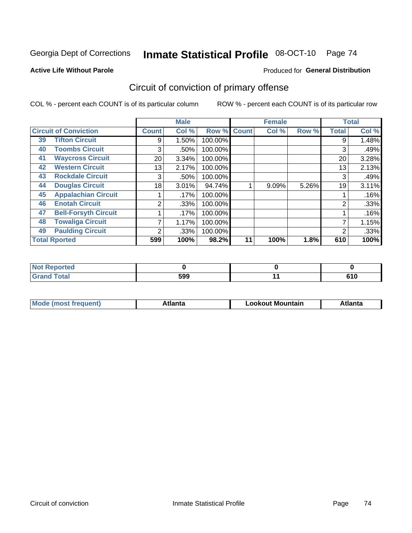Georgia Dept of Corrections

# Inmate Statistical Profile 08-OCT-10 Page 74

#### **Active Life Without Parole**

#### Produced for General Distribution

# Circuit of conviction of primary offense

COL % - percent each COUNT is of its particular column

|    |                              |              | <b>Male</b> |         |              | <b>Female</b> |       |              | <b>Total</b> |
|----|------------------------------|--------------|-------------|---------|--------------|---------------|-------|--------------|--------------|
|    | <b>Circuit of Conviction</b> | <b>Count</b> | Col %       | Row %   | <b>Count</b> | Col %         | Row % | <b>Total</b> | Col %        |
| 39 | <b>Tifton Circuit</b>        | 9            | 1.50%       | 100.00% |              |               |       | 9            | 1.48%        |
| 40 | <b>Toombs Circuit</b>        | 3            | .50%        | 100.00% |              |               |       | 3            | .49%         |
| 41 | <b>Waycross Circuit</b>      | 20           | 3.34%       | 100.00% |              |               |       | 20           | 3.28%        |
| 42 | <b>Western Circuit</b>       | 13           | 2.17%       | 100.00% |              |               |       | 13           | 2.13%        |
| 43 | <b>Rockdale Circuit</b>      | 3            | .50%        | 100.00% |              |               |       | 3            | .49%         |
| 44 | <b>Douglas Circuit</b>       | 18           | 3.01%       | 94.74%  |              | 9.09%         | 5.26% | 19           | 3.11%        |
| 45 | <b>Appalachian Circuit</b>   |              | .17%        | 100.00% |              |               |       |              | .16%         |
| 46 | <b>Enotah Circuit</b>        | 2            | .33%        | 100.00% |              |               |       | 2            | .33%         |
| 47 | <b>Bell-Forsyth Circuit</b>  |              | .17%        | 100.00% |              |               |       |              | .16%         |
| 48 | <b>Towaliga Circuit</b>      |              | 1.17%       | 100.00% |              |               |       | ⇁            | 1.15%        |
| 49 | <b>Paulding Circuit</b>      | 2            | .33%        | 100.00% |              |               |       | 2            | .33%         |
|    | <b>Total Rported</b>         | 599          | 100%        | 98.2%   | 11           | 100%          | 1.8%  | 610          | 100%         |

| $-1 - 1$<br>ortea     |     |   |
|-----------------------|-----|---|
| <b>otal</b><br>$\sim$ | 599 | . |

| M | . | Mountain<br>. ookout | .<br>'ILC |
|---|---|----------------------|-----------|
|   |   |                      |           |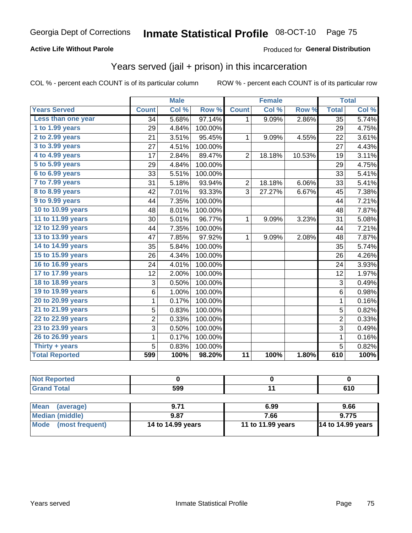# Inmate Statistical Profile 08-OCT-10 Page 75

### **Active Life Without Parole**

### Produced for General Distribution

# Years served (jail + prison) in this incarceration

COL % - percent each COUNT is of its particular column

|                       |                | <b>Male</b> |         |                | <b>Female</b> |        |                 | <b>Total</b> |
|-----------------------|----------------|-------------|---------|----------------|---------------|--------|-----------------|--------------|
| <b>Years Served</b>   | <b>Count</b>   | Col %       | Row %   | <b>Count</b>   | Col %         | Row %  | <b>Total</b>    | Col %        |
| Less than one year    | 34             | 5.68%       | 97.14%  | $\mathbf 1$    | 9.09%         | 2.86%  | $\overline{35}$ | 5.74%        |
| 1 to 1.99 years       | 29             | 4.84%       | 100.00% |                |               |        | 29              | 4.75%        |
| 2 to 2.99 years       | 21             | 3.51%       | 95.45%  | $\mathbf{1}$   | 9.09%         | 4.55%  | 22              | 3.61%        |
| 3 to 3.99 years       | 27             | 4.51%       | 100.00% |                |               |        | 27              | 4.43%        |
| 4 to 4.99 years       | 17             | 2.84%       | 89.47%  | $\overline{2}$ | 18.18%        | 10.53% | 19              | 3.11%        |
| $5$ to $5.99$ years   | 29             | 4.84%       | 100.00% |                |               |        | 29              | 4.75%        |
| 6 to 6.99 years       | 33             | 5.51%       | 100.00% |                |               |        | 33              | 5.41%        |
| 7 to 7.99 years       | 31             | 5.18%       | 93.94%  | $\overline{2}$ | 18.18%        | 6.06%  | 33              | 5.41%        |
| 8 to 8.99 years       | 42             | 7.01%       | 93.33%  | 3              | 27.27%        | 6.67%  | 45              | 7.38%        |
| 9 to 9.99 years       | 44             | 7.35%       | 100.00% |                |               |        | 44              | 7.21%        |
| 10 to 10.99 years     | 48             | 8.01%       | 100.00% |                |               |        | 48              | 7.87%        |
| 11 to 11.99 years     | 30             | 5.01%       | 96.77%  | $\mathbf{1}$   | 9.09%         | 3.23%  | 31              | 5.08%        |
| 12 to 12.99 years     | 44             | 7.35%       | 100.00% |                |               |        | 44              | 7.21%        |
| 13 to 13.99 years     | 47             | 7.85%       | 97.92%  | 1              | 9.09%         | 2.08%  | 48              | 7.87%        |
| 14 to 14.99 years     | 35             | 5.84%       | 100.00% |                |               |        | 35              | 5.74%        |
| 15 to 15.99 years     | 26             | 4.34%       | 100.00% |                |               |        | 26              | 4.26%        |
| 16 to 16.99 years     | 24             | 4.01%       | 100.00% |                |               |        | 24              | 3.93%        |
| 17 to 17.99 years     | 12             | 2.00%       | 100.00% |                |               |        | 12              | 1.97%        |
| 18 to 18.99 years     | 3              | 0.50%       | 100.00% |                |               |        | 3               | 0.49%        |
| 19 to 19.99 years     | 6              | 1.00%       | 100.00% |                |               |        | $\,6$           | 0.98%        |
| 20 to 20.99 years     | 1              | 0.17%       | 100.00% |                |               |        | $\mathbf{1}$    | 0.16%        |
| 21 to 21.99 years     | 5              | 0.83%       | 100.00% |                |               |        | $\overline{5}$  | 0.82%        |
| 22 to 22.99 years     | $\overline{2}$ | 0.33%       | 100.00% |                |               |        | $\overline{2}$  | 0.33%        |
| 23 to 23.99 years     | 3              | 0.50%       | 100.00% |                |               |        | $\overline{3}$  | 0.49%        |
| 26 to 26.99 years     | 1              | 0.17%       | 100.00% |                |               |        | $\mathbf 1$     | 0.16%        |
| Thirty $+$ years      | 5              | 0.83%       | 100.00% |                |               |        | 5               | 0.82%        |
| <b>Total Reported</b> | 599            | 100%        | 98.20%  | 11             | 100%          | 1.80%  | 610             | 100%         |

| <b>Not Reported</b>            |                   |                   |                          |
|--------------------------------|-------------------|-------------------|--------------------------|
| <b>Grand Total</b>             | 599               |                   | 610                      |
|                                |                   |                   |                          |
| <b>Mean</b><br>(average)       | 9.71              | 6.99              | 9.66                     |
| <b>Median (middle)</b>         | 9.87              | 7.66              | 9.775                    |
| <b>Mode</b><br>(most frequent) | 14 to 14.99 years | 11 to 11.99 years | <b>14 to 14.99 years</b> |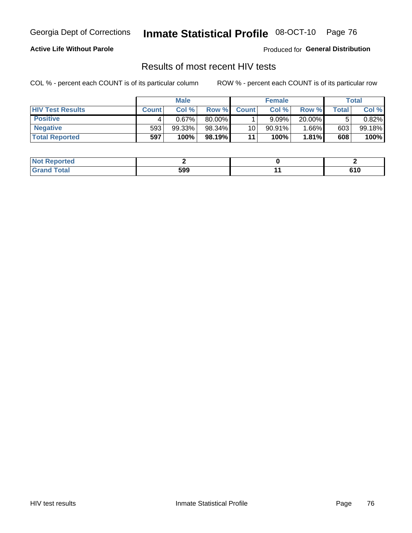Georgia Dept of Corrections

# Inmate Statistical Profile 08-OCT-10 Page 76

### **Active Life Without Parole**

Produced for General Distribution

## Results of most recent HIV tests

COL % - percent each COUNT is of its particular column

|                         |              | <b>Male</b> |        |              | <b>Female</b> |        |       | Total  |
|-------------------------|--------------|-------------|--------|--------------|---------------|--------|-------|--------|
| <b>HIV Test Results</b> | <b>Count</b> | Col%        | Row %I | <b>Count</b> | Col %         | Row %  | Total | Col %  |
| <b>Positive</b>         |              | 0.67%       | 80.00% |              | 9.09%         | 20.00% |       | 0.82%  |
| <b>Negative</b>         | 593          | 99.33%      | 98.34% | 10           | $90.91\%$     | 1.66%  | 603   | 99.18% |
| <b>Total Reported</b>   | 597          | 100%        | 98.19% | 11           | 100%          | 1.81%  | 608   | 100%   |

| <b>Not Reported</b> |     |     |
|---------------------|-----|-----|
| <b>Total</b>        | 599 | 610 |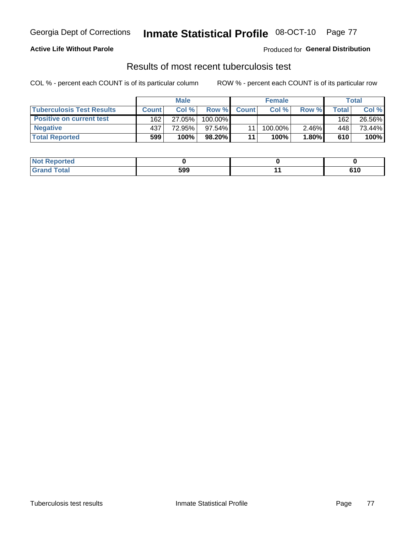#### Inmate Statistical Profile 08-OCT-10 Page 77

### **Active Life Without Parole**

Produced for General Distribution

## Results of most recent tuberculosis test

COL % - percent each COUNT is of its particular column

|                                  |              | <b>Male</b> |            |              | <b>Female</b> |       |       | Total  |
|----------------------------------|--------------|-------------|------------|--------------|---------------|-------|-------|--------|
| <b>Tuberculosis Test Results</b> | <b>Count</b> | Col%        | Row %      | <b>Count</b> | Col%          | Row % | Total | Col %  |
| <b>Positive on current test</b>  | 162          | 27.05%      | $100.00\%$ |              |               |       | 162   | 26.56% |
| <b>Negative</b>                  | 437          | 72.95%      | 97.54%     |              | $100.00\%$    | 2.46% | 448   | 73.44% |
| <b>Total Reported</b>            | 599          | 100%        | 98.20%     | 11           | 100%          | 1.80% | 610   | 100%   |

| <b>Not Reported</b> |     |     |
|---------------------|-----|-----|
| nd Total            | 599 | 610 |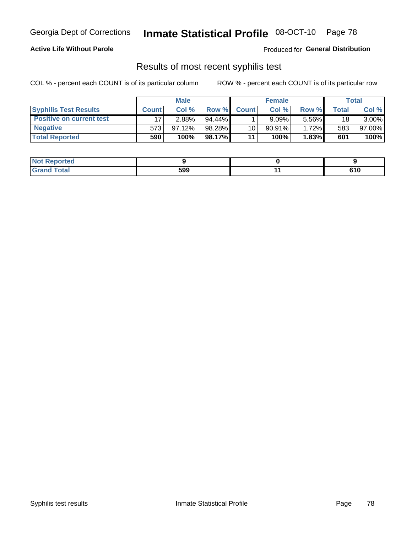#### Inmate Statistical Profile 08-OCT-10 Page 78

### **Active Life Without Parole**

Produced for General Distribution

## Results of most recent syphilis test

COL % - percent each COUNT is of its particular column

|                                 |              | <b>Male</b> |           |              | <b>Female</b> |          |              | Total    |
|---------------------------------|--------------|-------------|-----------|--------------|---------------|----------|--------------|----------|
| <b>Syphilis Test Results</b>    | <b>Count</b> | Col%        | Row %     | <b>Count</b> | Col %         | Row %I   | <b>Total</b> | Col %    |
| <b>Positive on current test</b> |              | 2.88%       | $94.44\%$ |              | 9.09%         | 5.56%    | 18           | $3.00\%$ |
| <b>Negative</b>                 | 573          | 97.12%      | 98.28%    | 10           | $90.91\%$     | $1.72\%$ | 583          | 97.00%   |
| <b>Total Reported</b>           | 590          | 100%        | 98.17%    | 11           | 100%          | 1.83%    | 601          | 100%     |

| <b>Not Reported</b> |     |     |
|---------------------|-----|-----|
| <b>Grand Total</b>  | 599 | 610 |